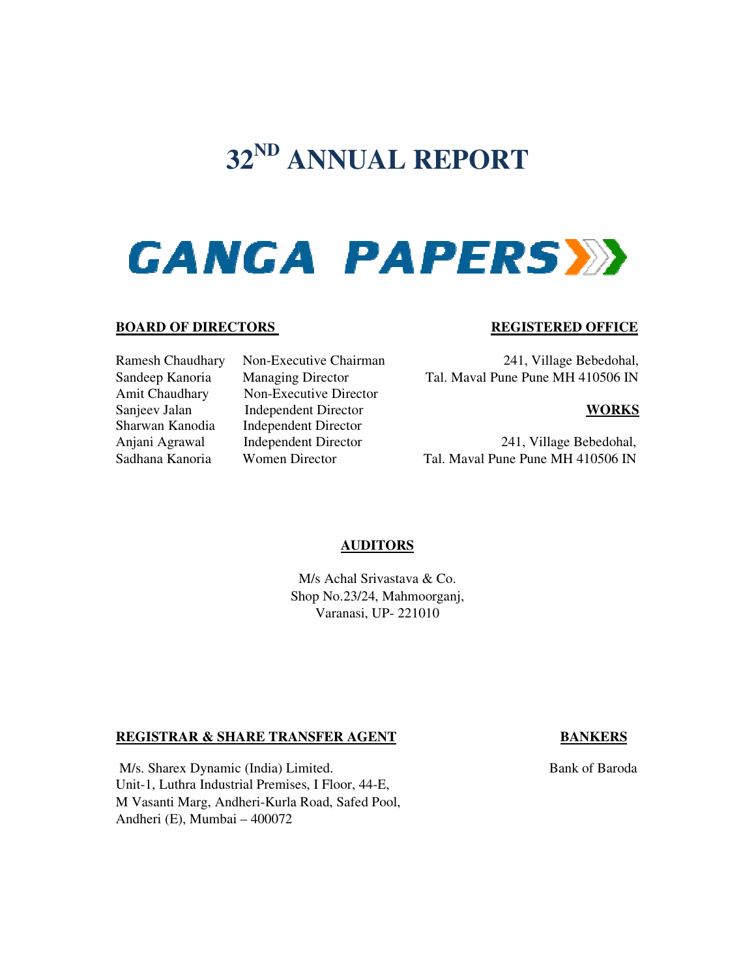# **32ND ANNUAL REPORT**

# **GANGA PAPERSY**

#### **BOARD OF DIRECTORS**

Sadhana Kanoria Women Director

Ramesh Chaudhary Non-Executive Chairman Sandeep Kanoria Managing Director Amit Chaudhary Non-Executive Director Executive Director Sanjeev Jalan Independent Director Director Sharwan Kanodia Independent Director Anjani Agrawal Independent Director

#### **REGISTERED OFFICE REGISTERED**

Executive 241, Village Bebedohal, Bebedohal, Director Tal. Maval Pune Pune MH 410506 IN

#### **WORKS**

241, Village Bebedohal, 241, Village Bebedohal,<br>Tal. Maval Pune Pune MH 410506 IN

# **AUDITORS**

M/ M/s Achal Srivastava & Co. Shop No.23/24, Mahmoorganj, Shop No.23/24, Varanasi, UP- 221010

#### **REGISTRAR & SHARE TRANSFER AGENT**

M/s. Sharex Dynamic (India) Limited. Unit-1, Luthra Industrial Premises, I Floor, 44-E, M Vasanti Marg, Andheri-Kurla Road, Safed Pool, Andheri (E), Mumbai – 400072

#### **BANKERS**

**Bank of Baroda**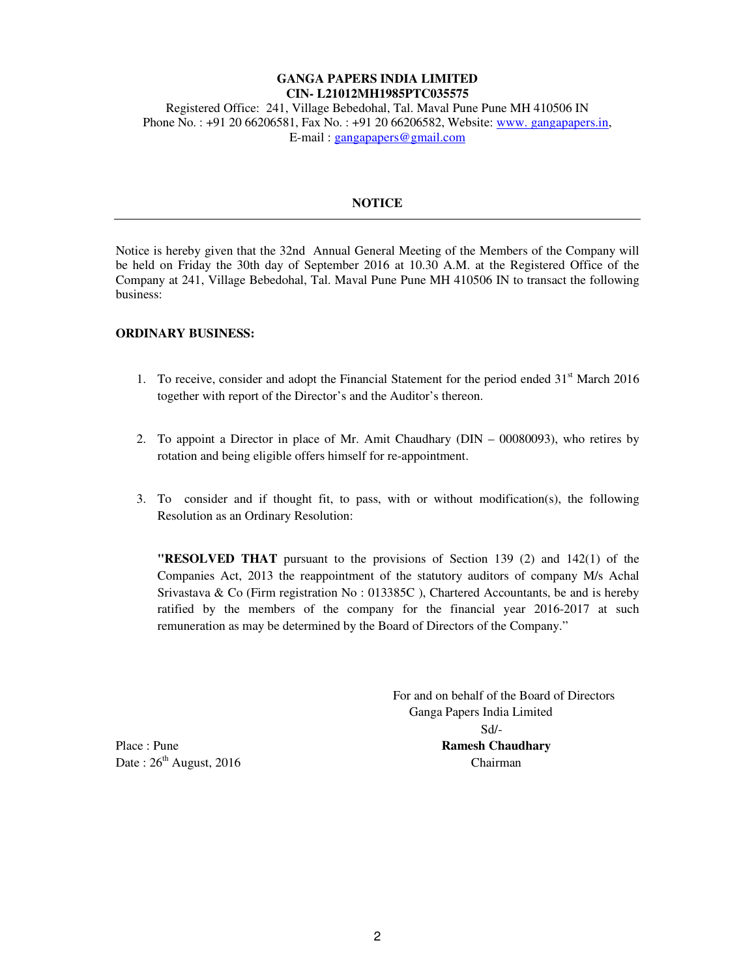# **GANGA PAPERS INDIA LIMITED CIN- L21012MH1985PTC035575**

Registered Office: 241, Village Bebedohal, Tal. Maval Pune Pune MH 410506 IN Phone No. : +91 20 66206581, Fax No. : +91 20 66206582, Website: www. gangapapers.in, E-mail : gangapapers@gmail.com

#### **NOTICE**

Notice is hereby given that the 32nd Annual General Meeting of the Members of the Company will be held on Friday the 30th day of September 2016 at 10.30 A.M. at the Registered Office of the Company at 241, Village Bebedohal, Tal. Maval Pune Pune MH 410506 IN to transact the following business:

#### **ORDINARY BUSINESS:**

- 1. To receive, consider and adopt the Financial Statement for the period ended  $31<sup>st</sup>$  March 2016 together with report of the Director's and the Auditor's thereon.
- 2. To appoint a Director in place of Mr. Amit Chaudhary (DIN 00080093), who retires by rotation and being eligible offers himself for re-appointment.
- 3. To consider and if thought fit, to pass, with or without modification(s), the following Resolution as an Ordinary Resolution:

**"RESOLVED THAT** pursuant to the provisions of Section 139 (2) and 142(1) of the Companies Act, 2013 the reappointment of the statutory auditors of company M/s Achal Srivastava & Co (Firm registration No : 013385C ), Chartered Accountants, be and is hereby ratified by the members of the company for the financial year 2016-2017 at such remuneration as may be determined by the Board of Directors of the Company."

 For and on behalf of the Board of Directors Ganga Papers India Limited Sd/- Place : Pune **Ramesh Chaudhary Ramesh Chaudhary** 

Date :  $26<sup>th</sup>$  August, 2016 Chairman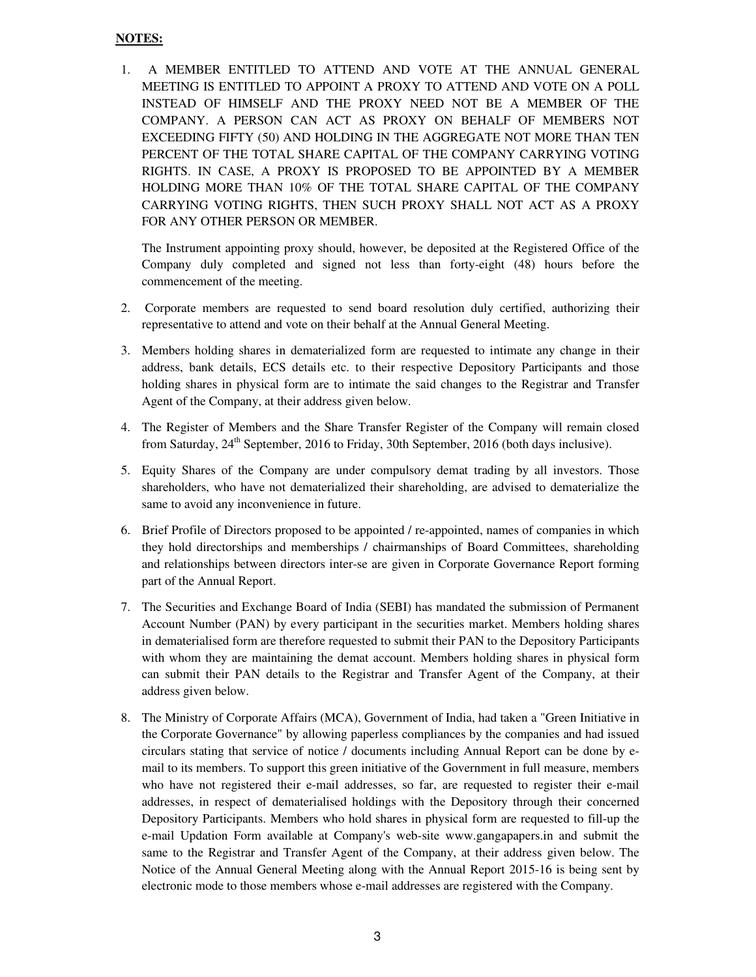#### **NOTES:**

1. A MEMBER ENTITLED TO ATTEND AND VOTE AT THE ANNUAL GENERAL MEETING IS ENTITLED TO APPOINT A PROXY TO ATTEND AND VOTE ON A POLL INSTEAD OF HIMSELF AND THE PROXY NEED NOT BE A MEMBER OF THE COMPANY. A PERSON CAN ACT AS PROXY ON BEHALF OF MEMBERS NOT EXCEEDING FIFTY (50) AND HOLDING IN THE AGGREGATE NOT MORE THAN TEN PERCENT OF THE TOTAL SHARE CAPITAL OF THE COMPANY CARRYING VOTING RIGHTS. IN CASE, A PROXY IS PROPOSED TO BE APPOINTED BY A MEMBER HOLDING MORE THAN 10% OF THE TOTAL SHARE CAPITAL OF THE COMPANY CARRYING VOTING RIGHTS, THEN SUCH PROXY SHALL NOT ACT AS A PROXY FOR ANY OTHER PERSON OR MEMBER.

The Instrument appointing proxy should, however, be deposited at the Registered Office of the Company duly completed and signed not less than forty-eight (48) hours before the commencement of the meeting.

- 2. Corporate members are requested to send board resolution duly certified, authorizing their representative to attend and vote on their behalf at the Annual General Meeting.
- 3. Members holding shares in dematerialized form are requested to intimate any change in their address, bank details, ECS details etc. to their respective Depository Participants and those holding shares in physical form are to intimate the said changes to the Registrar and Transfer Agent of the Company, at their address given below.
- 4. The Register of Members and the Share Transfer Register of the Company will remain closed from Saturday,  $24<sup>th</sup>$  September, 2016 to Friday, 30th September, 2016 (both days inclusive).
- 5. Equity Shares of the Company are under compulsory demat trading by all investors. Those shareholders, who have not dematerialized their shareholding, are advised to dematerialize the same to avoid any inconvenience in future.
- 6. Brief Profile of Directors proposed to be appointed / re-appointed, names of companies in which they hold directorships and memberships / chairmanships of Board Committees, shareholding and relationships between directors inter-se are given in Corporate Governance Report forming part of the Annual Report.
- 7. The Securities and Exchange Board of India (SEBI) has mandated the submission of Permanent Account Number (PAN) by every participant in the securities market. Members holding shares in dematerialised form are therefore requested to submit their PAN to the Depository Participants with whom they are maintaining the demat account. Members holding shares in physical form can submit their PAN details to the Registrar and Transfer Agent of the Company, at their address given below.
- 8. The Ministry of Corporate Affairs (MCA), Government of India, had taken a "Green Initiative in the Corporate Governance" by allowing paperless compliances by the companies and had issued circulars stating that service of notice / documents including Annual Report can be done by email to its members. To support this green initiative of the Government in full measure, members who have not registered their e-mail addresses, so far, are requested to register their e-mail addresses, in respect of dematerialised holdings with the Depository through their concerned Depository Participants. Members who hold shares in physical form are requested to fill-up the e-mail Updation Form available at Company's web-site www.gangapapers.in and submit the same to the Registrar and Transfer Agent of the Company, at their address given below. The Notice of the Annual General Meeting along with the Annual Report 2015-16 is being sent by electronic mode to those members whose e-mail addresses are registered with the Company.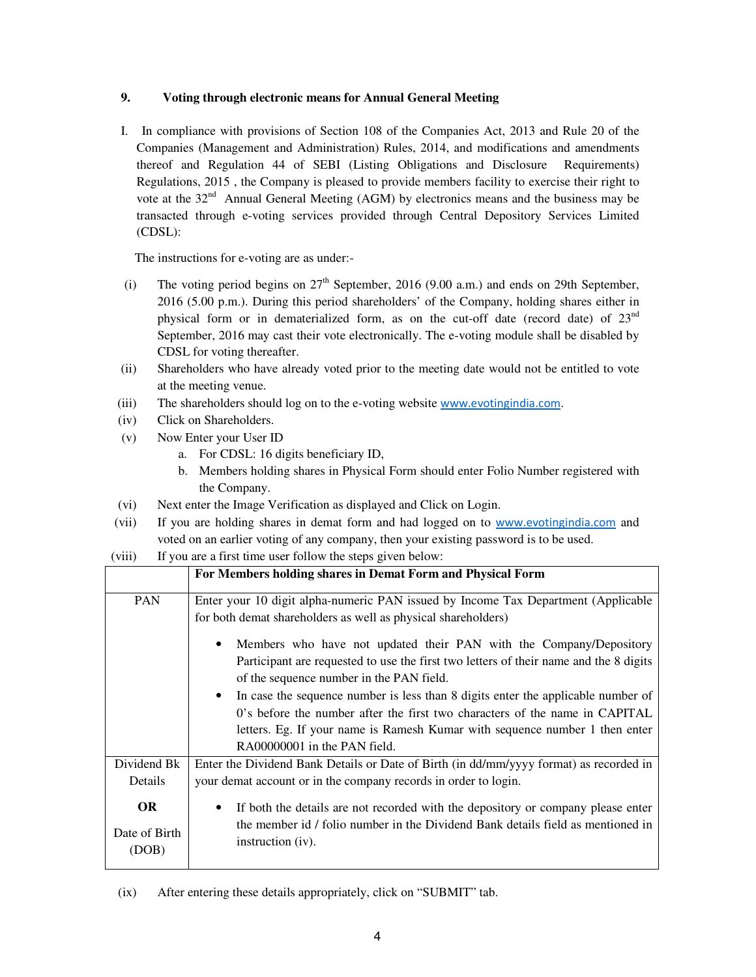# **9. Voting through electronic means for Annual General Meeting**

I. In compliance with provisions of Section 108 of the Companies Act, 2013 and Rule 20 of the Companies (Management and Administration) Rules, 2014, and modifications and amendments thereof and Regulation 44 of SEBI (Listing Obligations and Disclosure Requirements) Regulations, 2015 , the Company is pleased to provide members facility to exercise their right to vote at the 32<sup>nd</sup> Annual General Meeting (AGM) by electronics means and the business may be transacted through e-voting services provided through Central Depository Services Limited (CDSL):

The instructions for e-voting are as under:-

- (i) The voting period begins on  $27<sup>th</sup>$  September, 2016 (9.00 a.m.) and ends on 29th September, 2016 (5.00 p.m.). During this period shareholders' of the Company, holding shares either in physical form or in dematerialized form, as on the cut-off date (record date) of  $23<sup>nd</sup>$ September, 2016 may cast their vote electronically. The e-voting module shall be disabled by CDSL for voting thereafter.
- (ii) Shareholders who have already voted prior to the meeting date would not be entitled to vote at the meeting venue.
- (iii) The shareholders should log on to the e-voting website www.evotingindia.com.
- (iv) Click on Shareholders.
- (v) Now Enter your User ID
	- a. For CDSL: 16 digits beneficiary ID,
	- b. Members holding shares in Physical Form should enter Folio Number registered with the Company.
- (vi) Next enter the Image Verification as displayed and Click on Login.
- (vii) If you are holding shares in demat form and had logged on to www.evotingindia.com and voted on an earlier voting of any company, then your existing password is to be used.
- (viii) If you are a first time user follow the steps given below:

|                                     | For Members holding shares in Demat Form and Physical Form                                                                                                                                                                                                                                                                                                                                                                                                                                             |
|-------------------------------------|--------------------------------------------------------------------------------------------------------------------------------------------------------------------------------------------------------------------------------------------------------------------------------------------------------------------------------------------------------------------------------------------------------------------------------------------------------------------------------------------------------|
| <b>PAN</b>                          | Enter your 10 digit alpha-numeric PAN issued by Income Tax Department (Applicable<br>for both demat shareholders as well as physical shareholders)                                                                                                                                                                                                                                                                                                                                                     |
|                                     | Members who have not updated their PAN with the Company/Depository<br>Participant are requested to use the first two letters of their name and the 8 digits<br>of the sequence number in the PAN field.<br>In case the sequence number is less than 8 digits enter the applicable number of<br>$\bullet$<br>0's before the number after the first two characters of the name in CAPITAL<br>letters. Eg. If your name is Ramesh Kumar with sequence number 1 then enter<br>RA00000001 in the PAN field. |
| Dividend Bk                         | Enter the Dividend Bank Details or Date of Birth (in dd/mm/yyyy format) as recorded in                                                                                                                                                                                                                                                                                                                                                                                                                 |
| Details                             | your demat account or in the company records in order to login.                                                                                                                                                                                                                                                                                                                                                                                                                                        |
| <b>OR</b><br>Date of Birth<br>(DOB) | If both the details are not recorded with the depository or company please enter<br>٠<br>the member id / folio number in the Dividend Bank details field as mentioned in<br>instruction (iv).                                                                                                                                                                                                                                                                                                          |

(ix) After entering these details appropriately, click on "SUBMIT" tab.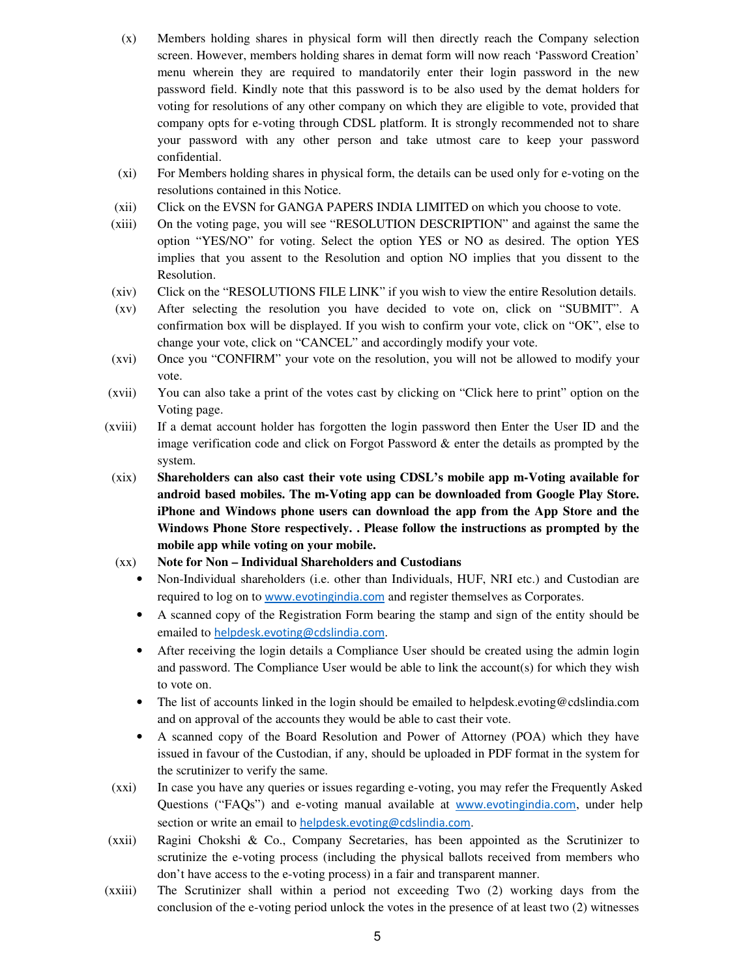- (x) Members holding shares in physical form will then directly reach the Company selection screen. However, members holding shares in demat form will now reach 'Password Creation' menu wherein they are required to mandatorily enter their login password in the new password field. Kindly note that this password is to be also used by the demat holders for voting for resolutions of any other company on which they are eligible to vote, provided that company opts for e-voting through CDSL platform. It is strongly recommended not to share your password with any other person and take utmost care to keep your password confidential.
- (xi) For Members holding shares in physical form, the details can be used only for e-voting on the resolutions contained in this Notice.
- (xii) Click on the EVSN for GANGA PAPERS INDIA LIMITED on which you choose to vote.
- (xiii) On the voting page, you will see "RESOLUTION DESCRIPTION" and against the same the option "YES/NO" for voting. Select the option YES or NO as desired. The option YES implies that you assent to the Resolution and option NO implies that you dissent to the Resolution.
- (xiv) Click on the "RESOLUTIONS FILE LINK" if you wish to view the entire Resolution details.
- (xv) After selecting the resolution you have decided to vote on, click on "SUBMIT". A confirmation box will be displayed. If you wish to confirm your vote, click on "OK", else to change your vote, click on "CANCEL" and accordingly modify your vote.
- (xvi) Once you "CONFIRM" your vote on the resolution, you will not be allowed to modify your vote.
- (xvii) You can also take a print of the votes cast by clicking on "Click here to print" option on the Voting page.
- (xviii) If a demat account holder has forgotten the login password then Enter the User ID and the image verification code and click on Forgot Password  $\&$  enter the details as prompted by the system.
- (xix) **Shareholders can also cast their vote using CDSL's mobile app m-Voting available for android based mobiles. The m-Voting app can be downloaded from Google Play Store. iPhone and Windows phone users can download the app from the App Store and the Windows Phone Store respectively. . Please follow the instructions as prompted by the mobile app while voting on your mobile.**
- (xx) **Note for Non Individual Shareholders and Custodians** 
	- Non-Individual shareholders (i.e. other than Individuals, HUF, NRI etc.) and Custodian are required to log on to www.evotingindia.com and register themselves as Corporates.
	- A scanned copy of the Registration Form bearing the stamp and sign of the entity should be emailed to helpdesk.evoting@cdslindia.com.
	- After receiving the login details a Compliance User should be created using the admin login and password. The Compliance User would be able to link the account(s) for which they wish to vote on.
	- The list of accounts linked in the login should be emailed to helpdesk.evoting@cdslindia.com and on approval of the accounts they would be able to cast their vote.
	- A scanned copy of the Board Resolution and Power of Attorney (POA) which they have issued in favour of the Custodian, if any, should be uploaded in PDF format in the system for the scrutinizer to verify the same.
- (xxi) In case you have any queries or issues regarding e-voting, you may refer the Frequently Asked Questions ("FAQs") and e-voting manual available at www.evotingindia.com, under help section or write an email to helpdesk.evoting@cdslindia.com.
- (xxii) Ragini Chokshi & Co., Company Secretaries, has been appointed as the Scrutinizer to scrutinize the e-voting process (including the physical ballots received from members who don't have access to the e-voting process) in a fair and transparent manner.
- (xxiii) The Scrutinizer shall within a period not exceeding Two (2) working days from the conclusion of the e-voting period unlock the votes in the presence of at least two (2) witnesses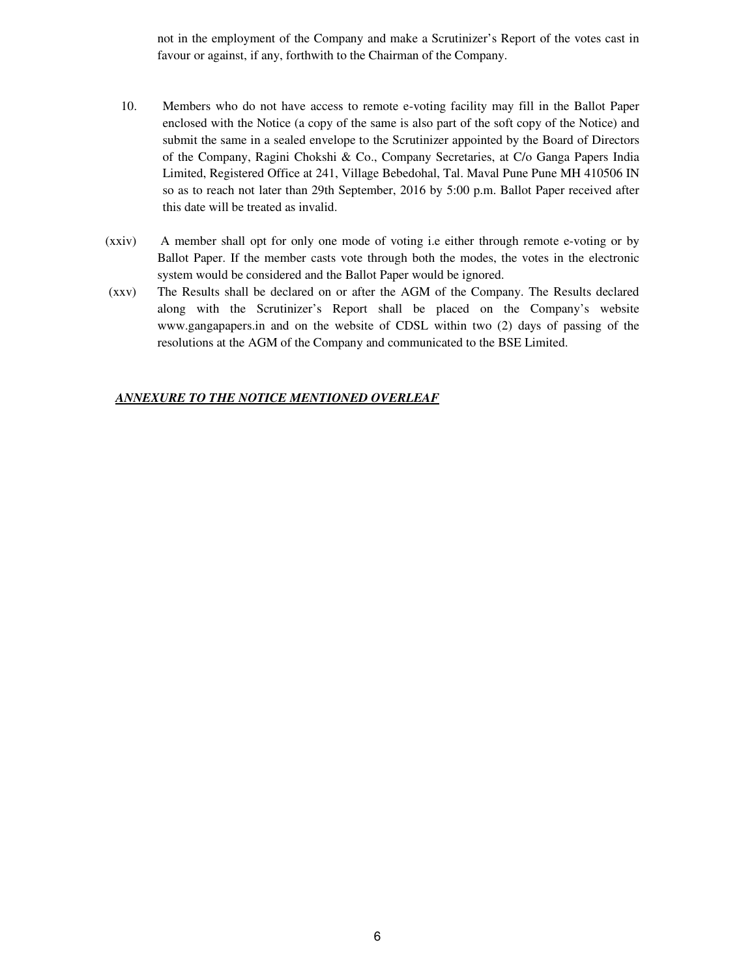not in the employment of the Company and make a Scrutinizer's Report of the votes cast in favour or against, if any, forthwith to the Chairman of the Company.

- 10. Members who do not have access to remote e-voting facility may fill in the Ballot Paper enclosed with the Notice (a copy of the same is also part of the soft copy of the Notice) and submit the same in a sealed envelope to the Scrutinizer appointed by the Board of Directors of the Company, Ragini Chokshi & Co., Company Secretaries, at C/o Ganga Papers India Limited, Registered Office at 241, Village Bebedohal, Tal. Maval Pune Pune MH 410506 IN so as to reach not later than 29th September, 2016 by 5:00 p.m. Ballot Paper received after this date will be treated as invalid.
- (xxiv) A member shall opt for only one mode of voting i.e either through remote e-voting or by Ballot Paper. If the member casts vote through both the modes, the votes in the electronic system would be considered and the Ballot Paper would be ignored.
- (xxv) The Results shall be declared on or after the AGM of the Company. The Results declared along with the Scrutinizer's Report shall be placed on the Company's website www.gangapapers.in and on the website of CDSL within two (2) days of passing of the resolutions at the AGM of the Company and communicated to the BSE Limited.

#### *ANNEXURE TO THE NOTICE MENTIONED OVERLEAF*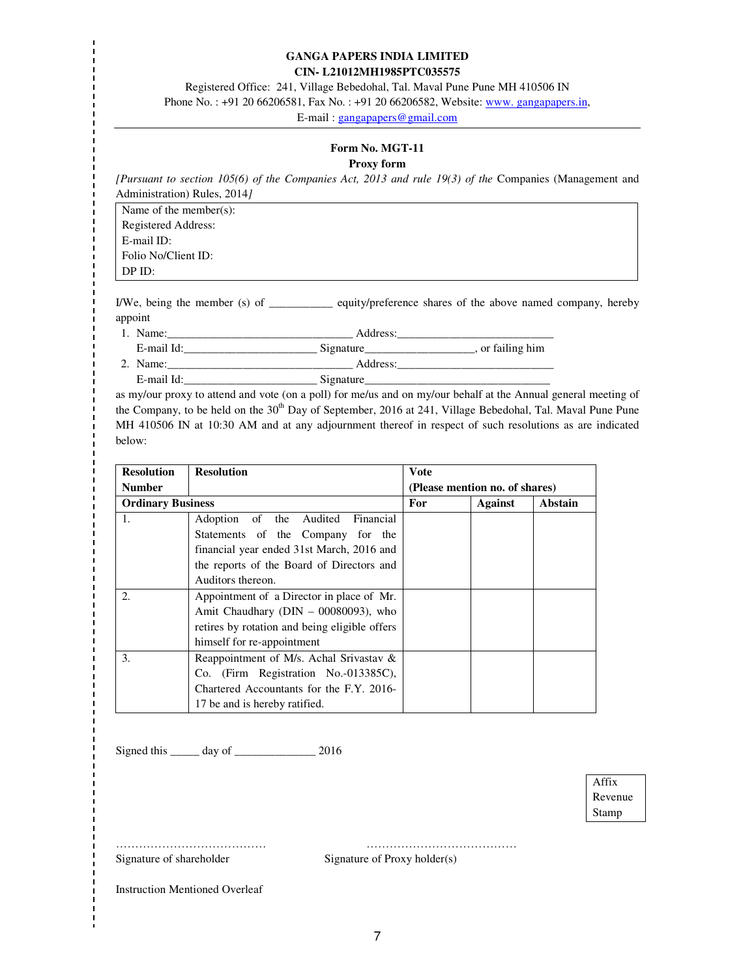#### **GANGA PAPERS INDIA LIMITED CIN- L21012MH1985PTC035575**

Registered Office: 241, Village Bebedohal, Tal. Maval Pune Pune MH 410506 IN Phone No.: +91 20 66206581, Fax No.: +91 20 66206582, Website: www. gangapapers.in,

E-mail : gangapapers@gmail.com

# **Form No. MGT-11**

#### **Proxy form**

*[Pursuant to section 105(6) of the Companies Act, 2013 and rule 19(3) of the* Companies (Management and Administration) Rules, 2014*]*

Name of the member(s): Registered Address: E-mail ID: Folio No/Client ID: DP ID:

I/We, being the member (s) of \_\_\_\_\_\_\_\_\_\_\_ equity/preference shares of the above named company, hereby appoint

1. Name:\_\_\_\_\_\_\_\_\_\_\_\_\_\_\_\_\_\_\_\_\_\_\_\_\_\_\_\_\_\_\_\_ Address:\_\_\_\_\_\_\_\_\_\_\_\_\_\_\_\_\_\_\_\_\_\_\_\_\_\_\_

E-mail Id:\_\_\_\_\_\_\_\_\_\_\_\_\_\_\_\_\_\_\_\_\_\_\_ Signature\_\_\_\_\_\_\_\_\_\_\_\_\_\_\_\_\_\_\_, or failing him

2. Name:\_\_\_\_\_\_\_\_\_\_\_\_\_\_\_\_\_\_\_\_\_\_\_\_\_\_\_\_\_\_\_\_ Address:\_\_\_\_\_\_\_\_\_\_\_\_\_\_\_\_\_\_\_\_\_\_\_\_\_\_\_ E-mail Id:\_\_\_\_\_\_\_\_\_\_\_\_\_\_\_\_\_\_\_\_\_\_\_\_\_\_\_\_\_\_\_\_\_\_Signature\_\_\_\_\_\_\_\_\_\_\_\_\_\_\_\_\_\_\_\_\_\_\_\_\_\_\_\_

as my/our proxy to attend and vote (on a poll) for me/us and on my/our behalf at the Annual general meeting of the Company, to be held on the  $30<sup>th</sup>$  Day of September, 2016 at 241, Village Bebedohal, Tal. Maval Pune Pune MH 410506 IN at 10:30 AM and at any adjournment thereof in respect of such resolutions as are indicated below:

| <b>Resolution</b>        | <b>Resolution</b>                             | <b>V</b> ote |                                |         |
|--------------------------|-----------------------------------------------|--------------|--------------------------------|---------|
| <b>Number</b>            |                                               |              | (Please mention no. of shares) |         |
| <b>Ordinary Business</b> |                                               | For          | <b>Against</b>                 | Abstain |
| 1.                       | Adoption of the Audited<br>Financial          |              |                                |         |
|                          | Statements of the Company for the             |              |                                |         |
|                          | financial year ended 31st March, 2016 and     |              |                                |         |
|                          | the reports of the Board of Directors and     |              |                                |         |
|                          | Auditors thereon.                             |              |                                |         |
| 2.                       | Appointment of a Director in place of Mr.     |              |                                |         |
|                          | Amit Chaudhary ( $DIN - 00080093$ ), who      |              |                                |         |
|                          | retires by rotation and being eligible offers |              |                                |         |
|                          | himself for re-appointment                    |              |                                |         |
| 3.                       | Reappointment of M/s. Achal Srivastav &       |              |                                |         |
|                          | Co. (Firm Registration No.-013385C),          |              |                                |         |
|                          | Chartered Accountants for the F.Y. 2016-      |              |                                |         |
|                          | 17 be and is hereby ratified.                 |              |                                |         |

Signed this \_\_\_\_\_ day of \_\_\_\_\_\_\_\_\_\_\_\_\_\_ 2016

Affix Revenue Stamp

Signature of shareholder Signature of Proxy holder(s)

………………………………… …………………………………

Instruction Mentioned Overleaf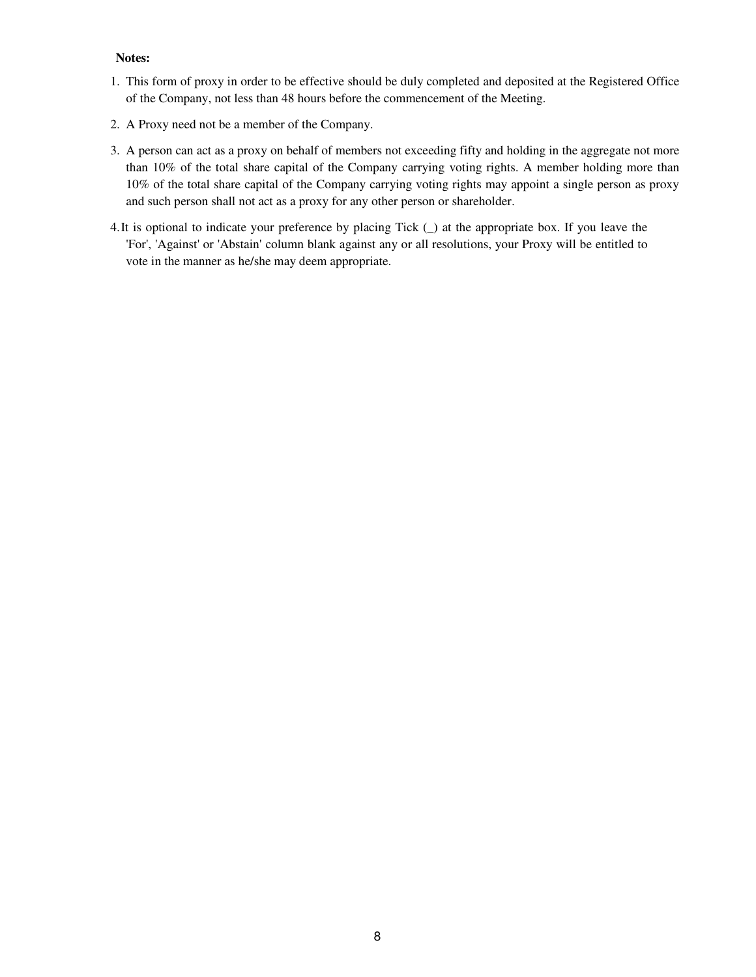#### **Notes:**

- 1. This form of proxy in order to be effective should be duly completed and deposited at the Registered Office of the Company, not less than 48 hours before the commencement of the Meeting.
- 2. A Proxy need not be a member of the Company.
- 3. A person can act as a proxy on behalf of members not exceeding fifty and holding in the aggregate not more than 10% of the total share capital of the Company carrying voting rights. A member holding more than 10% of the total share capital of the Company carrying voting rights may appoint a single person as proxy and such person shall not act as a proxy for any other person or shareholder.
- 4.It is optional to indicate your preference by placing Tick (\_) at the appropriate box. If you leave the 'For', 'Against' or 'Abstain' column blank against any or all resolutions, your Proxy will be entitled to vote in the manner as he/she may deem appropriate.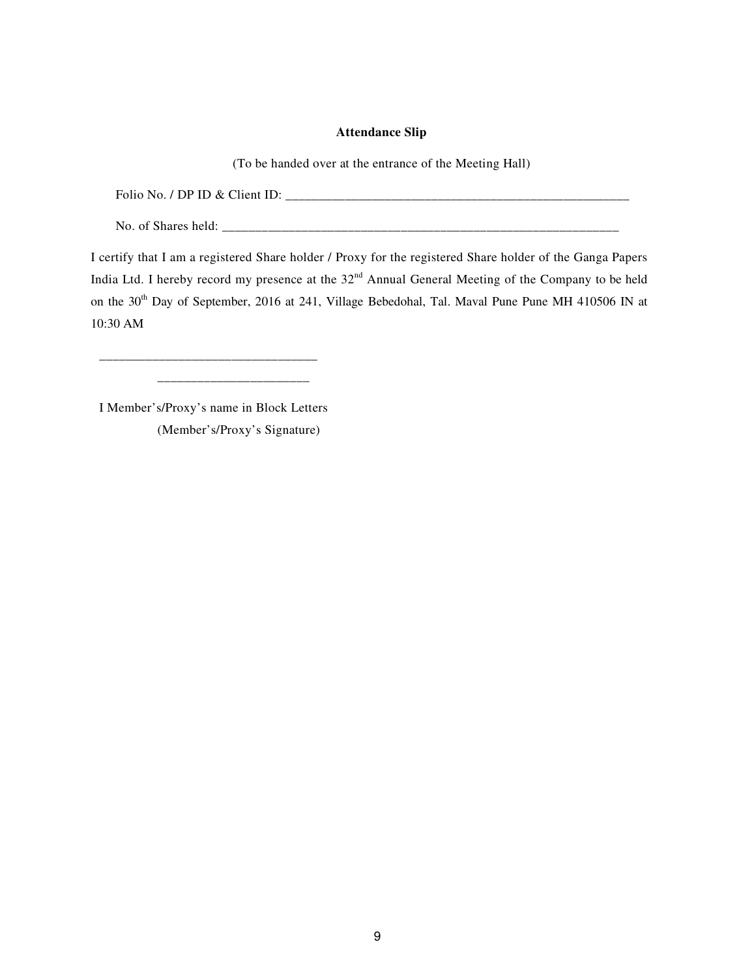### **Attendance Slip**

(To be handed over at the entrance of the Meeting Hall)

Folio No. / DP ID & Client ID: \_\_\_\_\_\_\_\_\_\_\_\_\_\_\_\_\_\_\_\_\_\_\_\_\_\_\_\_\_\_\_\_\_\_\_\_\_\_\_\_\_\_\_\_\_\_\_\_\_\_\_\_

No. of Shares held: \_\_\_\_\_\_\_\_\_\_\_\_\_\_\_\_\_\_\_\_\_\_\_\_\_\_\_\_\_\_\_\_\_\_\_\_\_\_\_\_\_\_\_\_\_\_\_\_\_\_\_\_\_\_\_\_\_\_\_\_

I certify that I am a registered Share holder / Proxy for the registered Share holder of the Ganga Papers India Ltd. I hereby record my presence at the 32<sup>nd</sup> Annual General Meeting of the Company to be held on the 30<sup>th</sup> Day of September, 2016 at 241, Village Bebedohal, Tal. Maval Pune Pune MH 410506 IN at 10:30 AM

I Member's/Proxy's name in Block Letters (Member's/Proxy's Signature)

\_\_\_\_\_\_\_\_\_\_\_\_\_\_\_\_\_\_\_\_\_\_\_\_\_\_\_\_\_\_\_\_\_ \_\_\_\_\_\_\_\_\_\_\_\_\_\_\_\_\_\_\_\_\_\_\_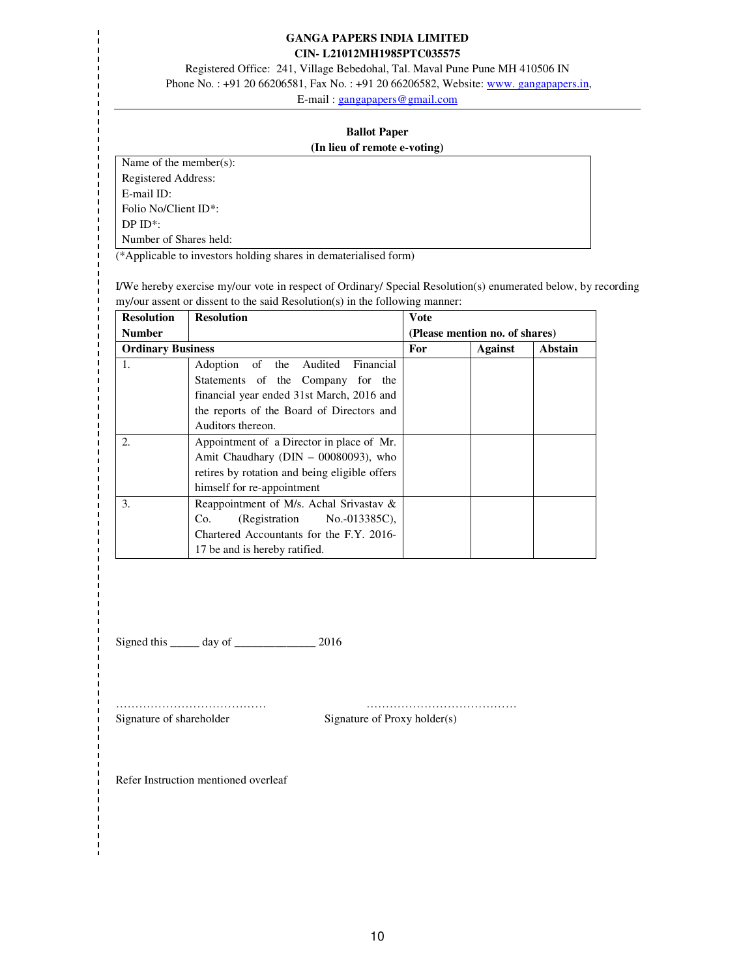#### **GANGA PAPERS INDIA LIMITED CIN- L21012MH1985PTC035575**

Registered Office: 241, Village Bebedohal, Tal. Maval Pune Pune MH 410506 IN

Phone No.: +91 20 66206581, Fax No.: +91 20 66206582, Website: www. gangapapers.in,

E-mail : gangapapers@gmail.com

#### **Ballot Paper (In lieu of remote e-voting)**

Name of the member(s):

Registered Address:

E-mail ID:

Folio No/Client ID\*:

DP ID\*:

Number of Shares held:

(\*Applicable to investors holding shares in dematerialised form)

I/We hereby exercise my/our vote in respect of Ordinary/ Special Resolution(s) enumerated below, by recording my/our assent or dissent to the said Resolution(s) in the following manner:

| <b>Resolution</b>        | <b>Resolution</b>                             | Vote |                                |         |
|--------------------------|-----------------------------------------------|------|--------------------------------|---------|
| <b>Number</b>            |                                               |      | (Please mention no. of shares) |         |
| <b>Ordinary Business</b> |                                               | For  | Against                        | Abstain |
| -1.                      | Adoption of the Audited Financial             |      |                                |         |
|                          | Statements of the Company for the             |      |                                |         |
|                          | financial year ended 31st March, 2016 and     |      |                                |         |
|                          | the reports of the Board of Directors and     |      |                                |         |
|                          | Auditors thereon.                             |      |                                |         |
| 2.                       | Appointment of a Director in place of Mr.     |      |                                |         |
|                          | Amit Chaudhary ( $DIN - 00080093$ ), who      |      |                                |         |
|                          | retires by rotation and being eligible offers |      |                                |         |
|                          | himself for re-appointment                    |      |                                |         |
| 3.                       | Reappointment of M/s. Achal Srivastav $\&$    |      |                                |         |
|                          | $(Registration$ No.-013385C),<br>Co.          |      |                                |         |
|                          | Chartered Accountants for the F.Y. 2016-      |      |                                |         |
|                          | 17 be and is hereby ratified.                 |      |                                |         |

Signed this \_\_\_\_\_\_ day of \_\_\_\_\_\_\_\_\_\_\_\_\_\_\_\_ 2016

Signature of shareholder Signature of Proxy holder(s)

………………………………… …………………………………

Refer Instruction mentioned overleaf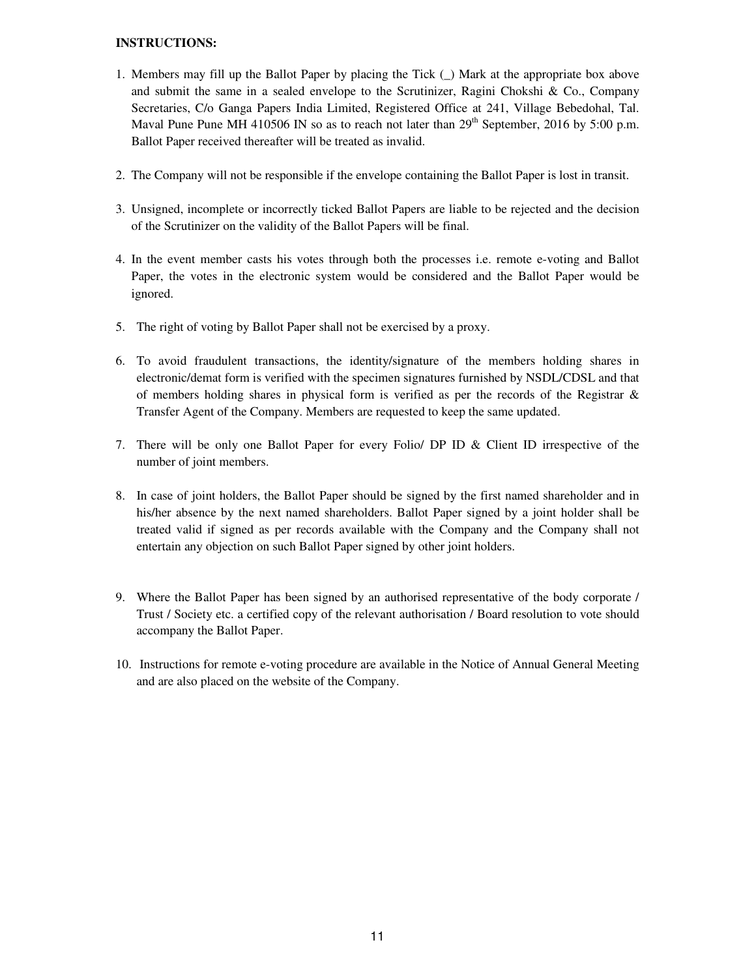### **INSTRUCTIONS:**

- 1. Members may fill up the Ballot Paper by placing the Tick (\_) Mark at the appropriate box above and submit the same in a sealed envelope to the Scrutinizer, Ragini Chokshi & Co., Company Secretaries, C/o Ganga Papers India Limited, Registered Office at 241, Village Bebedohal, Tal. Maval Pune Pune MH 410506 IN so as to reach not later than  $29<sup>th</sup>$  September, 2016 by 5:00 p.m. Ballot Paper received thereafter will be treated as invalid.
- 2. The Company will not be responsible if the envelope containing the Ballot Paper is lost in transit.
- 3. Unsigned, incomplete or incorrectly ticked Ballot Papers are liable to be rejected and the decision of the Scrutinizer on the validity of the Ballot Papers will be final.
- 4. In the event member casts his votes through both the processes i.e. remote e-voting and Ballot Paper, the votes in the electronic system would be considered and the Ballot Paper would be ignored.
- 5. The right of voting by Ballot Paper shall not be exercised by a proxy.
- 6. To avoid fraudulent transactions, the identity/signature of the members holding shares in electronic/demat form is verified with the specimen signatures furnished by NSDL/CDSL and that of members holding shares in physical form is verified as per the records of the Registrar  $\&$ Transfer Agent of the Company. Members are requested to keep the same updated.
- 7. There will be only one Ballot Paper for every Folio/ DP ID & Client ID irrespective of the number of joint members.
- 8. In case of joint holders, the Ballot Paper should be signed by the first named shareholder and in his/her absence by the next named shareholders. Ballot Paper signed by a joint holder shall be treated valid if signed as per records available with the Company and the Company shall not entertain any objection on such Ballot Paper signed by other joint holders.
- 9. Where the Ballot Paper has been signed by an authorised representative of the body corporate / Trust / Society etc. a certified copy of the relevant authorisation / Board resolution to vote should accompany the Ballot Paper.
- 10. Instructions for remote e-voting procedure are available in the Notice of Annual General Meeting and are also placed on the website of the Company.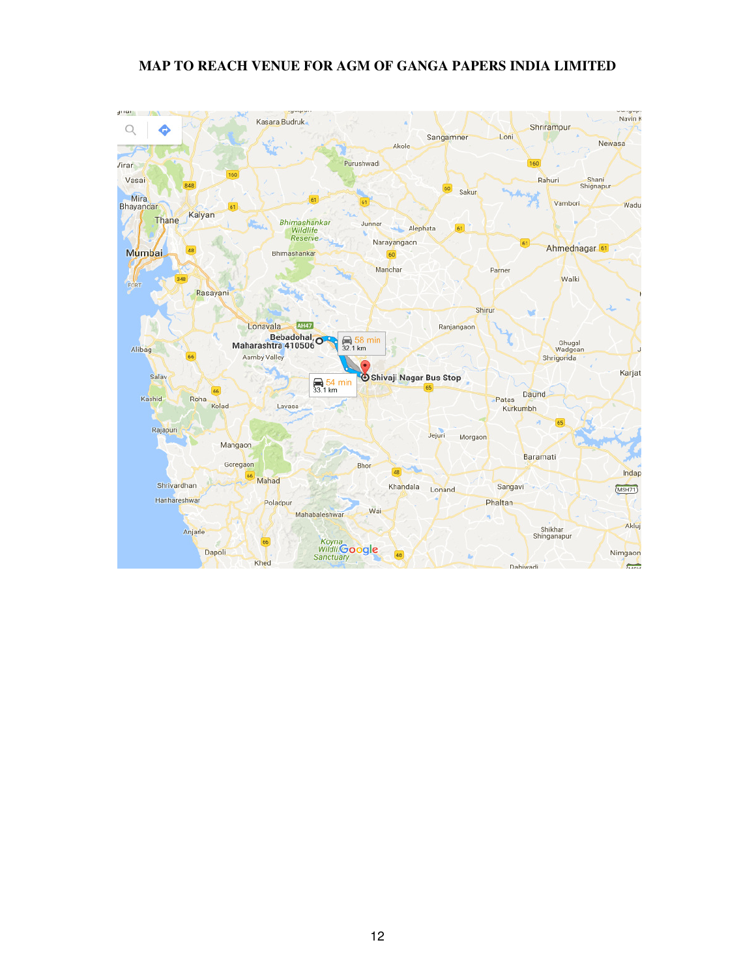# **MAP TO REACH VENUE FOR AGM OF GANGA PAPERS INDIA LIMITED**

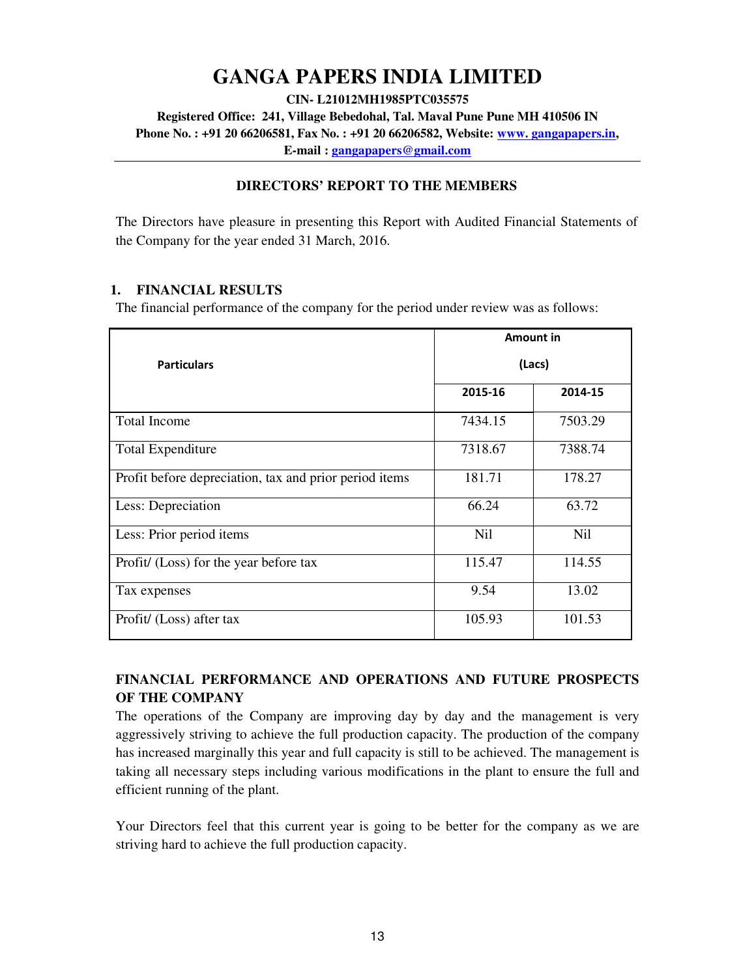# **GANGA PAPERS INDIA LIMITED**

**CIN- L21012MH1985PTC035575** 

**Registered Office: 241, Village Bebedohal, Tal. Maval Pune Pune MH 410506 IN** 

**Phone No. : +91 20 66206581, Fax No. : +91 20 66206582, Website: www. gangapapers.in,** 

**E-mail : gangapapers@gmail.com**

# **DIRECTORS' REPORT TO THE MEMBERS**

The Directors have pleasure in presenting this Report with Audited Financial Statements of the Company for the year ended 31 March, 2016.

# **1. FINANCIAL RESULTS**

The financial performance of the company for the period under review was as follows:

|                                                        |            | Amount in  |
|--------------------------------------------------------|------------|------------|
| <b>Particulars</b>                                     |            | (Lacs)     |
|                                                        | 2015-16    | 2014-15    |
| <b>Total Income</b>                                    | 7434.15    | 7503.29    |
| <b>Total Expenditure</b>                               | 7318.67    | 7388.74    |
| Profit before depreciation, tax and prior period items | 181.71     | 178.27     |
| Less: Depreciation                                     | 66.24      | 63.72      |
| Less: Prior period items                               | <b>Nil</b> | <b>Nil</b> |
| Profit/ (Loss) for the year before tax                 | 115.47     | 114.55     |
| Tax expenses                                           | 9.54       | 13.02      |
| Profit/ (Loss) after tax                               | 105.93     | 101.53     |

# **FINANCIAL PERFORMANCE AND OPERATIONS AND FUTURE PROSPECTS OF THE COMPANY**

The operations of the Company are improving day by day and the management is very aggressively striving to achieve the full production capacity. The production of the company has increased marginally this year and full capacity is still to be achieved. The management is taking all necessary steps including various modifications in the plant to ensure the full and efficient running of the plant.

Your Directors feel that this current year is going to be better for the company as we are striving hard to achieve the full production capacity.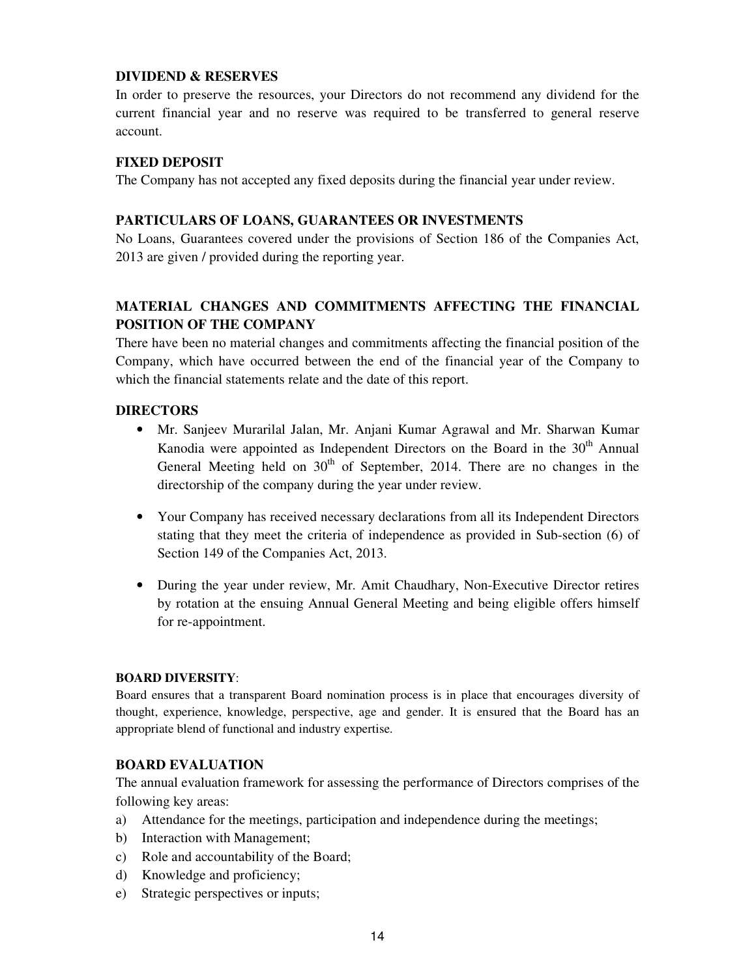# **DIVIDEND & RESERVES**

In order to preserve the resources, your Directors do not recommend any dividend for the current financial year and no reserve was required to be transferred to general reserve account.

# **FIXED DEPOSIT**

The Company has not accepted any fixed deposits during the financial year under review.

# **PARTICULARS OF LOANS, GUARANTEES OR INVESTMENTS**

No Loans, Guarantees covered under the provisions of Section 186 of the Companies Act, 2013 are given / provided during the reporting year.

# **MATERIAL CHANGES AND COMMITMENTS AFFECTING THE FINANCIAL POSITION OF THE COMPANY**

There have been no material changes and commitments affecting the financial position of the Company, which have occurred between the end of the financial year of the Company to which the financial statements relate and the date of this report.

# **DIRECTORS**

- Mr. Sanjeev Murarilal Jalan, Mr. Anjani Kumar Agrawal and Mr. Sharwan Kumar Kanodia were appointed as Independent Directors on the Board in the 30<sup>th</sup> Annual General Meeting held on  $30<sup>th</sup>$  of September, 2014. There are no changes in the directorship of the company during the year under review.
- Your Company has received necessary declarations from all its Independent Directors stating that they meet the criteria of independence as provided in Sub-section (6) of Section 149 of the Companies Act, 2013.
- During the year under review, Mr. Amit Chaudhary, Non-Executive Director retires by rotation at the ensuing Annual General Meeting and being eligible offers himself for re-appointment.

# **BOARD DIVERSITY**:

Board ensures that a transparent Board nomination process is in place that encourages diversity of thought, experience, knowledge, perspective, age and gender. It is ensured that the Board has an appropriate blend of functional and industry expertise.

# **BOARD EVALUATION**

The annual evaluation framework for assessing the performance of Directors comprises of the following key areas:

- a) Attendance for the meetings, participation and independence during the meetings;
- b) Interaction with Management;
- c) Role and accountability of the Board;
- d) Knowledge and proficiency;
- e) Strategic perspectives or inputs;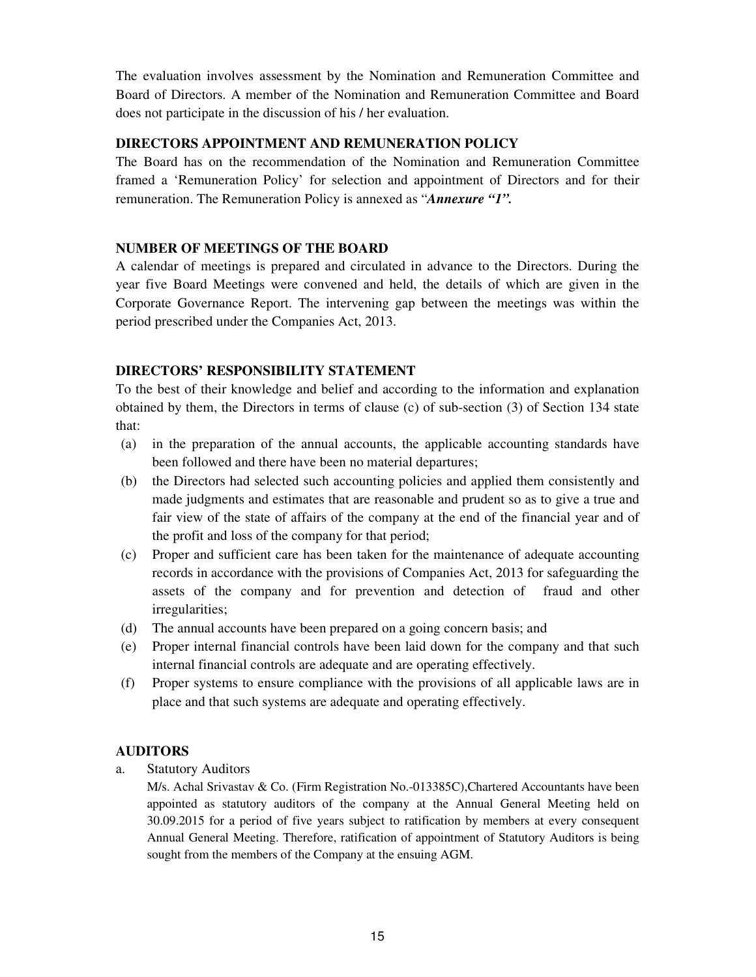The evaluation involves assessment by the Nomination and Remuneration Committee and Board of Directors. A member of the Nomination and Remuneration Committee and Board does not participate in the discussion of his / her evaluation.

# **DIRECTORS APPOINTMENT AND REMUNERATION POLICY**

The Board has on the recommendation of the Nomination and Remuneration Committee framed a 'Remuneration Policy' for selection and appointment of Directors and for their remuneration. The Remuneration Policy is annexed as "*Annexure "1".*

# **NUMBER OF MEETINGS OF THE BOARD**

A calendar of meetings is prepared and circulated in advance to the Directors. During the year five Board Meetings were convened and held, the details of which are given in the Corporate Governance Report. The intervening gap between the meetings was within the period prescribed under the Companies Act, 2013.

# **DIRECTORS' RESPONSIBILITY STATEMENT**

To the best of their knowledge and belief and according to the information and explanation obtained by them, the Directors in terms of clause (c) of sub-section (3) of Section 134 state that:

- (a) in the preparation of the annual accounts, the applicable accounting standards have been followed and there have been no material departures;
- (b) the Directors had selected such accounting policies and applied them consistently and made judgments and estimates that are reasonable and prudent so as to give a true and fair view of the state of affairs of the company at the end of the financial year and of the profit and loss of the company for that period;
- (c) Proper and sufficient care has been taken for the maintenance of adequate accounting records in accordance with the provisions of Companies Act, 2013 for safeguarding the assets of the company and for prevention and detection of fraud and other irregularities;
- (d) The annual accounts have been prepared on a going concern basis; and
- (e) Proper internal financial controls have been laid down for the company and that such internal financial controls are adequate and are operating effectively.
- (f) Proper systems to ensure compliance with the provisions of all applicable laws are in place and that such systems are adequate and operating effectively.

# **AUDITORS**

a. Statutory Auditors

M/s. Achal Srivastav & Co. (Firm Registration No.-013385C),Chartered Accountants have been appointed as statutory auditors of the company at the Annual General Meeting held on 30.09.2015 for a period of five years subject to ratification by members at every consequent Annual General Meeting. Therefore, ratification of appointment of Statutory Auditors is being sought from the members of the Company at the ensuing AGM.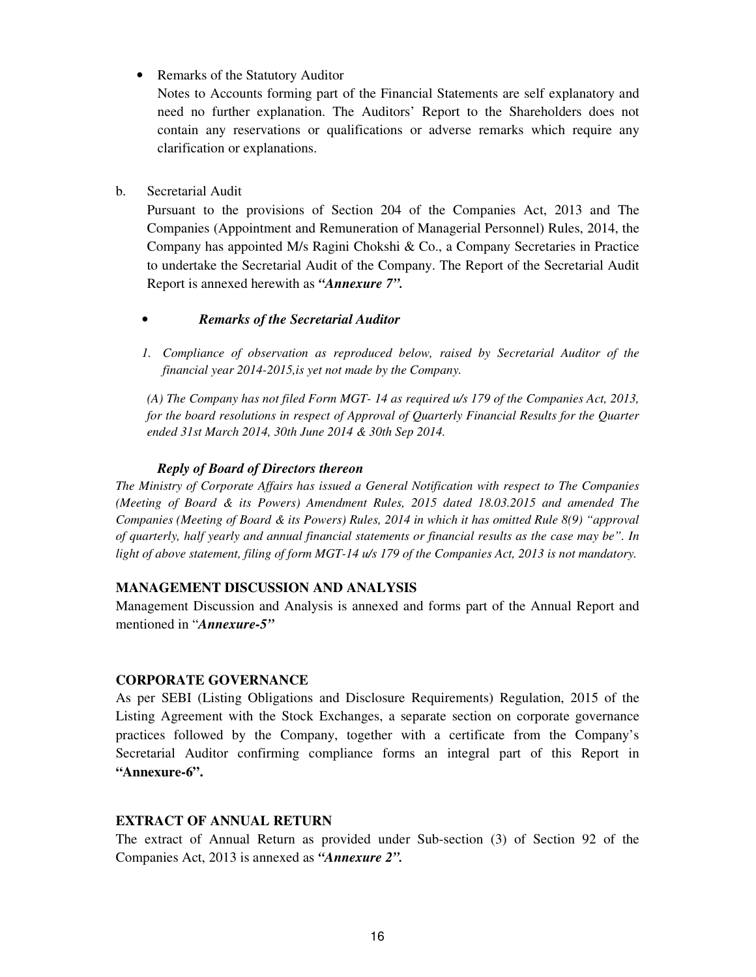• Remarks of the Statutory Auditor

 Notes to Accounts forming part of the Financial Statements are self explanatory and need no further explanation. The Auditors' Report to the Shareholders does not contain any reservations or qualifications or adverse remarks which require any clarification or explanations.

b. Secretarial Audit

Pursuant to the provisions of Section 204 of the Companies Act, 2013 and The Companies (Appointment and Remuneration of Managerial Personnel) Rules, 2014, the Company has appointed M/s Ragini Chokshi & Co., a Company Secretaries in Practice to undertake the Secretarial Audit of the Company. The Report of the Secretarial Audit Report is annexed herewith as *"Annexure 7".*

- *Remarks of the Secretarial Auditor*
- *1. Compliance of observation as reproduced below, raised by Secretarial Auditor of the financial year 2014-2015,is yet not made by the Company.*

*(A) The Company has not filed Form MGT- 14 as required u/s 179 of the Companies Act, 2013, for the board resolutions in respect of Approval of Quarterly Financial Results for the Quarter ended 31st March 2014, 30th June 2014 & 30th Sep 2014.* 

# *Reply of Board of Directors thereon*

*The Ministry of Corporate Affairs has issued a General Notification with respect to The Companies (Meeting of Board & its Powers) Amendment Rules, 2015 dated 18.03.2015 and amended The Companies (Meeting of Board & its Powers) Rules, 2014 in which it has omitted Rule 8(9) "approval of quarterly, half yearly and annual financial statements or financial results as the case may be". In light of above statement, filing of form MGT-14 u/s 179 of the Companies Act, 2013 is not mandatory.* 

# **MANAGEMENT DISCUSSION AND ANALYSIS**

Management Discussion and Analysis is annexed and forms part of the Annual Report and mentioned in "*Annexure-5"*

# **CORPORATE GOVERNANCE**

As per SEBI (Listing Obligations and Disclosure Requirements) Regulation, 2015 of the Listing Agreement with the Stock Exchanges, a separate section on corporate governance practices followed by the Company, together with a certificate from the Company's Secretarial Auditor confirming compliance forms an integral part of this Report in **"Annexure-6".** 

# **EXTRACT OF ANNUAL RETURN**

The extract of Annual Return as provided under Sub-section (3) of Section 92 of the Companies Act, 2013 is annexed as *"Annexure 2".*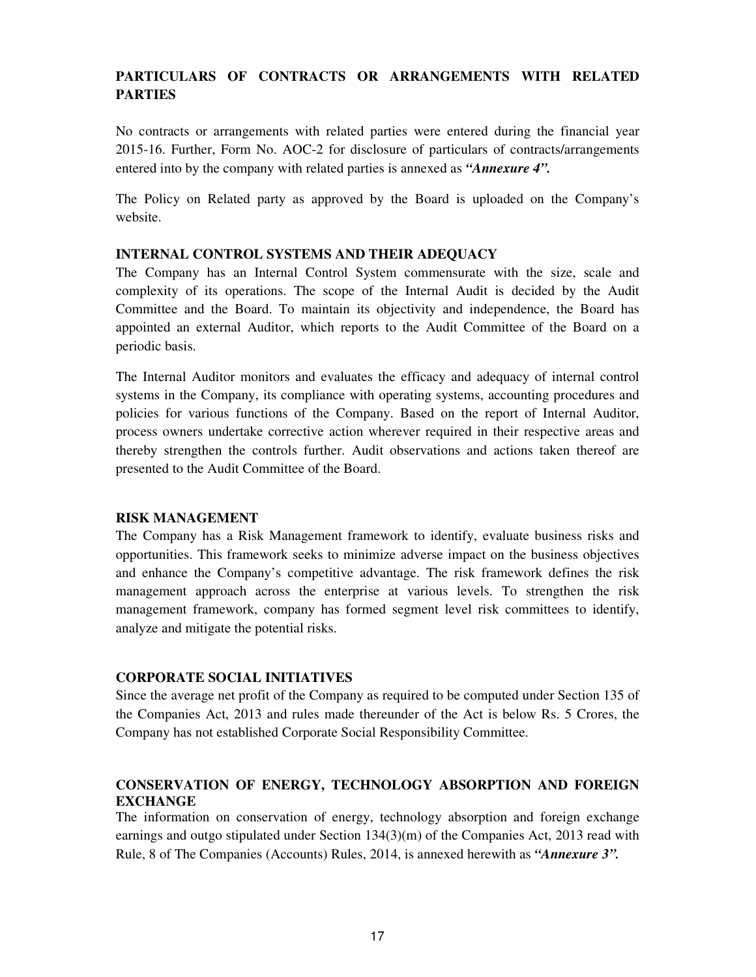# **PARTICULARS OF CONTRACTS OR ARRANGEMENTS WITH RELATED PARTIES**

No contracts or arrangements with related parties were entered during the financial year 2015-16. Further, Form No. AOC-2 for disclosure of particulars of contracts/arrangements entered into by the company with related parties is annexed as *"Annexure 4".*

The Policy on Related party as approved by the Board is uploaded on the Company's website.

# **INTERNAL CONTROL SYSTEMS AND THEIR ADEQUACY**

The Company has an Internal Control System commensurate with the size, scale and complexity of its operations. The scope of the Internal Audit is decided by the Audit Committee and the Board. To maintain its objectivity and independence, the Board has appointed an external Auditor, which reports to the Audit Committee of the Board on a periodic basis.

The Internal Auditor monitors and evaluates the efficacy and adequacy of internal control systems in the Company, its compliance with operating systems, accounting procedures and policies for various functions of the Company. Based on the report of Internal Auditor, process owners undertake corrective action wherever required in their respective areas and thereby strengthen the controls further. Audit observations and actions taken thereof are presented to the Audit Committee of the Board.

# **RISK MANAGEMENT**

The Company has a Risk Management framework to identify, evaluate business risks and opportunities. This framework seeks to minimize adverse impact on the business objectives and enhance the Company's competitive advantage. The risk framework defines the risk management approach across the enterprise at various levels. To strengthen the risk management framework, company has formed segment level risk committees to identify, analyze and mitigate the potential risks.

# **CORPORATE SOCIAL INITIATIVES**

Since the average net profit of the Company as required to be computed under Section 135 of the Companies Act, 2013 and rules made thereunder of the Act is below Rs. 5 Crores, the Company has not established Corporate Social Responsibility Committee.

# **CONSERVATION OF ENERGY, TECHNOLOGY ABSORPTION AND FOREIGN EXCHANGE**

The information on conservation of energy, technology absorption and foreign exchange earnings and outgo stipulated under Section 134(3)(m) of the Companies Act, 2013 read with Rule, 8 of The Companies (Accounts) Rules, 2014, is annexed herewith as *"Annexure 3".*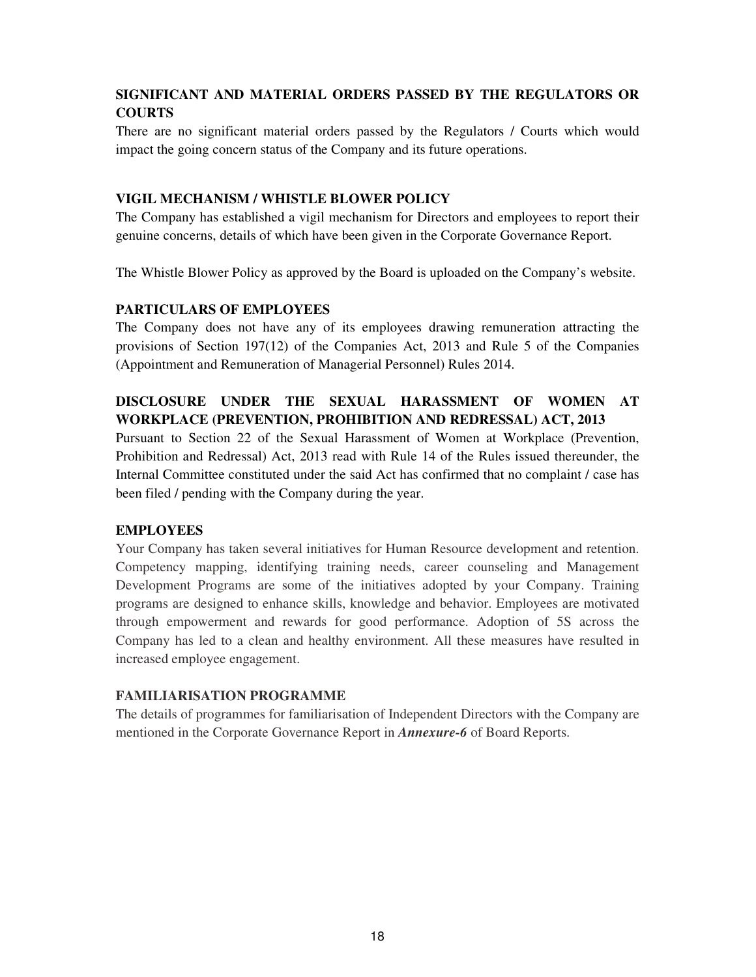# **SIGNIFICANT AND MATERIAL ORDERS PASSED BY THE REGULATORS OR COURTS**

There are no significant material orders passed by the Regulators / Courts which would impact the going concern status of the Company and its future operations.

# **VIGIL MECHANISM / WHISTLE BLOWER POLICY**

The Company has established a vigil mechanism for Directors and employees to report their genuine concerns, details of which have been given in the Corporate Governance Report.

The Whistle Blower Policy as approved by the Board is uploaded on the Company's website.

# **PARTICULARS OF EMPLOYEES**

The Company does not have any of its employees drawing remuneration attracting the provisions of Section 197(12) of the Companies Act, 2013 and Rule 5 of the Companies (Appointment and Remuneration of Managerial Personnel) Rules 2014.

# **DISCLOSURE UNDER THE SEXUAL HARASSMENT OF WOMEN AT WORKPLACE (PREVENTION, PROHIBITION AND REDRESSAL) ACT, 2013**

Pursuant to Section 22 of the Sexual Harassment of Women at Workplace (Prevention, Prohibition and Redressal) Act, 2013 read with Rule 14 of the Rules issued thereunder, the Internal Committee constituted under the said Act has confirmed that no complaint / case has been filed / pending with the Company during the year.

# **EMPLOYEES**

Your Company has taken several initiatives for Human Resource development and retention. Competency mapping, identifying training needs, career counseling and Management Development Programs are some of the initiatives adopted by your Company. Training programs are designed to enhance skills, knowledge and behavior. Employees are motivated through empowerment and rewards for good performance. Adoption of 5S across the Company has led to a clean and healthy environment. All these measures have resulted in increased employee engagement.

# **FAMILIARISATION PROGRAMME**

The details of programmes for familiarisation of Independent Directors with the Company are mentioned in the Corporate Governance Report in *Annexure-6* of Board Reports.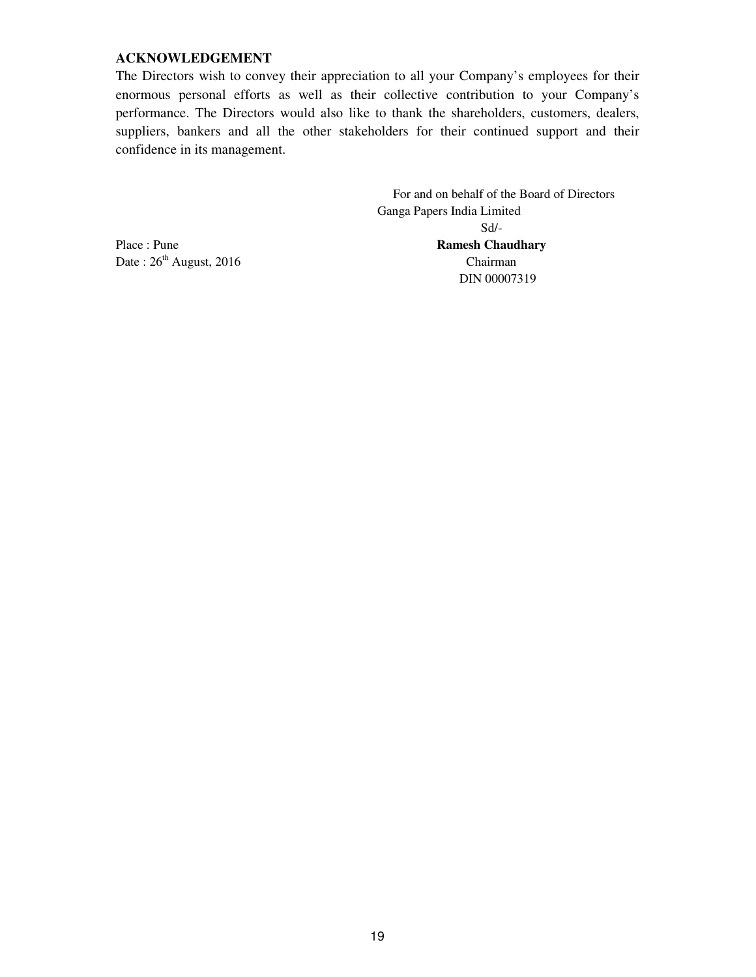# **ACKNOWLEDGEMENT**

The Directors wish to convey their appreciation to all your Company's employees for their enormous personal efforts as well as their collective contribution to your Company's performance. The Directors would also like to thank the shareholders, customers, dealers, suppliers, bankers and all the other stakeholders for their continued support and their confidence in its management.

 For and on behalf of the Board of Directors Ganga Papers India Limited Sd/- Place : Pune **Ramesh Chaudhary**  Date :  $26<sup>th</sup>$  August, 2016 Chairman DIN 00007319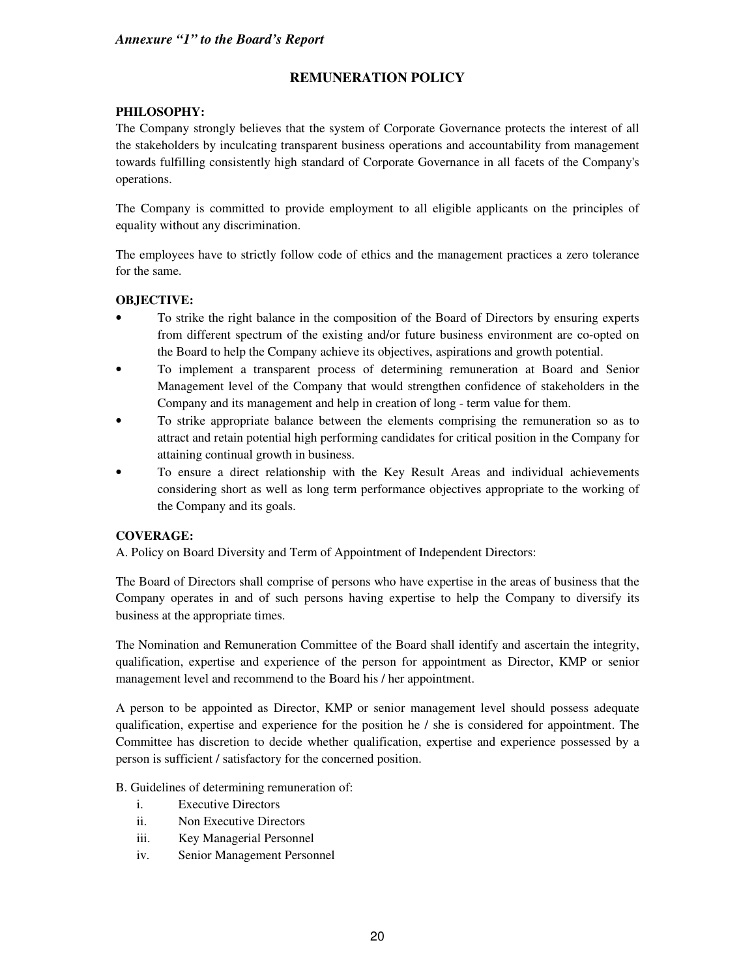# **REMUNERATION POLICY**

# **PHILOSOPHY:**

The Company strongly believes that the system of Corporate Governance protects the interest of all the stakeholders by inculcating transparent business operations and accountability from management towards fulfilling consistently high standard of Corporate Governance in all facets of the Company's operations.

The Company is committed to provide employment to all eligible applicants on the principles of equality without any discrimination.

The employees have to strictly follow code of ethics and the management practices a zero tolerance for the same.

# **OBJECTIVE:**

- To strike the right balance in the composition of the Board of Directors by ensuring experts from different spectrum of the existing and/or future business environment are co-opted on the Board to help the Company achieve its objectives, aspirations and growth potential.
- To implement a transparent process of determining remuneration at Board and Senior Management level of the Company that would strengthen confidence of stakeholders in the Company and its management and help in creation of long - term value for them.
- To strike appropriate balance between the elements comprising the remuneration so as to attract and retain potential high performing candidates for critical position in the Company for attaining continual growth in business.
- To ensure a direct relationship with the Key Result Areas and individual achievements considering short as well as long term performance objectives appropriate to the working of the Company and its goals.

# **COVERAGE:**

A. Policy on Board Diversity and Term of Appointment of Independent Directors:

The Board of Directors shall comprise of persons who have expertise in the areas of business that the Company operates in and of such persons having expertise to help the Company to diversify its business at the appropriate times.

The Nomination and Remuneration Committee of the Board shall identify and ascertain the integrity, qualification, expertise and experience of the person for appointment as Director, KMP or senior management level and recommend to the Board his / her appointment.

A person to be appointed as Director, KMP or senior management level should possess adequate qualification, expertise and experience for the position he / she is considered for appointment. The Committee has discretion to decide whether qualification, expertise and experience possessed by a person is sufficient / satisfactory for the concerned position.

B. Guidelines of determining remuneration of:

- i. Executive Directors
- ii. Non Executive Directors
- iii. Key Managerial Personnel
- iv. Senior Management Personnel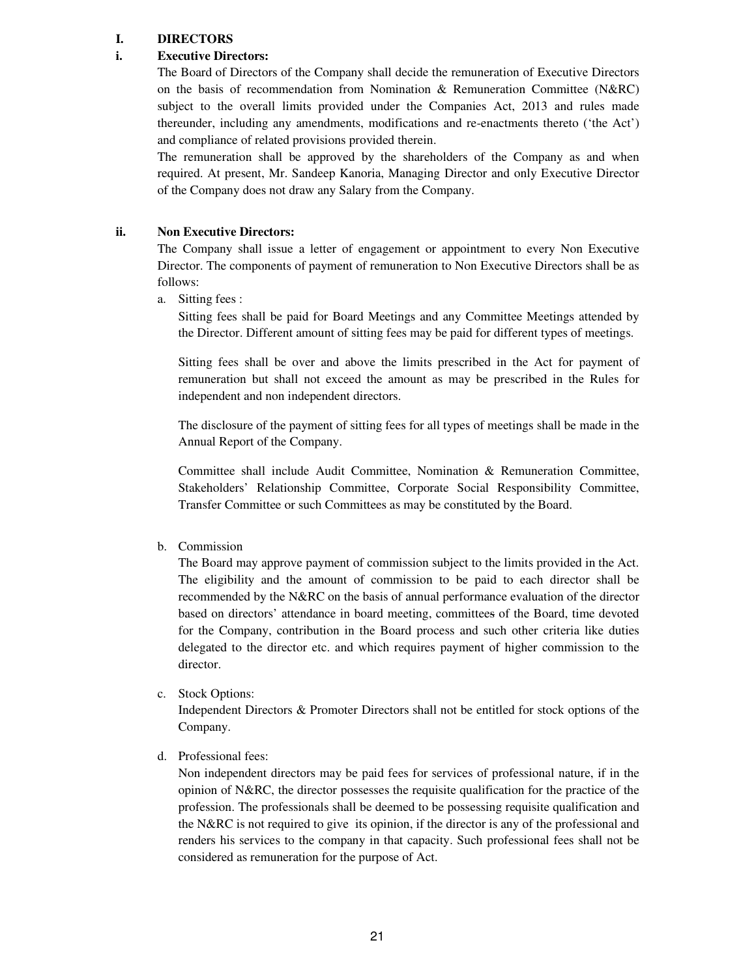### **I. DIRECTORS**

# **i. Executive Directors:**

The Board of Directors of the Company shall decide the remuneration of Executive Directors on the basis of recommendation from Nomination & Remuneration Committee (N&RC) subject to the overall limits provided under the Companies Act, 2013 and rules made thereunder, including any amendments, modifications and re-enactments thereto ('the Act') and compliance of related provisions provided therein.

The remuneration shall be approved by the shareholders of the Company as and when required. At present, Mr. Sandeep Kanoria, Managing Director and only Executive Director of the Company does not draw any Salary from the Company.

#### **ii. Non Executive Directors:**

The Company shall issue a letter of engagement or appointment to every Non Executive Director. The components of payment of remuneration to Non Executive Directors shall be as follows:

a. Sitting fees :

Sitting fees shall be paid for Board Meetings and any Committee Meetings attended by the Director. Different amount of sitting fees may be paid for different types of meetings.

Sitting fees shall be over and above the limits prescribed in the Act for payment of remuneration but shall not exceed the amount as may be prescribed in the Rules for independent and non independent directors.

The disclosure of the payment of sitting fees for all types of meetings shall be made in the Annual Report of the Company.

Committee shall include Audit Committee, Nomination & Remuneration Committee, Stakeholders' Relationship Committee, Corporate Social Responsibility Committee, Transfer Committee or such Committees as may be constituted by the Board.

# b. Commission

The Board may approve payment of commission subject to the limits provided in the Act. The eligibility and the amount of commission to be paid to each director shall be recommended by the N&RC on the basis of annual performance evaluation of the director based on directors' attendance in board meeting, committees of the Board, time devoted for the Company, contribution in the Board process and such other criteria like duties delegated to the director etc. and which requires payment of higher commission to the director.

c. Stock Options:

Independent Directors & Promoter Directors shall not be entitled for stock options of the Company.

d. Professional fees:

Non independent directors may be paid fees for services of professional nature, if in the opinion of N&RC, the director possesses the requisite qualification for the practice of the profession. The professionals shall be deemed to be possessing requisite qualification and the N&RC is not required to give its opinion, if the director is any of the professional and renders his services to the company in that capacity. Such professional fees shall not be considered as remuneration for the purpose of Act.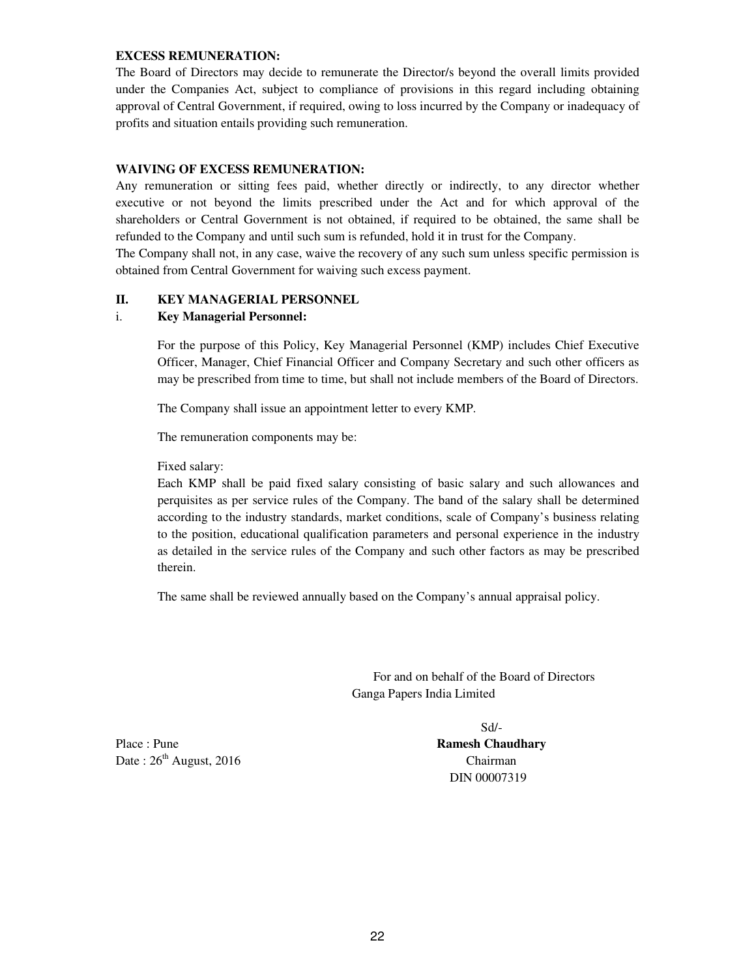#### **EXCESS REMUNERATION:**

The Board of Directors may decide to remunerate the Director/s beyond the overall limits provided under the Companies Act, subject to compliance of provisions in this regard including obtaining approval of Central Government, if required, owing to loss incurred by the Company or inadequacy of profits and situation entails providing such remuneration.

# **WAIVING OF EXCESS REMUNERATION:**

Any remuneration or sitting fees paid, whether directly or indirectly, to any director whether executive or not beyond the limits prescribed under the Act and for which approval of the shareholders or Central Government is not obtained, if required to be obtained, the same shall be refunded to the Company and until such sum is refunded, hold it in trust for the Company.

The Company shall not, in any case, waive the recovery of any such sum unless specific permission is obtained from Central Government for waiving such excess payment.

#### **II. KEY MANAGERIAL PERSONNEL**

#### i. **Key Managerial Personnel:**

For the purpose of this Policy, Key Managerial Personnel (KMP) includes Chief Executive Officer, Manager, Chief Financial Officer and Company Secretary and such other officers as may be prescribed from time to time, but shall not include members of the Board of Directors.

The Company shall issue an appointment letter to every KMP.

The remuneration components may be:

Fixed salary:

Each KMP shall be paid fixed salary consisting of basic salary and such allowances and perquisites as per service rules of the Company. The band of the salary shall be determined according to the industry standards, market conditions, scale of Company's business relating to the position, educational qualification parameters and personal experience in the industry as detailed in the service rules of the Company and such other factors as may be prescribed therein.

The same shall be reviewed annually based on the Company's annual appraisal policy.

 For and on behalf of the Board of Directors Ganga Papers India Limited

Place : Pune **Ramesh Chaudhary Ramesh Chaudhary** Date :  $26<sup>th</sup>$  August, 2016 Chairman

Sd/- DIN 00007319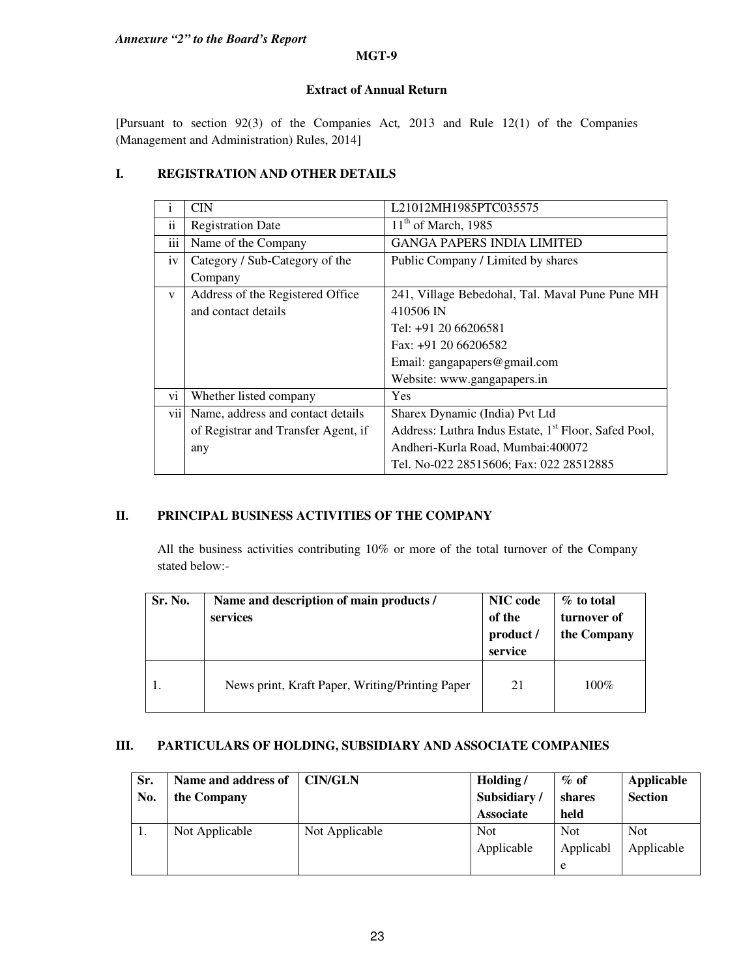*Annexure "2" to the Board's Report*

#### **MGT-9**

# **Extract of Annual Return**

[Pursuant to section 92(3) of the Companies Act*,* 2013 and Rule 12(1) of the Companies (Management and Administration) Rules, 2014]

# **I. REGISTRATION AND OTHER DETAILS**

| $\mathbf{1}$  | <b>CIN</b>                          | L21012MH1985PTC035575                                            |
|---------------|-------------------------------------|------------------------------------------------------------------|
| $\mathbf{ii}$ | <b>Registration Date</b>            | $11th$ of March, 1985                                            |
| iii           | Name of the Company                 | <b>GANGA PAPERS INDIA LIMITED</b>                                |
| iv            | Category / Sub-Category of the      | Public Company / Limited by shares                               |
|               | Company                             |                                                                  |
| $\mathbf{V}$  | Address of the Registered Office    | 241, Village Bebedohal, Tal. Maval Pune Pune MH                  |
|               | and contact details                 | 410506 IN                                                        |
|               |                                     | Tel: +91 20 66206581                                             |
|               |                                     | Fax: $+91$ 20 66206582                                           |
|               |                                     | Email: gangapapers@gmail.com                                     |
|               |                                     | Website: www.gangapapers.in                                      |
| vi            | Whether listed company              | Yes                                                              |
| vii           | Name, address and contact details   | Sharex Dynamic (India) Pvt Ltd                                   |
|               | of Registrar and Transfer Agent, if | Address: Luthra Indus Estate, 1 <sup>st</sup> Floor, Safed Pool, |
|               | any                                 | Andheri-Kurla Road, Mumbai:400072                                |
|               |                                     | Tel. No-022 28515606; Fax: 022 28512885                          |

# **II. PRINCIPAL BUSINESS ACTIVITIES OF THE COMPANY**

All the business activities contributing 10% or more of the total turnover of the Company stated below:-

| Sr. No. | Name and description of main products /<br>services | <b>NIC</b> code<br>of the<br>product /<br>service | % to total<br>turnover of<br>the Company |
|---------|-----------------------------------------------------|---------------------------------------------------|------------------------------------------|
|         | News print, Kraft Paper, Writing/Printing Paper     | 21                                                | $100\%$                                  |

# **III. PARTICULARS OF HOLDING, SUBSIDIARY AND ASSOCIATE COMPANIES**

| Sr.<br>No. | Name and address of<br>the Company | <b>CIN/GLN</b> | Holding/<br>Subsidiary/<br><b>Associate</b> | $\%$ of<br>shares<br>held | Applicable<br><b>Section</b> |
|------------|------------------------------------|----------------|---------------------------------------------|---------------------------|------------------------------|
| 1.         | Not Applicable                     | Not Applicable | <b>Not</b><br>Applicable                    | Not<br>Applicabl<br>e     | <b>Not</b><br>Applicable     |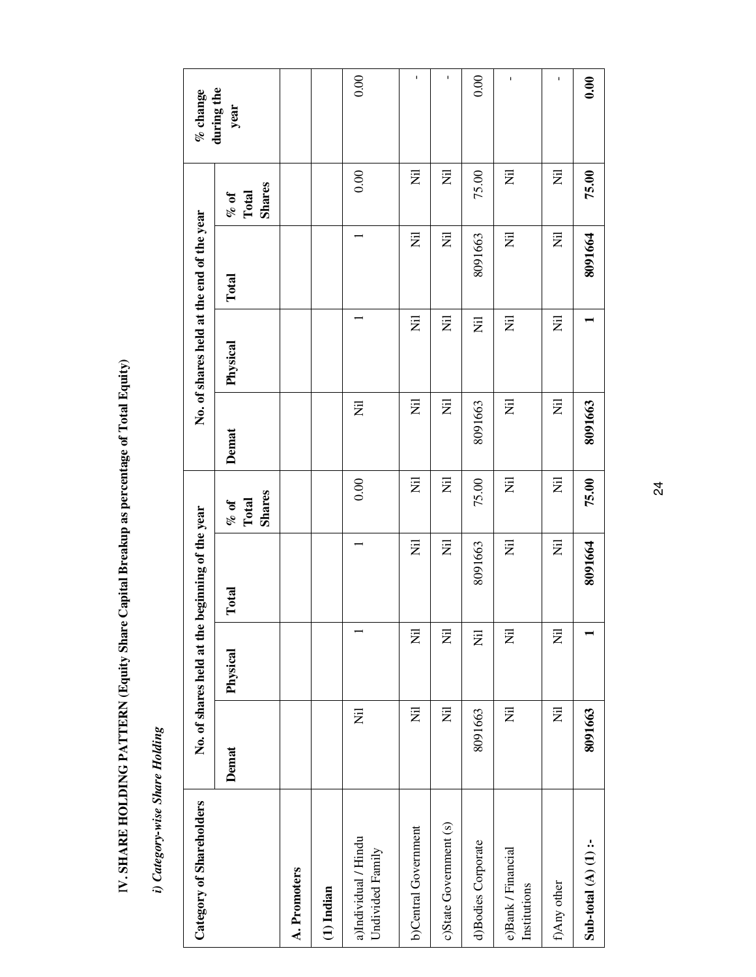| No. of shares held at the end of the year |                             |                                                      |  |  |  |  |
|-------------------------------------------|-----------------------------|------------------------------------------------------|--|--|--|--|
|                                           |                             |                                                      |  |  |  |  |
|                                           |                             |                                                      |  |  |  |  |
|                                           |                             |                                                      |  |  |  |  |
|                                           |                             | ares held at the beginning of the year<br>No. of sha |  |  |  |  |
|                                           |                             |                                                      |  |  |  |  |
|                                           | Category-wise Share Holding | agory of Shareholders                                |  |  |  |  |

I**V. SHARE HOLDING PATTERN (Equity Share Capital Breakup as percentage of Total Equity)** 

IV. SHARE HOLDING PATTERN (Equity Share Capital Breakup as percentage of Total Equity)

| Category of Shareholders                 |                | No. of shares held at the | beginning of the year |                                  |                | No. of shares held at the end of the year |         |                                          | $%$ change         |  |
|------------------------------------------|----------------|---------------------------|-----------------------|----------------------------------|----------------|-------------------------------------------|---------|------------------------------------------|--------------------|--|
|                                          | Demat          | Physical                  | Total                 | <b>Shares</b><br>Total<br>$%$ of | Demat          | Physical                                  | Total   | <b>Shares</b><br>Total<br>$\frac{10}{2}$ | during the<br>year |  |
| A. Promoters                             |                |                           |                       |                                  |                |                                           |         |                                          |                    |  |
| $(1)$ Indian                             |                |                           |                       |                                  |                |                                           |         |                                          |                    |  |
| a)Individual / Hindu<br>Undivided Family | Ξ              |                           |                       | 0.00                             | $\overline{z}$ |                                           |         | 0.00                                     | 0.00               |  |
| b)Central Government                     | Ē              | $\overline{z}$            | $\overline{z}$        | Ē                                | $\overline{z}$ | $\overline{z}$                            | E       | Ē                                        | $\mathbf I$        |  |
| c)State Government (s)                   | $\overline{z}$ | $\overline{z}$            | $\overline{z}$        | $\overline{z}$                   | $\overline{z}$ | $\overline{z}$                            | E       | $\overline{z}$                           | $\mathbf I$        |  |
| d)Bodies Corporate                       | 8091663        | $\overline{z}$            | 8091663               | 75.00                            | 8091663        | Ξ                                         | 8091663 | 75.00                                    | 0.00               |  |
| e)Bank / Financial<br>Institutions       | $\overline{z}$ | $\overline{z}$            | $\overline{z}$        | $\overline{z}$                   | $\overline{z}$ | $\overline{z}$                            | Ż       | E                                        | $\mathbf{I}$       |  |
| f)Any other                              | $\overline{z}$ | $\overline{z}$            | E                     | $\overline{z}$                   | $\overline{z}$ | $\overline{z}$                            | Ē       | Ξ                                        | ı                  |  |
| Sub-total $(A)$ (1) :-                   | 8091663        |                           | 8091664               | 75.00                            | 8091663        |                                           | 8091664 | 75.00                                    | 0.00               |  |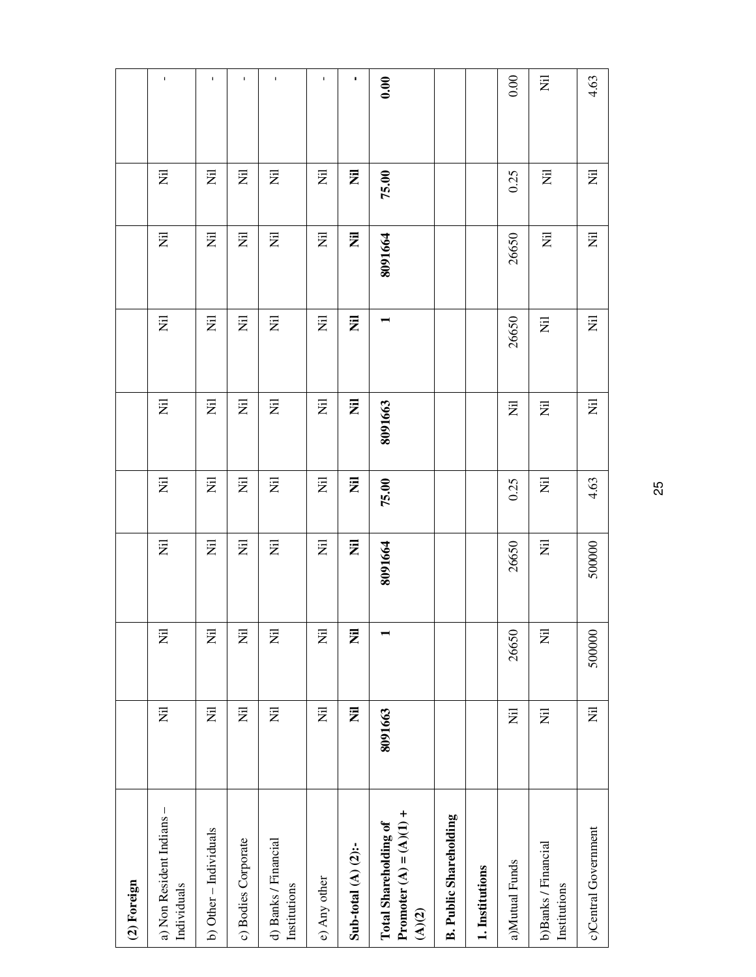| (2) Foreign                                                                  |                                   |                           |                                   |                                   |                                   |                              |                  |                          |             |
|------------------------------------------------------------------------------|-----------------------------------|---------------------------|-----------------------------------|-----------------------------------|-----------------------------------|------------------------------|------------------|--------------------------|-------------|
| a) Non Resident Indians -<br>Individuals                                     | $\overline{\Xi}$                  | $\overline{z}$            | Ξ                                 | $\overline{\Xi}$                  | Ξ                                 | 艺                            | $\overline{\Xi}$ | 艺                        | $\mathbf I$ |
| b) Other - Individuals                                                       | $\overline{z}$                    | $\overline{z}$            | $\overleftrightarrow{z}$          | $\overleftrightarrow{\mathbf{z}}$ | $\overleftrightarrow{\mathbf{Z}}$ | $\overleftarrow{\mathbf{z}}$ | $\overline{\Xi}$ | $\overleftrightarrow{z}$ | $\mathbf I$ |
| c) Bodies Corporate                                                          | $\overleftrightarrow{\mathbf{z}}$ | W                         | $\overline{z}$                    | $\overline{\Xi}$                  | $\overline{\Xi}$                  | 艺                            | W                | $\overline{z}$           | I.          |
| d) Banks / Financial<br>Institutions                                         | $\overleftrightarrow{\mathbf{z}}$ | $\overline{z}$            | $\overline{z}$                    | $\overleftrightarrow{\mathbf{Z}}$ | $\overline{\Xi}$                  | $\overline{\Xi}$             | $\Xi$            | $\overline{\Xi}$         | $\mathbf I$ |
| e) Any other                                                                 | $\overleftrightarrow{\mathbf{z}}$ | $\overline{\overline{z}}$ | 定<br>                             | $\overline{z}$                    | E                                 | 艺                            | W                | $\overline{z}$           | I.          |
| Sub-total $(A)$ $(2)$ :-                                                     | $\overline{z}$                    | Ż                         | $\overline{z}$                    | Ē                                 | $\overline{\overline{z}}$         | $\bar{z}$                    | Ē                | 艺                        | ٠           |
| Promoter (A) = (A)(1) +<br><b>Total Shareholding of</b><br>$\overline{A}(2)$ | 8091663                           |                           | 8091664                           | 75.00                             | 8091663                           |                              | 8091664          | 75.00                    | 0.00        |
| <b>B. Public Shareholding</b>                                                |                                   |                           |                                   |                                   |                                   |                              |                  |                          |             |
| 1. Institutions                                                              |                                   |                           |                                   |                                   |                                   |                              |                  |                          |             |
| a)Mutual Funds                                                               | $\overline{z}$                    | 26650                     | 26650                             | 0.25                              | Ξ                                 | 26650                        | 26650            | 0.25                     | 0.00        |
| b)Banks / Financial<br>Institutions                                          | $\overline{\Xi}$                  | $\overline{z}$            | $\overleftrightarrow{\mathbf{z}}$ | $\overline{\overline{z}}$         | Ξ                                 | $\overline{z}$               | 艺                | 艺                        | Ξ           |
| c)Central Government                                                         | $\overleftrightarrow{\mathbf{z}}$ | 500000                    | 500000                            | 4.63                              | $\overline{z}$                    | 艺                            | Ż                | $\overline{z}$           | 4.63        |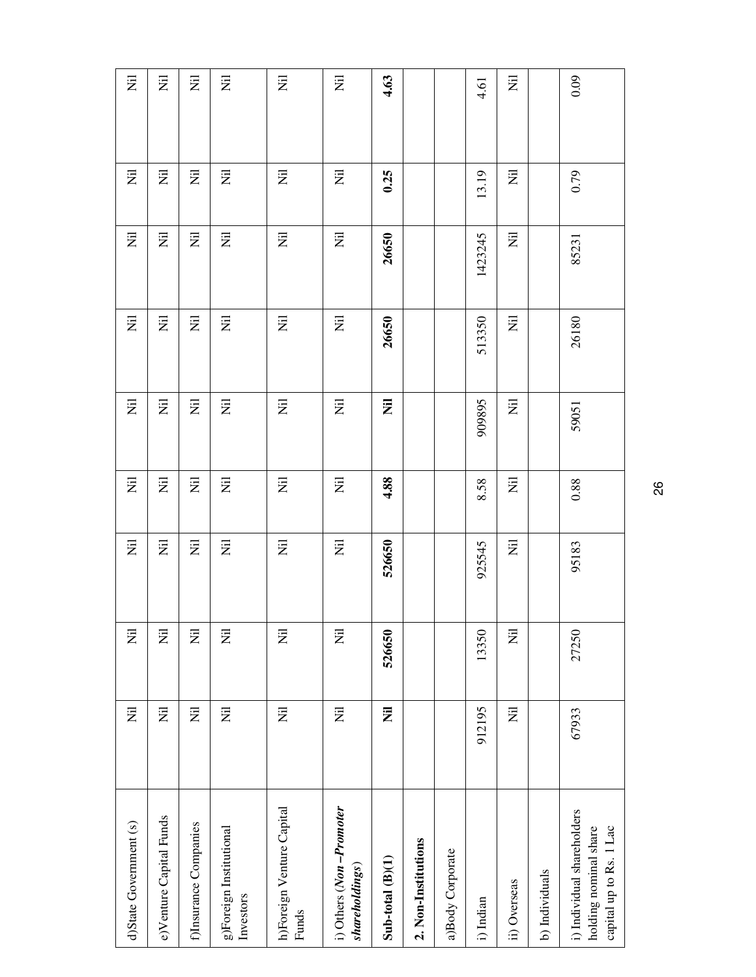| d)State Government (s)                                                         | $\overleftrightarrow{\mathbf{z}}$ | $\overleftrightarrow{\mathbf{z}}$ | $\overleftrightarrow{\mathbf{Z}}$ | $\overleftrightarrow{\mathbf{z}}$ | E              | $\overleftrightarrow{\mathbf{z}}$ | 艺       | E                         | E                         |
|--------------------------------------------------------------------------------|-----------------------------------|-----------------------------------|-----------------------------------|-----------------------------------|----------------|-----------------------------------|---------|---------------------------|---------------------------|
| e)Venture Capital Funds                                                        | $\overline{z}$                    | $\overline{z}$                    | Ξ                                 | $\overline{\Xi}$                  | Ξ              | $\overline{z}$                    | E       | Ξ                         | $\overline{z}$            |
| f)Insurance Companies                                                          | $\overleftrightarrow{\mathbf{Z}}$ | $\overline{z}$                    | $\overline{z}$                    | $\overline{z}$                    | $\overline{z}$ | $\overleftarrow{\mathbf{z}}$      | W       | $\overline{\overline{z}}$ | $\overline{\Xi}$          |
| g)Foreign Institutional<br>Investors                                           | $\overline{z}$                    | $\overline{z}$                    | $\overleftrightarrow{\mathbf{z}}$ | E                                 | $\overline{z}$ | $\overline{\Xi}$                  | 艺       | 艺                         | Ē                         |
| h)Foreign Venture Capital<br>Funds                                             | $\overline{z}$                    | E                                 | $\overline{z}$                    | $\overline{z}$                    | Ξ              | $\overline{z}$                    | Ξ       | Ξ                         | $\overline{\Xi}$          |
| i) Others (Non-Promoter<br>shareholdings)                                      | $\overleftrightarrow{\mathbf{z}}$ | $\overline{\Xi}$                  | $\overline{\overline{z}}$         | E                                 | E              | $\overline{\overline{z}}$         | 艺       | E                         | E                         |
| $Sub-total(B)(1)$                                                              | $\overline{z}$                    | 526650                            | 526650                            | 4.88                              | $\bar{z}$      | 26650                             | 26650   | 0.25                      | 4.63                      |
| 2. Non-Institutions                                                            |                                   |                                   |                                   |                                   |                |                                   |         |                           |                           |
| a)Body Corporate                                                               |                                   |                                   |                                   |                                   |                |                                   |         |                           |                           |
| i) Indian                                                                      | 912195                            | 13350                             | 925545                            | 8.58                              | 909895         | 513350                            | 1423245 | 13.19                     | 4.61                      |
| ii) Overseas                                                                   | $\overleftrightarrow{\mathbf{z}}$ | $\overline{z}$                    | $\overline{\overline{z}}$         | $\overline{\overline{z}}$         | $\overline{z}$ | E                                 | 艺       | 艺                         | $\overline{\overline{z}}$ |
| b) Individuals                                                                 |                                   |                                   |                                   |                                   |                |                                   |         |                           |                           |
| i) Individual shareholders<br>holding nominal share<br>capital up to Rs. 1 Lac | 67933                             | 27250                             | 95183                             | $0.88\,$                          | 59051          | 26180                             | 85231   | 0.79                      | 0.09                      |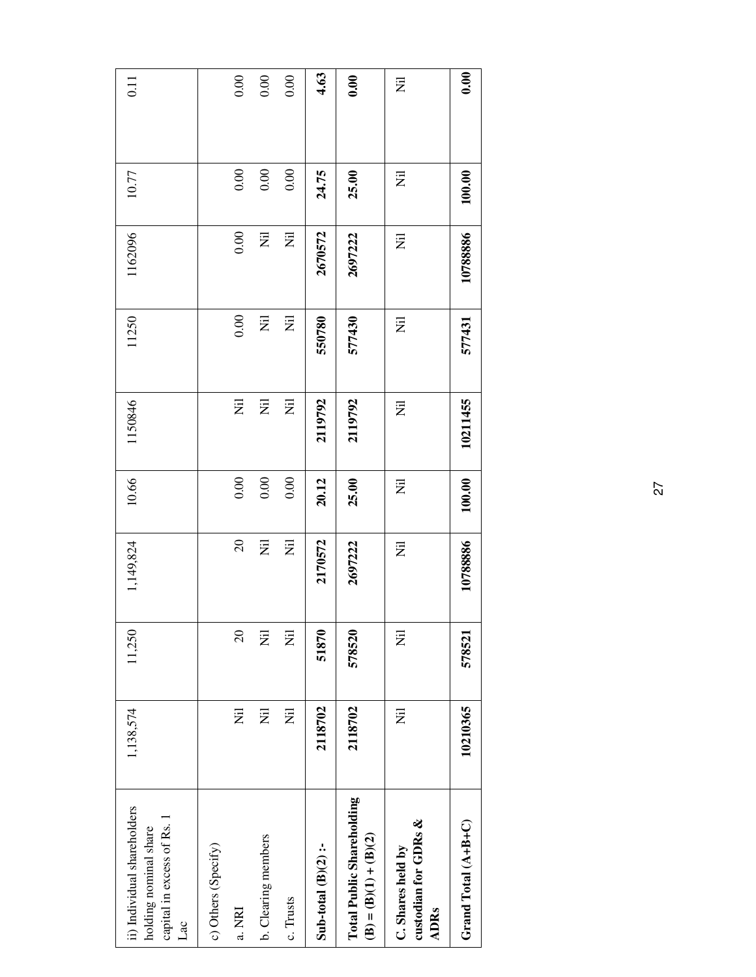| ii) Individual shareholders<br>capital in excess of Rs. 1<br>holding nominal share<br>Lac | 1,138,574 | 11,250   | 1,149,824                 | 10.66  | 1150846                   | 11250                              | 1162096        | 10.77  | $\overline{0.11}$ |
|-------------------------------------------------------------------------------------------|-----------|----------|---------------------------|--------|---------------------------|------------------------------------|----------------|--------|-------------------|
| c) Others (Specify)                                                                       |           |          |                           |        |                           |                                    |                |        |                   |
| a. NRI                                                                                    | Ë         | $\Omega$ | $\Omega$                  | 0.00   | $\overline{\overline{z}}$ | 0.00                               | 0.00           | 0.00   | 0.00              |
| b. Clearing members                                                                       | Ξ         | Ż        | $\overline{\overline{z}}$ | 0.00   | $\overline{\overline{z}}$ | $\overline{\overline{\mathbf{z}}}$ | $\overline{z}$ | 0.00   | 0.00              |
| c. Trusts                                                                                 | Ξ         | 艺        | $\overline{z}$            | 0.00   | $\overline{z}$            | $\overline{z}$                     | $\overline{z}$ | 0.00   | 0.00              |
| Sub-total $(B)(2)$ :-                                                                     | 2118702   | 51870    | 2170572                   | 20.12  | 2119792                   | 550780                             | 2670572        | 24.75  | 4.63              |
| <b>Total Public Shareholding</b><br>$(B) = (B)(1) + (B)(2)$                               | 2118702   | 578520   | 2697222                   | 25.00  | 2119792                   | 577430                             | 2697222        | 25.00  | 0.00              |
| custodian for GDRs &<br>C. Shares held by<br><b>ADRs</b>                                  | E         | Ξ        | Ē                         | Ē      | Ē                         | $\overline{\Xi}$                   | Ξ              | Ē      | Ξ                 |
| Grand Total (A+B+C)                                                                       | 10210365  | 578521   | 10788886                  | 100.00 | 10211455                  | 577431                             | 10788886       | 100.00 | 0.00              |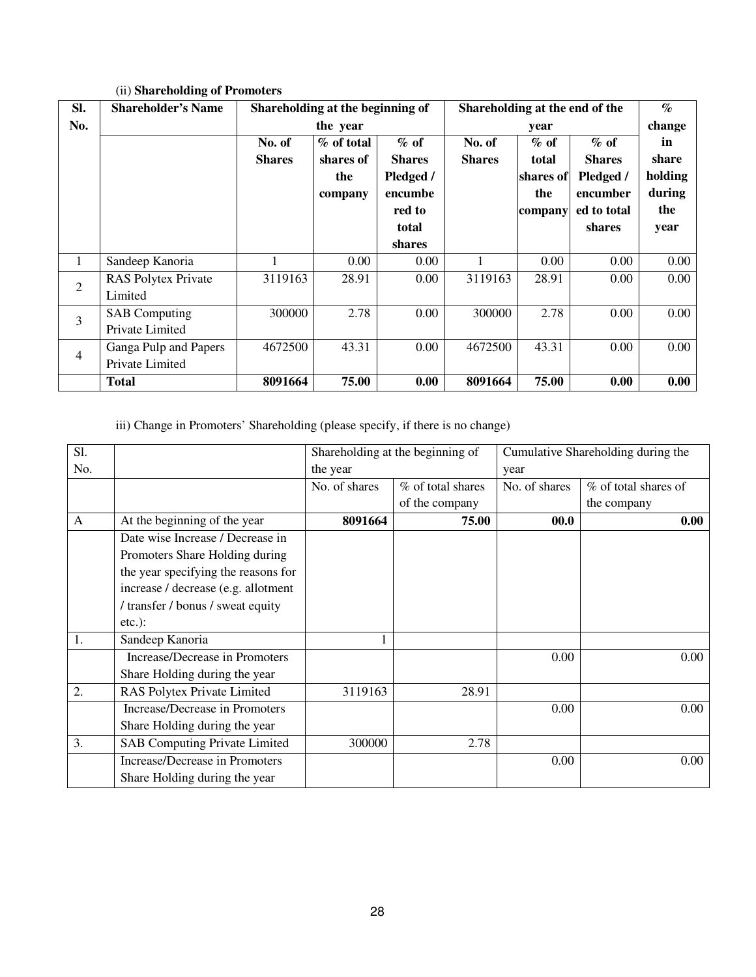| SI.            | <b>Shareholder's Name</b>  | Shareholding at the beginning of |            |               | Shareholding at the end of the |           |               | $\mathcal{G}_{\mathcal{O}}$ |
|----------------|----------------------------|----------------------------------|------------|---------------|--------------------------------|-----------|---------------|-----------------------------|
| No.            |                            |                                  | the year   |               |                                | year      |               | change                      |
|                |                            | No. of                           | % of total | $%$ of        | No. of                         | $%$ of    | $%$ of        | in                          |
|                |                            | <b>Shares</b>                    | shares of  | <b>Shares</b> | <b>Shares</b>                  | total     | <b>Shares</b> | share                       |
|                |                            |                                  | the        | Pledged /     |                                | shares of | Pledged /     | holding                     |
|                |                            |                                  | company    | encumbe       |                                | the       | encumber      | during                      |
|                |                            |                                  |            | red to        |                                | company   | ed to total   | the                         |
|                |                            |                                  |            | total         |                                |           | shares        | year                        |
|                |                            |                                  |            | shares        |                                |           |               |                             |
| $\mathbf{1}$   | Sandeep Kanoria            |                                  | 0.00       | 0.00          |                                | 0.00      | 0.00          | 0.00                        |
| $\overline{2}$ | <b>RAS Polytex Private</b> | 3119163                          | 28.91      | 0.00          | 3119163                        | 28.91     | 0.00          | 0.00                        |
|                | Limited                    |                                  |            |               |                                |           |               |                             |
| 3              | <b>SAB</b> Computing       | 300000                           | 2.78       | 0.00          | 300000                         | 2.78      | 0.00          | 0.00                        |
|                | Private Limited            |                                  |            |               |                                |           |               |                             |
| 4              | Ganga Pulp and Papers      | 4672500                          | 43.31      | $0.00\,$      | 4672500                        | 43.31     | 0.00          | 0.00                        |
|                | Private Limited            |                                  |            |               |                                |           |               |                             |
|                | <b>Total</b>               | 8091664                          | 75.00      | 0.00          | 8091664                        | 75.00     | 0.00          | 0.00                        |

# (ii) **Shareholding of Promoters**

iii) Change in Promoters' Shareholding (please specify, if there is no change)

| Sl. |                                      |               | Shareholding at the beginning of |               | Cumulative Shareholding during the |
|-----|--------------------------------------|---------------|----------------------------------|---------------|------------------------------------|
| No. |                                      | the year      |                                  | year          |                                    |
|     |                                      | No. of shares | % of total shares                | No. of shares | % of total shares of               |
|     |                                      |               | of the company                   |               | the company                        |
| A   | At the beginning of the year         | 8091664       | 75.00                            | 00.0          | 0.00                               |
|     | Date wise Increase / Decrease in     |               |                                  |               |                                    |
|     | Promoters Share Holding during       |               |                                  |               |                                    |
|     | the year specifying the reasons for  |               |                                  |               |                                    |
|     | increase / decrease (e.g. allotment  |               |                                  |               |                                    |
|     | / transfer / bonus / sweat equity    |               |                                  |               |                                    |
|     | $etc.$ ):                            |               |                                  |               |                                    |
| 1.  | Sandeep Kanoria                      |               |                                  |               |                                    |
|     | Increase/Decrease in Promoters       |               |                                  | 0.00          | 0.00                               |
|     | Share Holding during the year        |               |                                  |               |                                    |
| 2.  | RAS Polytex Private Limited          | 3119163       | 28.91                            |               |                                    |
|     | Increase/Decrease in Promoters       |               |                                  | 0.00          | 0.00                               |
|     | Share Holding during the year        |               |                                  |               |                                    |
| 3.  | <b>SAB Computing Private Limited</b> | 300000        | 2.78                             |               |                                    |
|     | Increase/Decrease in Promoters       |               |                                  | 0.00          | 0.00                               |
|     | Share Holding during the year        |               |                                  |               |                                    |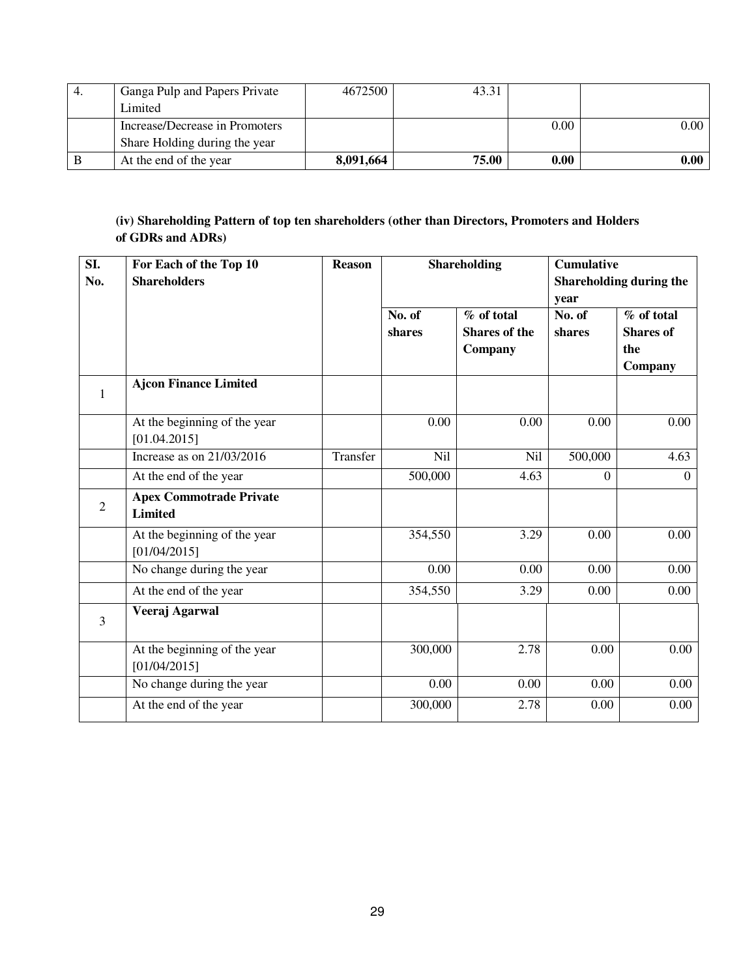| Ganga Pulp and Papers Private  | 4672500   | 43.31 |      |          |
|--------------------------------|-----------|-------|------|----------|
| Limited                        |           |       |      |          |
| Increase/Decrease in Promoters |           |       | 0.00 | $0.00\,$ |
| Share Holding during the year  |           |       |      |          |
| At the end of the year         | 8.091.664 | 75.00 | 0.00 | $0.00\,$ |

# **(iv) Shareholding Pattern of top ten shareholders (other than Directors, Promoters and Holders of GDRs and ADRs)**

| SI.<br>No.     | For Each of the Top 10<br><b>Shareholders</b>    | <b>Reason</b> |                  | <b>Shareholding</b>                           | <b>Cumulative</b><br>year | Shareholding during the                          |
|----------------|--------------------------------------------------|---------------|------------------|-----------------------------------------------|---------------------------|--------------------------------------------------|
|                |                                                  |               | No. of<br>shares | % of total<br><b>Shares of the</b><br>Company | No. of<br>shares          | % of total<br><b>Shares of</b><br>the<br>Company |
| $\mathbf{1}$   | <b>Ajcon Finance Limited</b>                     |               |                  |                                               |                           |                                                  |
|                | At the beginning of the year<br>[01.04.2015]     |               | 0.00             | 0.00                                          | 0.00                      | 0.00                                             |
|                | Increase as on 21/03/2016                        | Transfer      | N <sub>il</sub>  | Nil                                           | 500,000                   | 4.63                                             |
|                | At the end of the year                           |               | 500,000          | 4.63                                          | $\theta$                  | $\Omega$                                         |
| $\overline{2}$ | <b>Apex Commotrade Private</b><br><b>Limited</b> |               |                  |                                               |                           |                                                  |
|                | At the beginning of the year<br>[01/04/2015]     |               | 354,550          | 3.29                                          | 0.00                      | 0.00                                             |
|                | No change during the year                        |               | 0.00             | 0.00                                          | 0.00                      | 0.00                                             |
|                | At the end of the year                           |               | 354,550          | 3.29                                          | 0.00                      | 0.00                                             |
| $\overline{3}$ | Veeraj Agarwal                                   |               |                  |                                               |                           |                                                  |
|                | At the beginning of the year<br>[01/04/2015]     |               | 300,000          | 2.78                                          | 0.00                      | 0.00                                             |
|                | No change during the year                        |               | 0.00             | 0.00                                          | 0.00                      | $0.00\,$                                         |
|                | At the end of the year                           |               | 300,000          | 2.78                                          | 0.00                      | $0.00\,$                                         |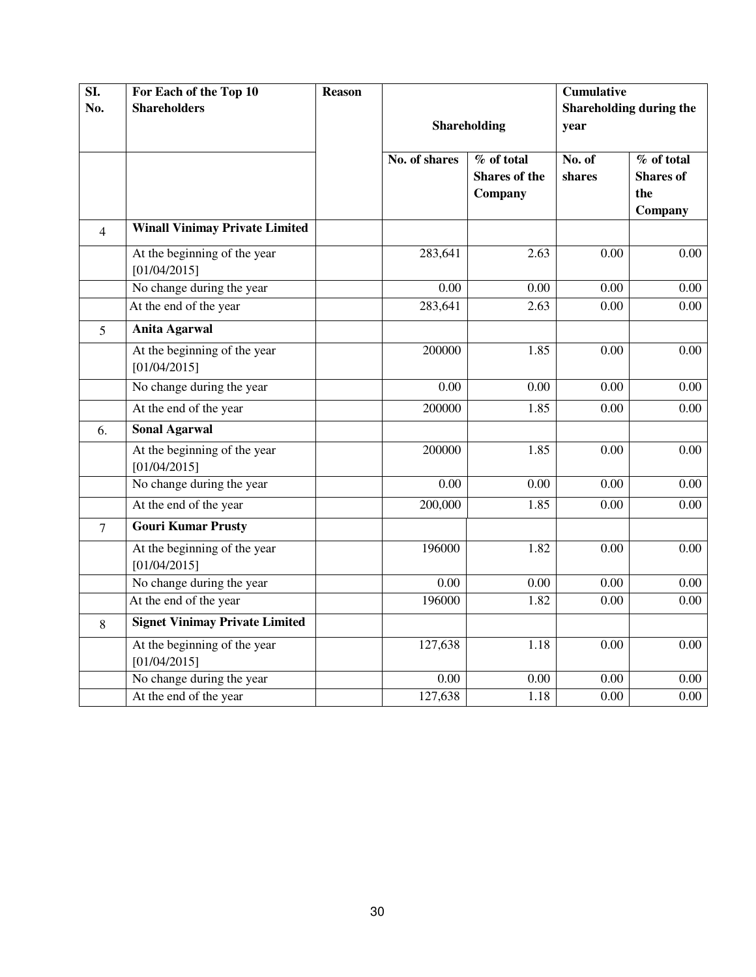| $\overline{SI.}$ | For Each of the Top 10                       | <b>Reason</b> |                   |                                        | <b>Cumulative</b> |                                                  |
|------------------|----------------------------------------------|---------------|-------------------|----------------------------------------|-------------------|--------------------------------------------------|
| No.              | <b>Shareholders</b>                          |               |                   |                                        |                   | Shareholding during the                          |
|                  |                                              |               |                   | Shareholding                           | year              |                                                  |
|                  |                                              |               | No. of shares     | % of total<br>Shares of the<br>Company | No. of<br>shares  | % of total<br><b>Shares</b> of<br>the<br>Company |
| $\overline{4}$   | <b>Winall Vinimay Private Limited</b>        |               |                   |                                        |                   |                                                  |
|                  | At the beginning of the year<br>[01/04/2015] |               | 283,641           | 2.63                                   | 0.00              | 0.00                                             |
|                  | No change during the year                    |               | $\overline{0.00}$ | 0.00                                   | $\overline{0.00}$ | $\overline{0.00}$                                |
|                  | At the end of the year                       |               | 283,641           | 2.63                                   | 0.00              | 0.00                                             |
| 5                | <b>Anita Agarwal</b>                         |               |                   |                                        |                   |                                                  |
|                  | At the beginning of the year<br>[01/04/2015] |               | 200000            | 1.85                                   | 0.00              | 0.00                                             |
|                  | No change during the year                    |               | 0.00              | 0.00                                   | 0.00              | 0.00                                             |
|                  | At the end of the year                       |               | 200000            | 1.85                                   | 0.00              | 0.00                                             |
| 6.               | <b>Sonal Agarwal</b>                         |               |                   |                                        |                   |                                                  |
|                  | At the beginning of the year<br>[01/04/2015] |               | 200000            | 1.85                                   | 0.00              | 0.00                                             |
|                  | No change during the year                    |               | 0.00              | 0.00                                   | 0.00              | 0.00                                             |
|                  | At the end of the year                       |               | 200,000           | 1.85                                   | 0.00              | 0.00                                             |
| $\overline{7}$   | <b>Gouri Kumar Prusty</b>                    |               |                   |                                        |                   |                                                  |
|                  | At the beginning of the year<br>[01/04/2015] |               | 196000            | 1.82                                   | 0.00              | 0.00                                             |
|                  | No change during the year                    |               | 0.00              | 0.00                                   | 0.00              | 0.00                                             |
|                  | At the end of the year                       |               | 196000            | 1.82                                   | 0.00              | 0.00                                             |
| 8                | <b>Signet Vinimay Private Limited</b>        |               |                   |                                        |                   |                                                  |
|                  | At the beginning of the year<br>[01/04/2015] |               | 127,638           | 1.18                                   | 0.00              | 0.00                                             |
|                  | No change during the year                    |               | 0.00              | 0.00                                   | 0.00              | 0.00                                             |
|                  | At the end of the year                       |               | 127,638           | 1.18                                   | 0.00              | 0.00                                             |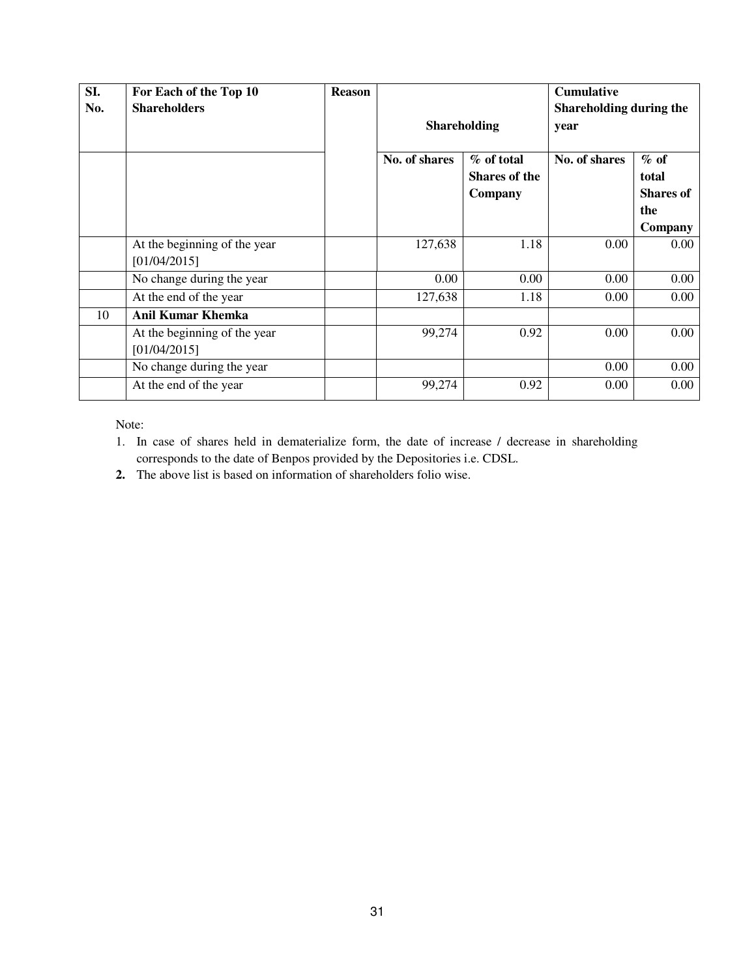| SI. | For Each of the Top 10                       | <b>Reason</b> |               |                      | <b>Cumulative</b>       |                  |
|-----|----------------------------------------------|---------------|---------------|----------------------|-------------------------|------------------|
| No. | <b>Shareholders</b>                          |               |               |                      | Shareholding during the |                  |
|     |                                              |               |               | <b>Shareholding</b>  | year                    |                  |
|     |                                              |               | No. of shares | % of total           | No. of shares           | $\%$ of          |
|     |                                              |               |               | <b>Shares of the</b> |                         | total            |
|     |                                              |               |               | Company              |                         | <b>Shares of</b> |
|     |                                              |               |               |                      |                         | the              |
|     |                                              |               |               |                      |                         | Company          |
|     | At the beginning of the year<br>[01/04/2015] |               | 127,638       | 1.18                 | 0.00                    | $0.00\,$         |
|     | No change during the year                    |               | 0.00          | 0.00                 | 0.00                    | 0.00             |
|     | At the end of the year                       |               | 127,638       | 1.18                 | 0.00                    | $0.00\,$         |
| 10  | <b>Anil Kumar Khemka</b>                     |               |               |                      |                         |                  |
|     | At the beginning of the year                 |               | 99,274        | 0.92                 | 0.00                    | $0.00\,$         |
|     | [01/04/2015]                                 |               |               |                      |                         |                  |
|     | No change during the year                    |               |               |                      | 0.00                    | 0.00             |
|     | At the end of the year                       |               | 99,274        | 0.92                 | 0.00                    | 0.00             |

Note:

- 1. In case of shares held in dematerialize form, the date of increase / decrease in shareholding corresponds to the date of Benpos provided by the Depositories i.e. CDSL.
- **2.** The above list is based on information of shareholders folio wise.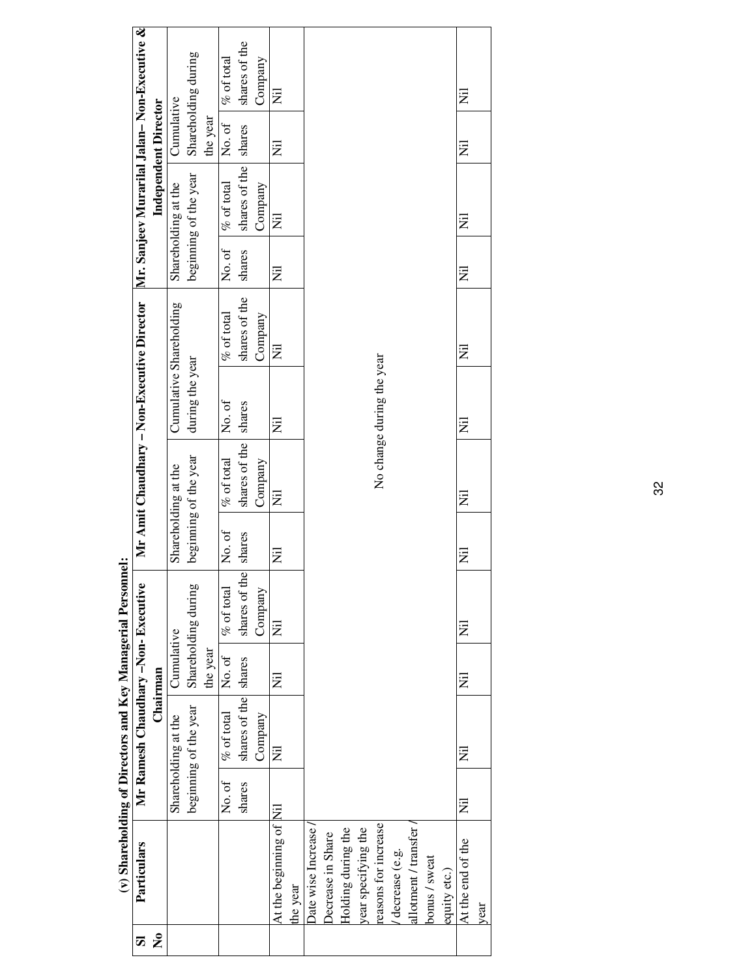|                                                             | Mr Amit Chaudhary – Non-Executive Director Mr. Sanjeev Murarilal Jalan– Non-Executive & | <b>Independent Director</b> | Cumulative<br>Shareholding at the<br>Cumulative Shareholding<br>Shareholding at the | Shareholding during<br>beginning of the year<br>during the year<br>beginning of the year | the year | $\%$ of total<br>No. of<br>$\%$ of total<br>No. of<br>$%$ of total<br>No. of<br>$%$ of total<br>No. of | shares of the<br>shares<br>shares of the<br>shares<br>shares of the<br>shares<br>shares of the<br>shares | Company<br>Company<br>Company<br>Company | $\overline{z}$<br>Ē<br>$\overline{z}$<br>$\overline{z}$<br>$\overline{z}$<br>$\overline{z}$<br>艺<br>$\overline{z}$ |         |                           |                   |                    |                     | No change during the year |                |                      |               |              | Ξ<br>$\overline{z}$<br>Ξ<br>Ż<br>Ξ<br>Ξ<br>Ξ<br>Ż |      |
|-------------------------------------------------------------|-----------------------------------------------------------------------------------------|-----------------------------|-------------------------------------------------------------------------------------|------------------------------------------------------------------------------------------|----------|--------------------------------------------------------------------------------------------------------|----------------------------------------------------------------------------------------------------------|------------------------------------------|--------------------------------------------------------------------------------------------------------------------|---------|---------------------------|-------------------|--------------------|---------------------|---------------------------|----------------|----------------------|---------------|--------------|---------------------------------------------------|------|
|                                                             |                                                                                         |                             |                                                                                     |                                                                                          |          |                                                                                                        |                                                                                                          |                                          |                                                                                                                    |         |                           |                   |                    |                     |                           |                |                      |               |              |                                                   |      |
|                                                             |                                                                                         |                             |                                                                                     |                                                                                          |          |                                                                                                        |                                                                                                          |                                          |                                                                                                                    |         |                           |                   |                    |                     |                           |                |                      |               |              |                                                   |      |
|                                                             |                                                                                         |                             |                                                                                     |                                                                                          |          |                                                                                                        |                                                                                                          |                                          |                                                                                                                    |         |                           |                   |                    |                     |                           |                |                      |               |              |                                                   |      |
|                                                             |                                                                                         |                             |                                                                                     |                                                                                          |          |                                                                                                        |                                                                                                          |                                          |                                                                                                                    |         |                           |                   |                    |                     |                           |                |                      |               |              |                                                   |      |
|                                                             |                                                                                         |                             |                                                                                     | Shareholding during                                                                      |          | $%$ of total                                                                                           | shares of the                                                                                            | Company                                  | 艺                                                                                                                  |         |                           |                   |                    |                     |                           |                |                      |               |              | Ξ                                                 |      |
|                                                             |                                                                                         | Chairman                    | Cumulative                                                                          |                                                                                          | the year | No.of                                                                                                  |                                                                                                          |                                          | Ë                                                                                                                  |         |                           |                   |                    |                     |                           |                |                      |               |              | Ξ                                                 |      |
| (v) Shareholding of Directors and Key Managerial Personnel: | Mr Ramesh Chaudhary -Non- Executive                                                     |                             | Shareholding at the                                                                 | beginning of the year                                                                    |          | $%$ of total                                                                                           | shares of the shares                                                                                     | Company                                  | $\overline{z}$                                                                                                     |         |                           |                   |                    |                     |                           |                |                      |               |              | Ξ                                                 |      |
|                                                             |                                                                                         |                             |                                                                                     |                                                                                          |          | No. of                                                                                                 | shares                                                                                                   |                                          |                                                                                                                    |         |                           |                   |                    |                     |                           |                |                      |               |              | E                                                 |      |
|                                                             |                                                                                         |                             |                                                                                     |                                                                                          |          |                                                                                                        |                                                                                                          |                                          | At the beginning of Nil                                                                                            |         | <b>Date wise Increase</b> | Decrease in Share | Holding during the | year specifying the | reasons for increase      | decrease (e.g. | allotment / transfer |               |              | At the end of the                                 |      |
|                                                             | Particulars                                                                             |                             |                                                                                     |                                                                                          |          |                                                                                                        |                                                                                                          |                                          |                                                                                                                    | he year |                           |                   |                    |                     |                           |                |                      | bonus / sweat | equity etc.) |                                                   | year |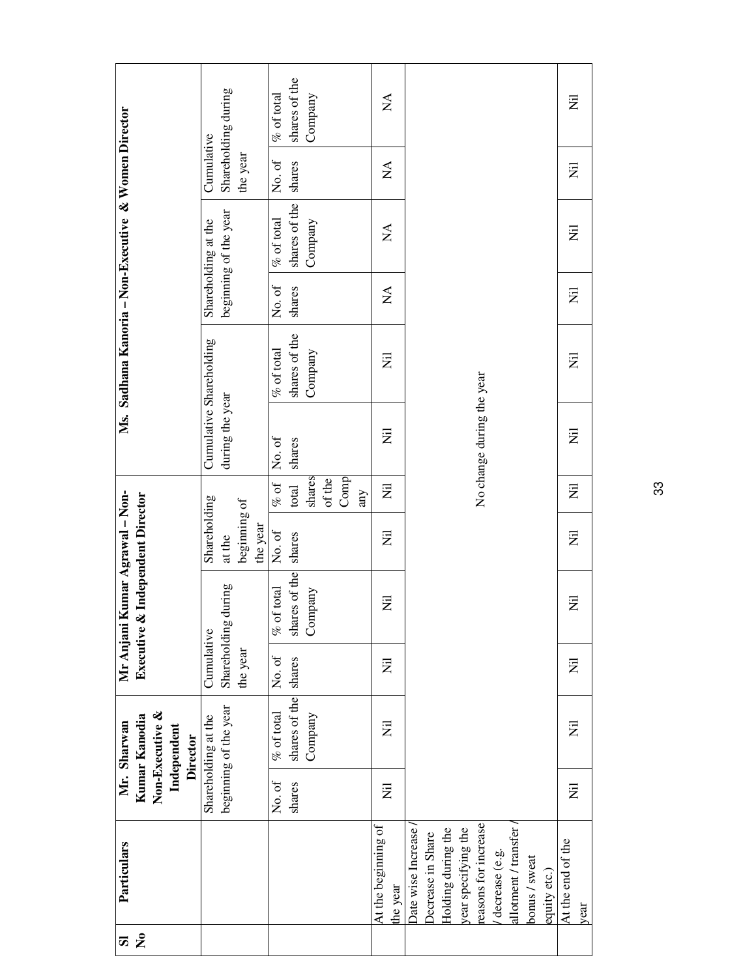| 5                    | Particulars                     |                           | Mr. Sharwan                      | Mr Anjani l  |                                  | Kumar Agrawal - Non- |                |                           | Ms. Sadhana Kanoria - Non-Executive & Women Director |                                |                                |                                |                                |
|----------------------|---------------------------------|---------------------------|----------------------------------|--------------|----------------------------------|----------------------|----------------|---------------------------|------------------------------------------------------|--------------------------------|--------------------------------|--------------------------------|--------------------------------|
| $\tilde{\mathbf{z}}$ |                                 |                           | Non-Executive &<br>Kumar Kanodia |              | Executive & Independent Director |                      |                |                           |                                                      |                                |                                |                                |                                |
|                      |                                 |                           | Independent<br><b>Director</b>   |              |                                  |                      |                |                           |                                                      |                                |                                |                                |                                |
|                      |                                 |                           | Shareholding at the              | Cumulative   |                                  | Shareholding         |                |                           | Cumulative Shareholding                              |                                | Shareholding at the            | Cumulative                     |                                |
|                      |                                 |                           | beginning of the year            | Shareholding | during                           | at the               |                | during the year           |                                                      |                                | beginning of the year          |                                | Shareholding during            |
|                      |                                 |                           |                                  | the year     |                                  | beginning of         |                |                           |                                                      |                                |                                | the year                       |                                |
|                      |                                 |                           |                                  |              |                                  | the year             |                |                           |                                                      |                                |                                |                                |                                |
|                      |                                 | No. of                    | $%$ of total                     | No. of       | $%$ of total                     | No. of               | $\%$ of        | No. of                    | $%$ of total                                         | No. of                         | $%$ of total                   | No. of                         | $\%$ of total                  |
|                      |                                 | shares                    | shares of the                    | shares       | shares of the                    | shares               | total          | shares                    | shares of the                                        | shares                         | shares of the                  | shares                         | shares of the                  |
|                      |                                 |                           | Company                          |              | Company                          |                      | shares         |                           | Company                                              |                                | Company                        |                                | Company                        |
|                      |                                 |                           |                                  |              |                                  |                      | of the<br>Comp |                           |                                                      |                                |                                |                                |                                |
|                      |                                 |                           |                                  |              |                                  |                      | any            |                           |                                                      |                                |                                |                                |                                |
|                      | At the beginning of<br>the year | $\overline{z}$            | $\overline{\overline{z}}$        | Z            | Ξ                                | $\overline{z}$       | 艺              | $\overline{z}$            | $\bar{z}$                                            | $\mathop{\mathsf{X}}\nolimits$ | $\mathop{\mathsf{X}}\nolimits$ | $\mathop{\mathsf{X}}\nolimits$ | $\mathop{\mathsf{X}}\nolimits$ |
|                      | Date wise Increase              |                           |                                  |              |                                  |                      |                |                           |                                                      |                                |                                |                                |                                |
|                      | Decrease in Share               |                           |                                  |              |                                  |                      |                |                           |                                                      |                                |                                |                                |                                |
|                      | Holding during the              |                           |                                  |              |                                  |                      |                |                           |                                                      |                                |                                |                                |                                |
|                      | year specifying the             |                           |                                  |              |                                  |                      |                |                           |                                                      |                                |                                |                                |                                |
|                      | reasons for increase            |                           |                                  |              |                                  |                      |                | No change during the year |                                                      |                                |                                |                                |                                |
|                      | decrease (e.g.                  |                           |                                  |              |                                  |                      |                |                           |                                                      |                                |                                |                                |                                |
|                      | allotment / transfer /          |                           |                                  |              |                                  |                      |                |                           |                                                      |                                |                                |                                |                                |
|                      | bonus / sweat                   |                           |                                  |              |                                  |                      |                |                           |                                                      |                                |                                |                                |                                |
|                      | equity etc.)                    |                           |                                  |              |                                  |                      |                |                           |                                                      |                                |                                |                                |                                |
|                      | At the end of the               | $\overline{\overline{z}}$ | $\overline{\overline{z}}$        | Ż            | $\overline{z}$                   | $\overline{\Xi}$     | 艺              | $\overline{\Xi}$          | 乭                                                    | $\overline{z}$                 | $\overline{z}$                 | $\overline{\overline{z}}$      | $\bar{z}$                      |
|                      | year                            |                           |                                  |              |                                  |                      |                |                           |                                                      |                                |                                |                                |                                |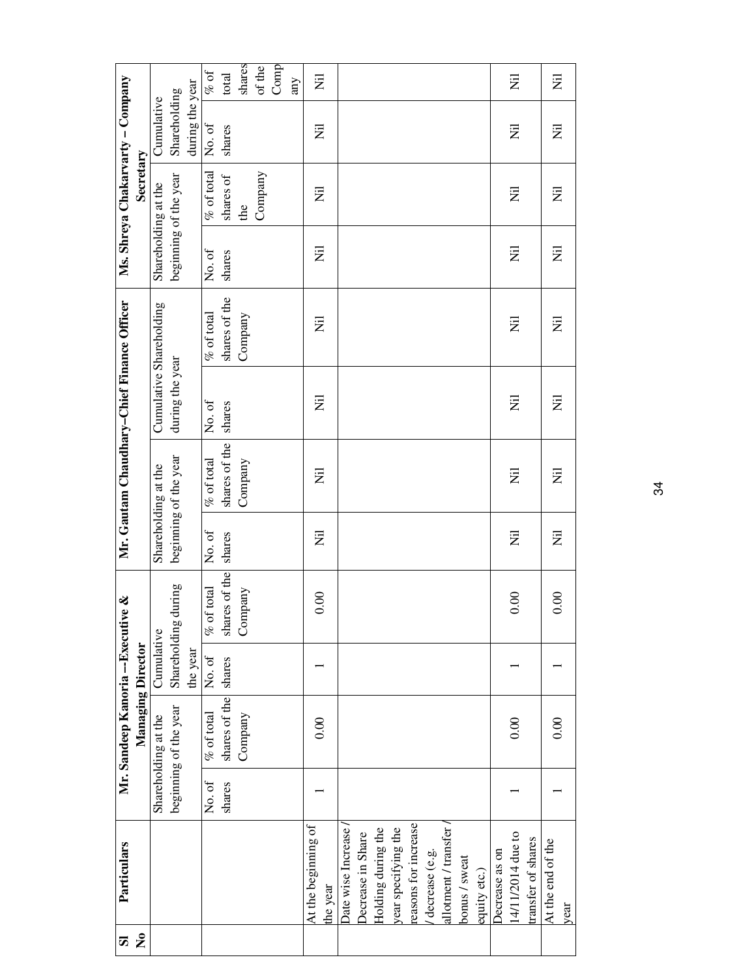| S                    | Particulars          |        | Mr. Sandeep Kanoria--Executive & |              |               |                  | Mr. Gautam Chaudhary-Chief Finance Officer |                 |                           |                           | Ms. Shreya Chakarvarty - Company |                 |                |
|----------------------|----------------------|--------|----------------------------------|--------------|---------------|------------------|--------------------------------------------|-----------------|---------------------------|---------------------------|----------------------------------|-----------------|----------------|
| $\tilde{\mathbf{z}}$ |                      |        | Managing Director                |              |               |                  |                                            |                 |                           |                           | Secretary                        |                 |                |
|                      |                      |        | Shareholding at the              | Cumulative   |               |                  | Shareholding at the                        |                 | Cumulative Shareholding   | Shareholding at the       |                                  | Cumulative      |                |
|                      |                      |        | beginning of the year            | Shareholding | during        |                  | beginning of the year                      | during the year |                           | beginning of the year     |                                  | Shareholding    |                |
|                      |                      |        |                                  | the year     |               |                  |                                            |                 |                           |                           |                                  | during the year |                |
|                      |                      | No. of | $%$ of total                     | No. of       | $%$ of total  | No. of           | $%$ of total                               | No. of          | $%$ of total              | No. of                    | $\%$ of total                    | No. of          | $\%$ of        |
|                      |                      | shares | shares of the shares             |              | shares of the | shares           | shares of the                              | shares          | shares of the             | shares                    | shares of                        | shares          | total          |
|                      |                      |        | Company                          |              | Company       |                  | Company                                    |                 | Company                   |                           | the                              |                 | shares         |
|                      |                      |        |                                  |              |               |                  |                                            |                 |                           |                           | Company                          |                 | of the         |
|                      |                      |        |                                  |              |               |                  |                                            |                 |                           |                           |                                  |                 | Comp<br>any    |
|                      | At the beginning of  |        |                                  |              |               |                  |                                            | Ξ               | Ξ                         | W                         | $\overline{\Xi}$                 |                 | $\overline{z}$ |
|                      | the year             |        | 0.00                             |              | 0.00          | $\overline{\Xi}$ | Ξ                                          |                 |                           |                           |                                  | Ξ               |                |
|                      | Date wise Increase   |        |                                  |              |               |                  |                                            |                 |                           |                           |                                  |                 |                |
|                      | Decrease in Share    |        |                                  |              |               |                  |                                            |                 |                           |                           |                                  |                 |                |
|                      | Holding during the   |        |                                  |              |               |                  |                                            |                 |                           |                           |                                  |                 |                |
|                      | year specifying the  |        |                                  |              |               |                  |                                            |                 |                           |                           |                                  |                 |                |
|                      | reasons for increase |        |                                  |              |               |                  |                                            |                 |                           |                           |                                  |                 |                |
|                      | decrease (e.g.       |        |                                  |              |               |                  |                                            |                 |                           |                           |                                  |                 |                |
|                      | allotment / transfer |        |                                  |              |               |                  |                                            |                 |                           |                           |                                  |                 |                |
|                      | bonus / sweat        |        |                                  |              |               |                  |                                            |                 |                           |                           |                                  |                 |                |
|                      | equity etc.)         |        |                                  |              |               |                  |                                            |                 |                           |                           |                                  |                 |                |
|                      | Decrease as on       |        |                                  |              |               |                  |                                            |                 |                           |                           |                                  |                 |                |
|                      | 14/11/2014 due to    |        | 0.00                             |              | 0.00          | $\overline{z}$   | $\overline{z}$                             | $\overline{z}$  | $\overline{z}$            | Ż                         | $\overline{z}$                   | $\overline{z}$  | $\overline{z}$ |
|                      | transfer of shares   |        |                                  |              |               |                  |                                            |                 |                           |                           |                                  |                 |                |
|                      | At the end of the    |        | 0.00                             |              | 0.00          | Ξ                | Ξ                                          | $\overline{z}$  | $\overline{\overline{z}}$ | $\overline{\overline{z}}$ | $\overline{\overline{z}}$        | Ē               | $\bar{z}$      |
|                      | year                 |        |                                  |              |               |                  |                                            |                 |                           |                           |                                  |                 |                |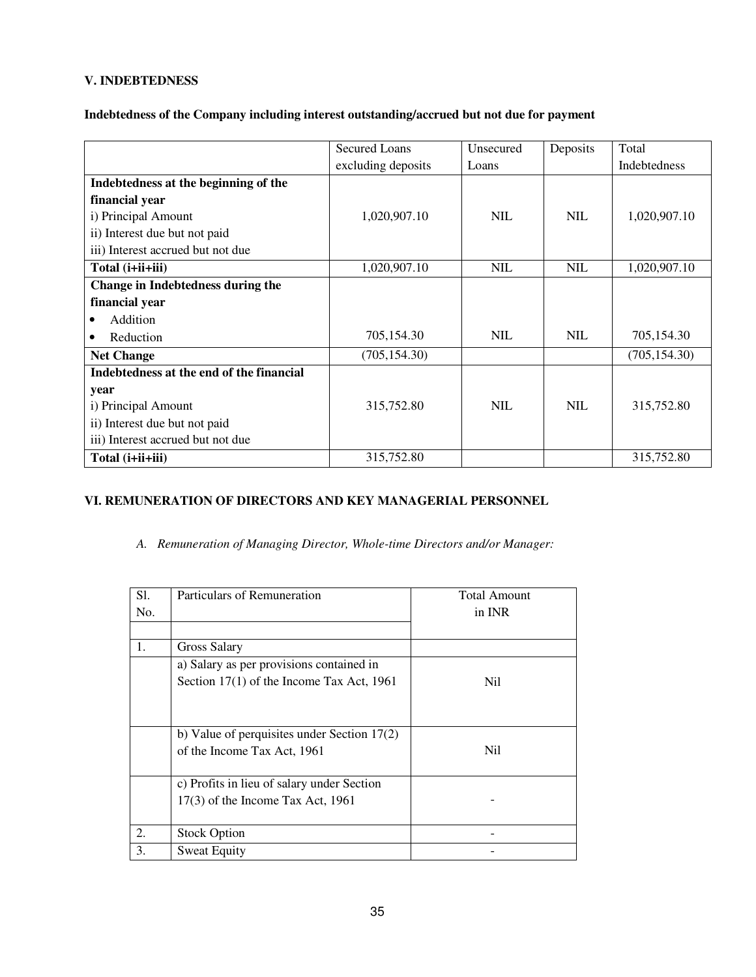# **V. INDEBTEDNESS**

#### **Indebtedness of the Company including interest outstanding/accrued but not due for payment**

|                                          | <b>Secured Loans</b> | Unsecured  | Deposits   | Total         |
|------------------------------------------|----------------------|------------|------------|---------------|
|                                          | excluding deposits   | Loans      |            | Indebtedness  |
| Indebtedness at the beginning of the     |                      |            |            |               |
| financial year                           |                      |            |            |               |
| i) Principal Amount                      | 1,020,907.10         | <b>NIL</b> | <b>NIL</b> | 1,020,907.10  |
| ii) Interest due but not paid            |                      |            |            |               |
| iii) Interest accrued but not due        |                      |            |            |               |
| Total (i+ii+iii)                         | 1,020,907.10         | <b>NIL</b> | <b>NIL</b> | 1,020,907.10  |
| Change in Indebtedness during the        |                      |            |            |               |
| financial year                           |                      |            |            |               |
| Addition                                 |                      |            |            |               |
| Reduction                                | 705,154.30           | <b>NIL</b> | <b>NIL</b> | 705,154.30    |
| <b>Net Change</b>                        | (705, 154.30)        |            |            | (705, 154.30) |
| Indebtedness at the end of the financial |                      |            |            |               |
| year                                     |                      |            |            |               |
| i) Principal Amount                      | 315,752.80           | <b>NIL</b> | <b>NIL</b> | 315,752.80    |
| ii) Interest due but not paid            |                      |            |            |               |
| iii) Interest accrued but not due        |                      |            |            |               |
| Total (i+ii+iii)                         | 315,752.80           |            |            | 315,752.80    |

# **VI. REMUNERATION OF DIRECTORS AND KEY MANAGERIAL PERSONNEL**

*A. Remuneration of Managing Director, Whole-time Directors and/or Manager:* 

| S1. | Particulars of Remuneration                   | <b>Total Amount</b> |
|-----|-----------------------------------------------|---------------------|
| No. |                                               | in INR              |
|     |                                               |                     |
| 1.  | <b>Gross Salary</b>                           |                     |
|     | a) Salary as per provisions contained in      |                     |
|     | Section 17(1) of the Income Tax Act, 1961     | Nil                 |
|     |                                               |                     |
|     |                                               |                     |
|     | b) Value of perquisites under Section $17(2)$ |                     |
|     | of the Income Tax Act, 1961                   | Nil                 |
|     |                                               |                     |
|     | c) Profits in lieu of salary under Section    |                     |
|     | $17(3)$ of the Income Tax Act, 1961           |                     |
|     |                                               |                     |
| 2.  | <b>Stock Option</b>                           |                     |
| 3.  | <b>Sweat Equity</b>                           |                     |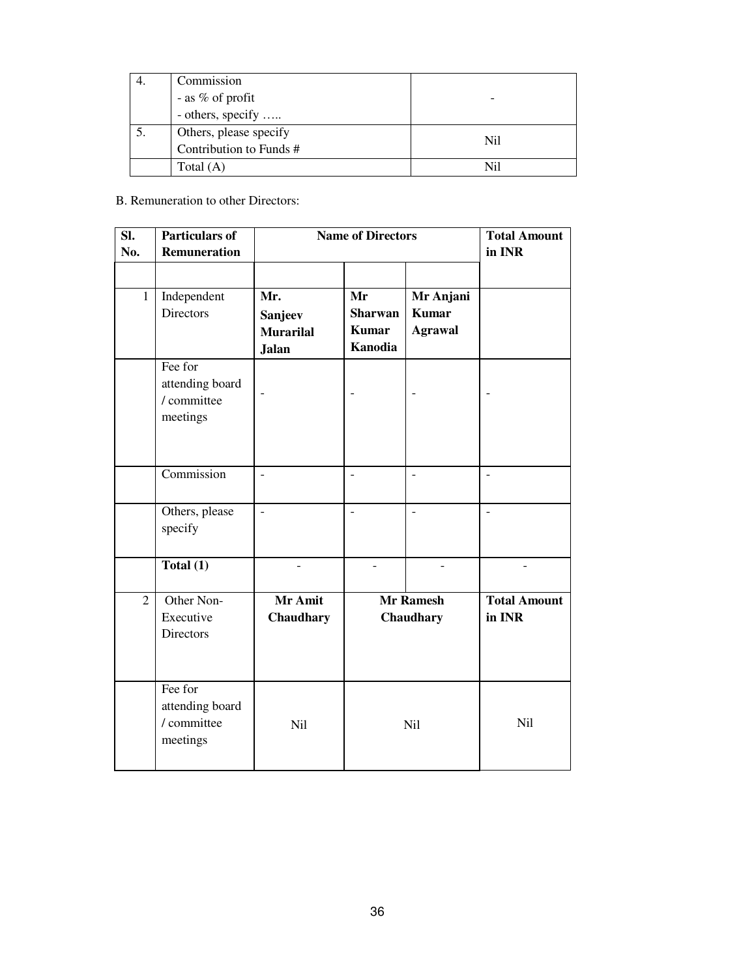|    | Commission                                        |     |
|----|---------------------------------------------------|-----|
|    | - as % of profit                                  |     |
|    | - others, specify                                 |     |
| 5. | Others, please specify<br>Contribution to Funds # | Ni1 |
|    |                                                   |     |
|    | Total (A)                                         | Nil |

# B. Remuneration to other Directors:

| SI.<br>No.     | <b>Particulars of</b><br>Remuneration                 | <b>Name of Directors</b>                           |                                                        |                                             | <b>Total Amount</b><br>in INR |
|----------------|-------------------------------------------------------|----------------------------------------------------|--------------------------------------------------------|---------------------------------------------|-------------------------------|
|                |                                                       |                                                    |                                                        |                                             |                               |
| $\mathbf{1}$   | Independent<br>Directors                              | Mr.<br>Sanjeev<br><b>Murarilal</b><br><b>Jalan</b> | Mr<br><b>Sharwan</b><br><b>Kumar</b><br><b>Kanodia</b> | Mr Anjani<br><b>Kumar</b><br><b>Agrawal</b> |                               |
|                | Fee for<br>attending board<br>/ committee<br>meetings |                                                    |                                                        |                                             |                               |
|                | Commission                                            | $\overline{a}$                                     | $\overline{a}$                                         | $\overline{a}$                              | $\overline{a}$                |
|                | Others, please<br>specify                             | $\overline{a}$                                     | $\overline{a}$                                         | $\overline{a}$                              | $\overline{a}$                |
|                | Total $(1)$                                           | $\overline{a}$                                     | $\overline{a}$                                         |                                             | $\overline{\phantom{a}}$      |
| $\overline{2}$ | Other Non-<br>Executive<br><b>Directors</b>           | Mr Amit<br>Chaudhary                               | <b>Mr Ramesh</b><br>Chaudhary                          |                                             | <b>Total Amount</b><br>in INR |
|                | Fee for<br>attending board<br>/ committee<br>meetings | Nil                                                | Nil                                                    |                                             | Nil                           |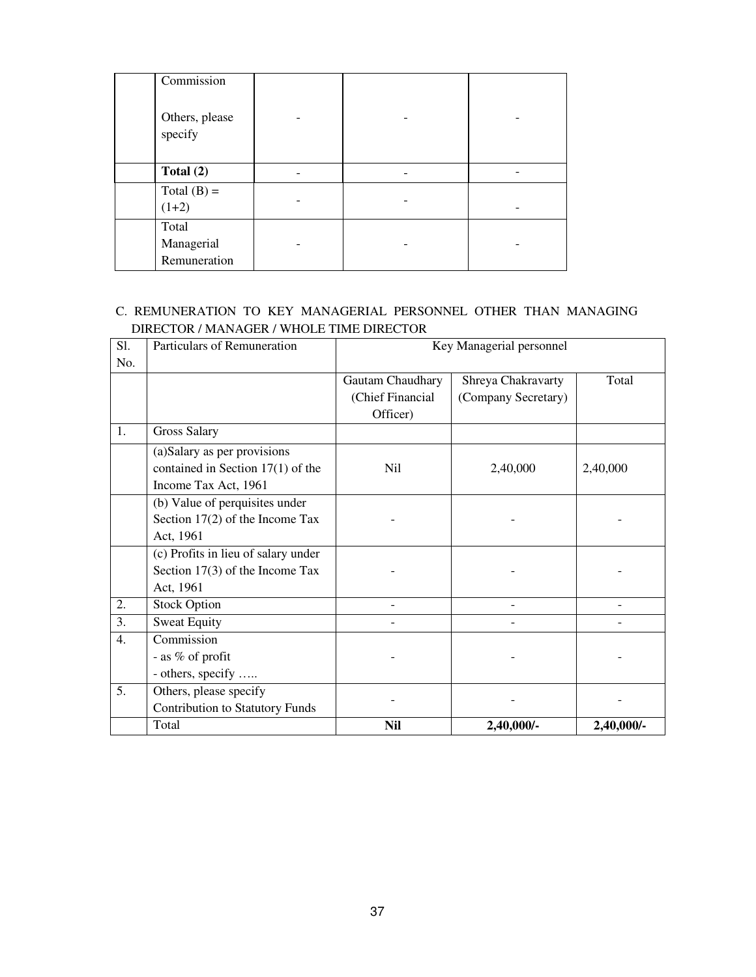| Commission                          |  |  |
|-------------------------------------|--|--|
| Others, please<br>specify           |  |  |
| Total $(2)$                         |  |  |
| Total $(B)$ =<br>$(1+2)$            |  |  |
| Total<br>Managerial<br>Remuneration |  |  |

## C. REMUNERATION TO KEY MANAGERIAL PERSONNEL OTHER THAN MANAGING DIRECTOR / MANAGER / WHOLE TIME DIRECTOR

| S1.              | Particulars of Remuneration            |                  | Key Managerial personnel |            |
|------------------|----------------------------------------|------------------|--------------------------|------------|
| No.              |                                        |                  |                          |            |
|                  |                                        | Gautam Chaudhary | Shreya Chakravarty       | Total      |
|                  |                                        | (Chief Financial | (Company Secretary)      |            |
|                  |                                        | Officer)         |                          |            |
| 1.               | <b>Gross Salary</b>                    |                  |                          |            |
|                  | (a) Salary as per provisions           |                  |                          |            |
|                  | contained in Section $17(1)$ of the    | Nil              | 2,40,000                 | 2,40,000   |
|                  | Income Tax Act, 1961                   |                  |                          |            |
|                  | (b) Value of perquisites under         |                  |                          |            |
|                  | Section 17(2) of the Income Tax        |                  |                          |            |
|                  | Act, 1961                              |                  |                          |            |
|                  | (c) Profits in lieu of salary under    |                  |                          |            |
|                  | Section $17(3)$ of the Income Tax      |                  |                          |            |
|                  | Act, 1961                              |                  |                          |            |
| 2.               | <b>Stock Option</b>                    |                  |                          |            |
| $\overline{3}$ . | <b>Sweat Equity</b>                    |                  |                          |            |
| 4.               | Commission                             |                  |                          |            |
|                  | - as % of profit                       |                  |                          |            |
|                  | - others, specify                      |                  |                          |            |
| 5.               | Others, please specify                 |                  |                          |            |
|                  | <b>Contribution to Statutory Funds</b> |                  |                          |            |
|                  | Total                                  | Nil              | 2,40,000/-               | 2,40,000/- |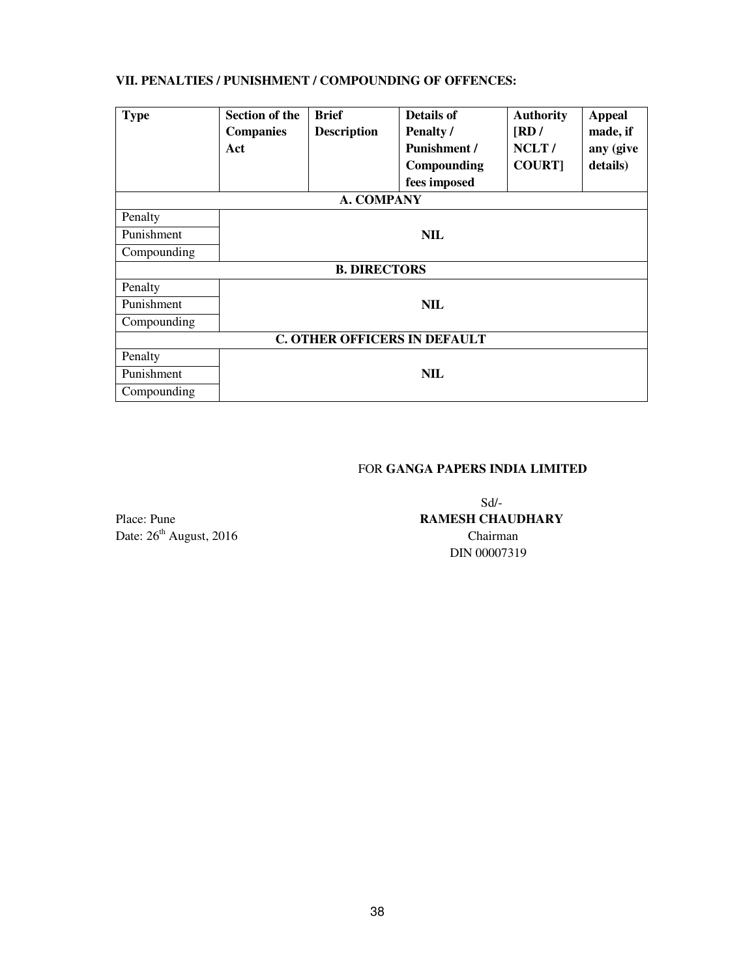## **VII. PENALTIES / PUNISHMENT / COMPOUNDING OF OFFENCES:**

| <b>Type</b>                         | <b>Section of the</b><br><b>Companies</b><br>Act | <b>Brief</b><br><b>Description</b> | <b>Details of</b><br>Penalty /<br><b>Punishment /</b><br>Compounding<br>fees imposed | <b>Authority</b><br>$\overline{\text{RD}}$<br>NCLT/<br><b>COURT1</b> | <b>Appeal</b><br>made, if<br>any (give<br>details) |
|-------------------------------------|--------------------------------------------------|------------------------------------|--------------------------------------------------------------------------------------|----------------------------------------------------------------------|----------------------------------------------------|
| A. COMPANY                          |                                                  |                                    |                                                                                      |                                                                      |                                                    |
| Penalty                             |                                                  |                                    |                                                                                      |                                                                      |                                                    |
| Punishment                          | <b>NIL</b>                                       |                                    |                                                                                      |                                                                      |                                                    |
| Compounding                         |                                                  |                                    |                                                                                      |                                                                      |                                                    |
|                                     |                                                  | <b>B. DIRECTORS</b>                |                                                                                      |                                                                      |                                                    |
| Penalty                             |                                                  |                                    |                                                                                      |                                                                      |                                                    |
| Punishment                          |                                                  |                                    | <b>NIL</b>                                                                           |                                                                      |                                                    |
| Compounding                         |                                                  |                                    |                                                                                      |                                                                      |                                                    |
| <b>C. OTHER OFFICERS IN DEFAULT</b> |                                                  |                                    |                                                                                      |                                                                      |                                                    |
| Penalty                             |                                                  |                                    |                                                                                      |                                                                      |                                                    |
| Punishment                          | <b>NIL</b>                                       |                                    |                                                                                      |                                                                      |                                                    |
| Compounding                         |                                                  |                                    |                                                                                      |                                                                      |                                                    |

## FOR **GANGA PAPERS INDIA LIMITED**

Date:  $26<sup>th</sup>$  August, 2016 Chairman

Sd/- Place: Pune **RAMESH CHAUDHARY** DIN 00007319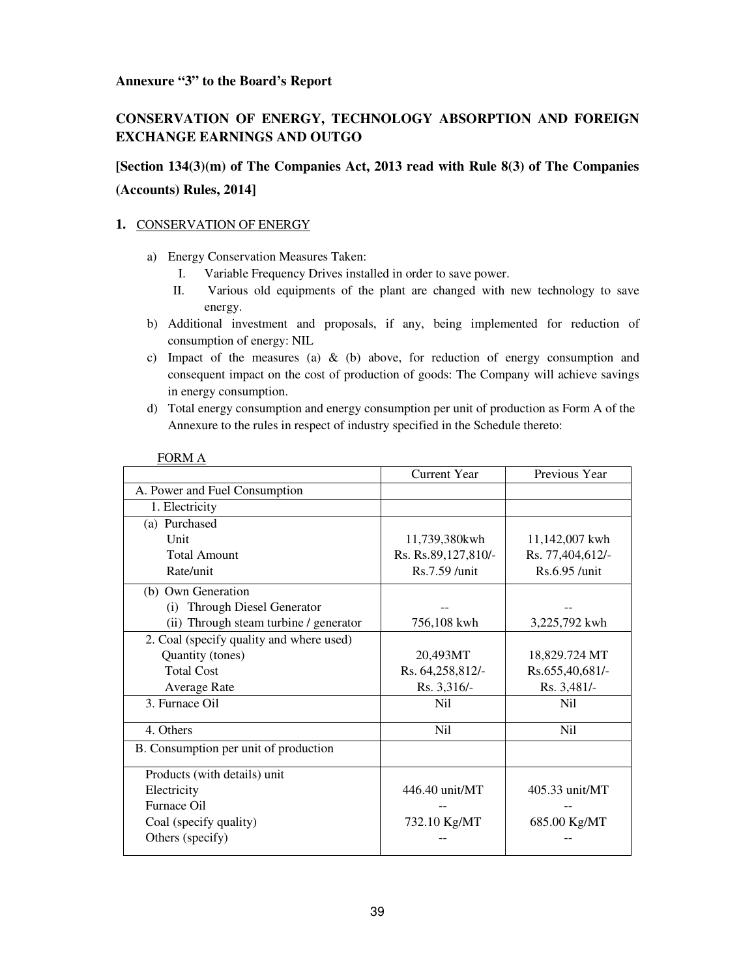#### **Annexure "3" to the Board's Report**

## **CONSERVATION OF ENERGY, TECHNOLOGY ABSORPTION AND FOREIGN EXCHANGE EARNINGS AND OUTGO**

# **[Section 134(3)(m) of The Companies Act, 2013 read with Rule 8(3) of The Companies (Accounts) Rules, 2014]**

#### **1.** CONSERVATION OF ENERGY

- a) Energy Conservation Measures Taken:
	- I. Variable Frequency Drives installed in order to save power.
	- II. Various old equipments of the plant are changed with new technology to save energy.
- b) Additional investment and proposals, if any, being implemented for reduction of consumption of energy: NIL
- c) Impact of the measures (a)  $\&$  (b) above, for reduction of energy consumption and consequent impact on the cost of production of goods: The Company will achieve savings in energy consumption.
- d) Total energy consumption and energy consumption per unit of production as Form A of the Annexure to the rules in respect of industry specified in the Schedule thereto:

|                                          | <b>Current Year</b> | Previous Year    |
|------------------------------------------|---------------------|------------------|
| A. Power and Fuel Consumption            |                     |                  |
| 1. Electricity                           |                     |                  |
| (a) Purchased                            |                     |                  |
| Unit                                     | 11,739,380kwh       | 11,142,007 kwh   |
| <b>Total Amount</b>                      | Rs. Rs.89,127,810/- | Rs. 77,404,612/- |
| Rate/unit                                | Rs.7.59 /unit       | Rs.6.95 /unit    |
| (b) Own Generation                       |                     |                  |
| (i) Through Diesel Generator             |                     |                  |
| (ii) Through steam turbine / generator   | 756,108 kwh         | 3,225,792 kwh    |
| 2. Coal (specify quality and where used) |                     |                  |
| Quantity (tones)                         | 20,493MT            | 18,829.724 MT    |
| <b>Total Cost</b>                        | Rs. 64,258,812/-    | Rs.655,40,681/-  |
| <b>Average Rate</b>                      | Rs. 3,316/-         | Rs. 3,481/-      |
| 3. Furnace Oil                           | N <sub>i</sub>      | Nil              |
| 4. Others                                | Ni1                 | N <sub>i</sub>   |
| B. Consumption per unit of production    |                     |                  |
| Products (with details) unit             |                     |                  |
| Electricity                              | 446.40 unit/MT      | 405.33 unit/MT   |
| Furnace Oil                              |                     |                  |
| Coal (specify quality)                   | 732.10 Kg/MT        | 685.00 Kg/MT     |
| Others (specify)                         |                     |                  |

#### FORM A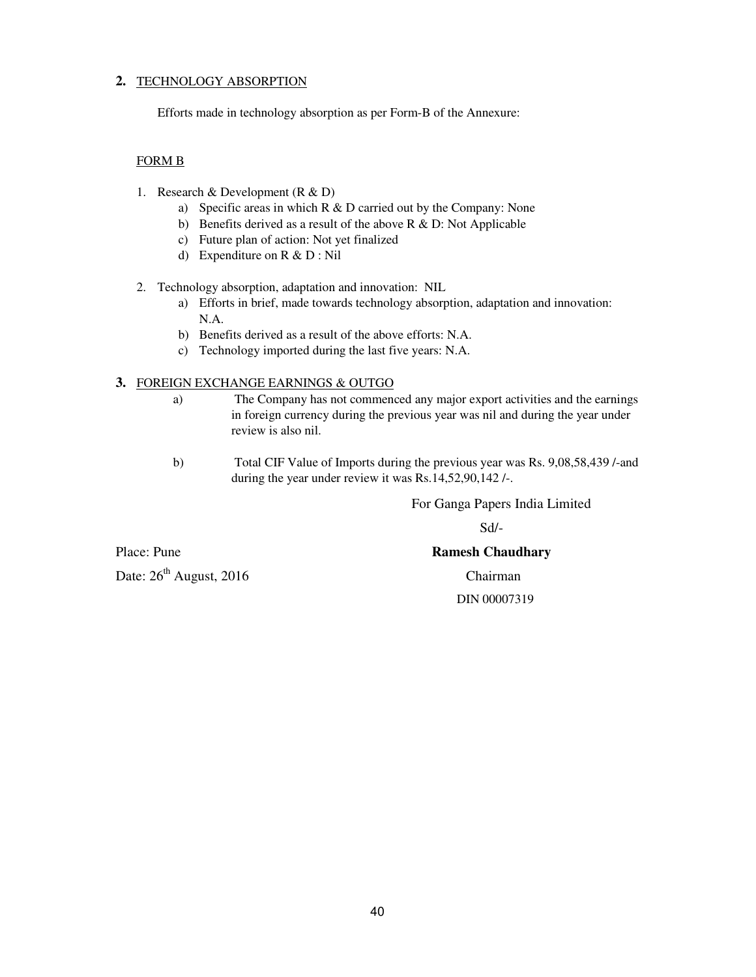#### **2.** TECHNOLOGY ABSORPTION

Efforts made in technology absorption as per Form-B of the Annexure:

#### FORM B

- 1. Research & Development (R & D)
	- a) Specific areas in which R & D carried out by the Company: None
	- b) Benefits derived as a result of the above R & D: Not Applicable
	- c) Future plan of action: Not yet finalized
	- d) Expenditure on R & D : Nil

#### 2. Technology absorption, adaptation and innovation: NIL

- a) Efforts in brief, made towards technology absorption, adaptation and innovation: N.A.
- b) Benefits derived as a result of the above efforts: N.A.
- c) Technology imported during the last five years: N.A.

#### **3.** FOREIGN EXCHANGE EARNINGS & OUTGO

- a) The Company has not commenced any major export activities and the earnings in foreign currency during the previous year was nil and during the year under review is also nil.
- b) Total CIF Value of Imports during the previous year was Rs. 9,08,58,439 /-and during the year under review it was Rs.14,52,90,142 /-.

For Ganga Papers India Limited

Sd/-

Date:  $26<sup>th</sup>$  August, 2016 Chairman

#### Place: Pune **Ramesh Chaudhary Ramesh Chaudhary**

DIN 00007319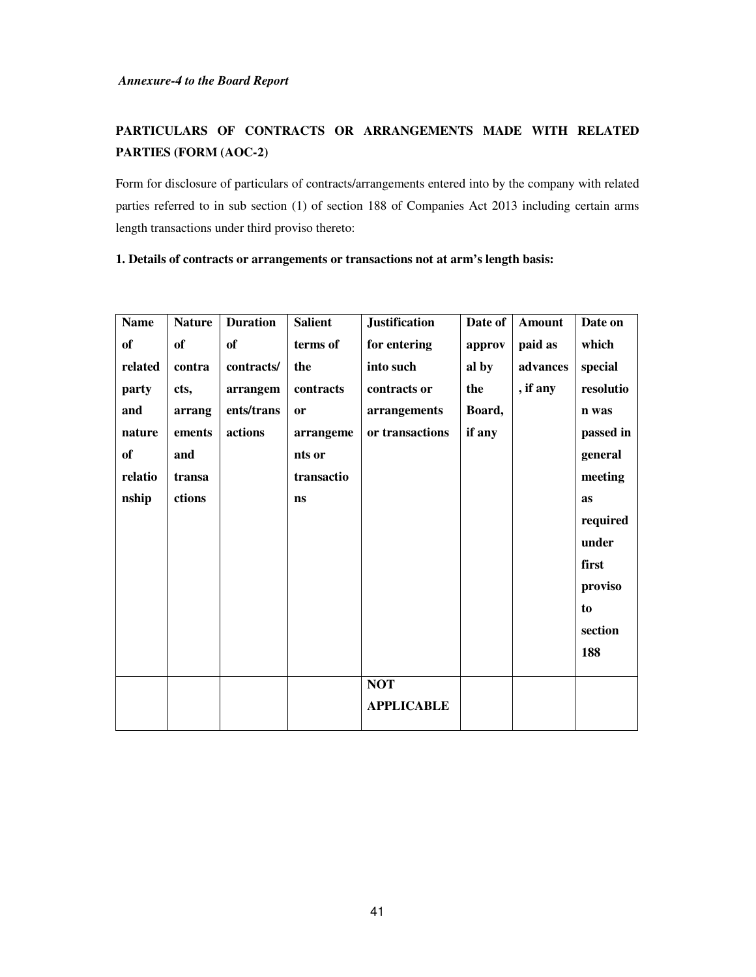# **PARTICULARS OF CONTRACTS OR ARRANGEMENTS MADE WITH RELATED PARTIES (FORM (AOC-2)**

Form for disclosure of particulars of contracts/arrangements entered into by the company with related parties referred to in sub section (1) of section 188 of Companies Act 2013 including certain arms length transactions under third proviso thereto:

| 1. Details of contracts or arrangements or transactions not at arm's length basis: |  |  |  |  |  |  |  |  |
|------------------------------------------------------------------------------------|--|--|--|--|--|--|--|--|
|------------------------------------------------------------------------------------|--|--|--|--|--|--|--|--|

| <b>Name</b> | <b>Nature</b> | <b>Duration</b> | <b>Salient</b> | <b>Justification</b> | Date of | <b>Amount</b> | Date on   |
|-------------|---------------|-----------------|----------------|----------------------|---------|---------------|-----------|
| <b>of</b>   | of            | of              | terms of       | for entering         | approv  | paid as       | which     |
| related     | contra        | contracts/      | the            | into such            | al by   | advances      | special   |
| party       | cts,          | arrangem        | contracts      | contracts or         | the     | , if any      | resolutio |
| and         | arrang        | ents/trans      | <b>or</b>      | arrangements         | Board,  |               | n was     |
| nature      | ements        | actions         | arrangeme      | or transactions      | if any  |               | passed in |
| of          | and           |                 | nts or         |                      |         |               | general   |
| relatio     | transa        |                 | transactio     |                      |         |               | meeting   |
| nship       | ctions        |                 | <b>ns</b>      |                      |         |               | as        |
|             |               |                 |                |                      |         |               | required  |
|             |               |                 |                |                      |         |               | under     |
|             |               |                 |                |                      |         |               | first     |
|             |               |                 |                |                      |         |               | proviso   |
|             |               |                 |                |                      |         |               | to        |
|             |               |                 |                |                      |         |               | section   |
|             |               |                 |                |                      |         |               | 188       |
|             |               |                 |                | <b>NOT</b>           |         |               |           |
|             |               |                 |                | <b>APPLICABLE</b>    |         |               |           |
|             |               |                 |                |                      |         |               |           |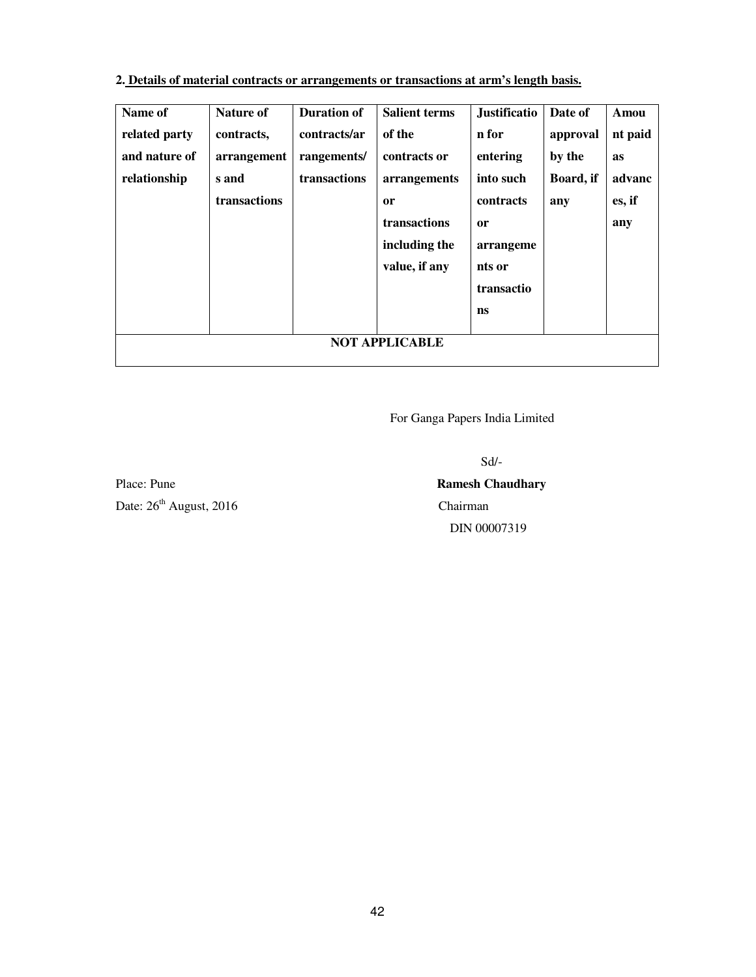## **2. Details of material contracts or arrangements or transactions at arm's length basis.**

| Name of       | Nature of             | <b>Duration of</b> | <b>Salient terms</b> | <b>Justificatio</b> | Date of   | Amou      |
|---------------|-----------------------|--------------------|----------------------|---------------------|-----------|-----------|
| related party | contracts,            | contracts/ar       | of the               | n for               | approval  | nt paid   |
| and nature of | arrangement           | rangements/        | contracts or         | entering            | by the    | <b>as</b> |
| relationship  | s and                 | transactions       | arrangements         | into such           | Board, if | advanc    |
|               | transactions          |                    | or                   | contracts           | any       | es, if    |
|               |                       |                    | transactions         | <b>or</b>           |           | any       |
|               |                       |                    | including the        | arrangeme           |           |           |
|               |                       |                    | value, if any        | nts or              |           |           |
|               |                       |                    |                      | transactio          |           |           |
|               |                       |                    |                      | ns                  |           |           |
|               |                       |                    |                      |                     |           |           |
|               | <b>NOT APPLICABLE</b> |                    |                      |                     |           |           |
|               |                       |                    |                      |                     |           |           |

For Ganga Papers India Limited

Sd/-

Place: Pune **Ramesh Chaudhary Ramesh Chaudhary** Date:  $26<sup>th</sup>$  August, 2016 Chairman

# DIN 00007319

42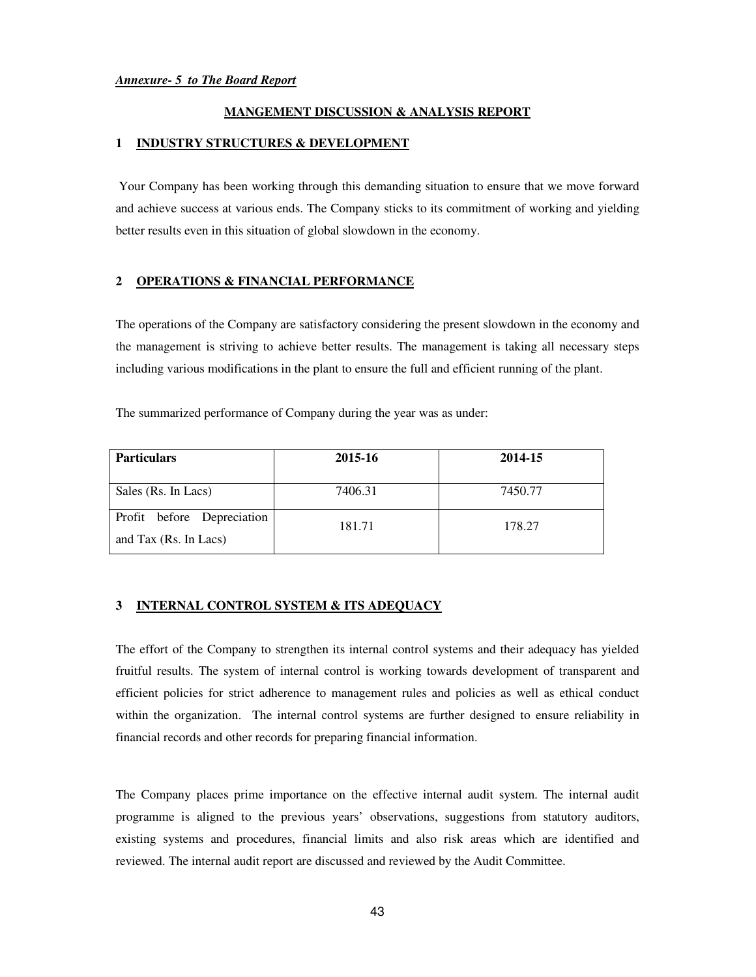#### **MANGEMENT DISCUSSION & ANALYSIS REPORT**

#### **1 INDUSTRY STRUCTURES & DEVELOPMENT**

 Your Company has been working through this demanding situation to ensure that we move forward and achieve success at various ends. The Company sticks to its commitment of working and yielding better results even in this situation of global slowdown in the economy.

#### **2 OPERATIONS & FINANCIAL PERFORMANCE**

The operations of the Company are satisfactory considering the present slowdown in the economy and the management is striving to achieve better results. The management is taking all necessary steps including various modifications in the plant to ensure the full and efficient running of the plant.

The summarized performance of Company during the year was as under:

| <b>Particulars</b>                                  | 2015-16 | 2014-15 |  |
|-----------------------------------------------------|---------|---------|--|
| Sales (Rs. In Lacs)                                 | 7406.31 | 7450.77 |  |
|                                                     |         |         |  |
| Profit before Depreciation<br>and Tax (Rs. In Lacs) | 181.71  | 178.27  |  |

#### **3 INTERNAL CONTROL SYSTEM & ITS ADEQUACY**

The effort of the Company to strengthen its internal control systems and their adequacy has yielded fruitful results. The system of internal control is working towards development of transparent and efficient policies for strict adherence to management rules and policies as well as ethical conduct within the organization. The internal control systems are further designed to ensure reliability in financial records and other records for preparing financial information.

The Company places prime importance on the effective internal audit system. The internal audit programme is aligned to the previous years' observations, suggestions from statutory auditors, existing systems and procedures, financial limits and also risk areas which are identified and reviewed. The internal audit report are discussed and reviewed by the Audit Committee.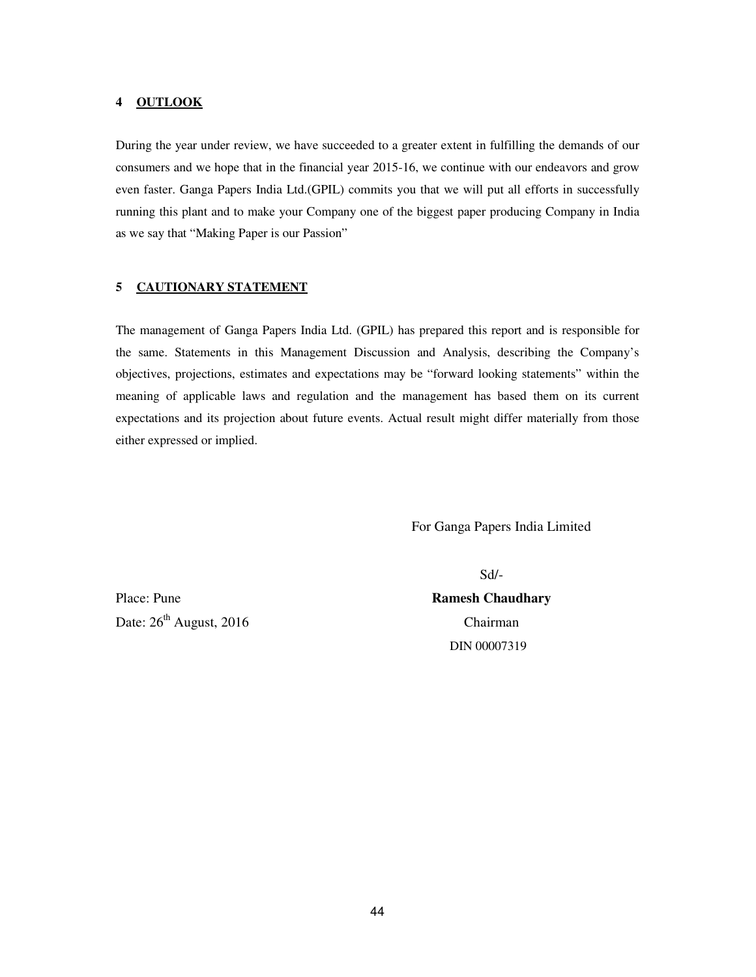#### **4 OUTLOOK**

During the year under review, we have succeeded to a greater extent in fulfilling the demands of our consumers and we hope that in the financial year 2015-16, we continue with our endeavors and grow even faster. Ganga Papers India Ltd.(GPIL) commits you that we will put all efforts in successfully running this plant and to make your Company one of the biggest paper producing Company in India as we say that "Making Paper is our Passion"

#### **5 CAUTIONARY STATEMENT**

The management of Ganga Papers India Ltd. (GPIL) has prepared this report and is responsible for the same. Statements in this Management Discussion and Analysis, describing the Company's objectives, projections, estimates and expectations may be "forward looking statements" within the meaning of applicable laws and regulation and the management has based them on its current expectations and its projection about future events. Actual result might differ materially from those either expressed or implied.

For Ganga Papers India Limited

Date:  $26<sup>th</sup>$  August, 2016 Chairman

Place: Pune **Ramesh Chaudhary Ramesh Chaudhary** DIN 00007319

Sd/-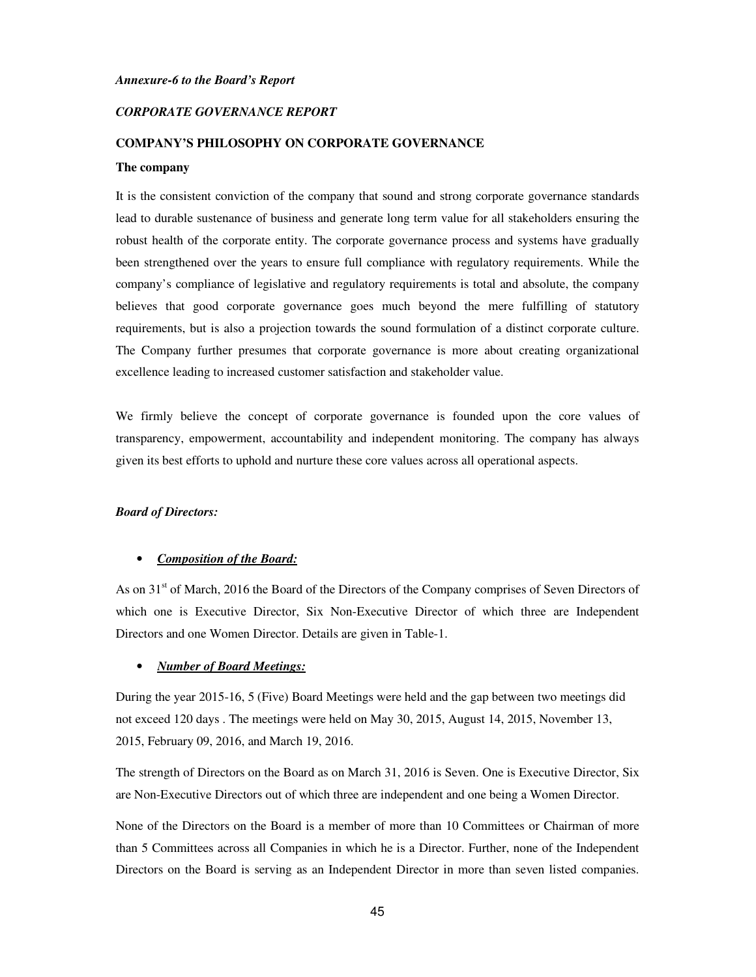#### *Annexure-6 to the Board's Report*

#### *CORPORATE GOVERNANCE REPORT*

#### **COMPANY'S PHILOSOPHY ON CORPORATE GOVERNANCE**

#### **The company**

It is the consistent conviction of the company that sound and strong corporate governance standards lead to durable sustenance of business and generate long term value for all stakeholders ensuring the robust health of the corporate entity. The corporate governance process and systems have gradually been strengthened over the years to ensure full compliance with regulatory requirements. While the company's compliance of legislative and regulatory requirements is total and absolute, the company believes that good corporate governance goes much beyond the mere fulfilling of statutory requirements, but is also a projection towards the sound formulation of a distinct corporate culture. The Company further presumes that corporate governance is more about creating organizational excellence leading to increased customer satisfaction and stakeholder value.

We firmly believe the concept of corporate governance is founded upon the core values of transparency, empowerment, accountability and independent monitoring. The company has always given its best efforts to uphold and nurture these core values across all operational aspects.

#### *Board of Directors:*

#### • *Composition of the Board:*

As on 31<sup>st</sup> of March, 2016 the Board of the Directors of the Company comprises of Seven Directors of which one is Executive Director, Six Non-Executive Director of which three are Independent Directors and one Women Director. Details are given in Table-1.

#### • *Number of Board Meetings:*

During the year 2015-16, 5 (Five) Board Meetings were held and the gap between two meetings did not exceed 120 days . The meetings were held on May 30, 2015, August 14, 2015, November 13, 2015, February 09, 2016, and March 19, 2016.

The strength of Directors on the Board as on March 31, 2016 is Seven. One is Executive Director, Six are Non-Executive Directors out of which three are independent and one being a Women Director.

None of the Directors on the Board is a member of more than 10 Committees or Chairman of more than 5 Committees across all Companies in which he is a Director. Further, none of the Independent Directors on the Board is serving as an Independent Director in more than seven listed companies.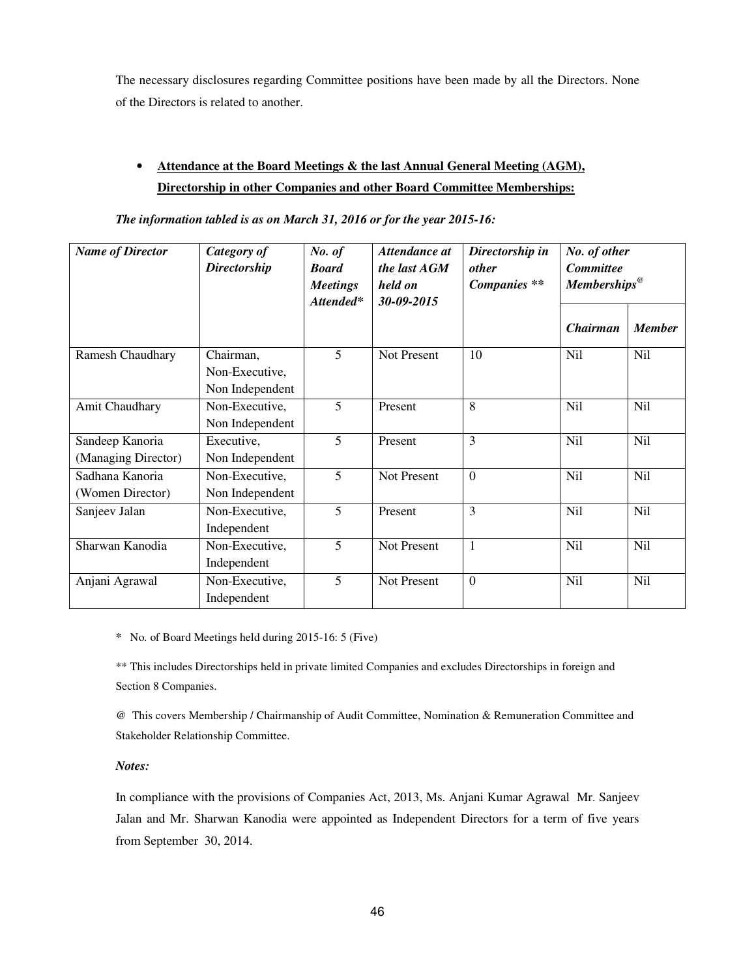The necessary disclosures regarding Committee positions have been made by all the Directors. None of the Directors is related to another.

# • **Attendance at the Board Meetings & the last Annual General Meeting (AGM), Directorship in other Companies and other Board Committee Memberships:**

| <b>Name of Director</b>                | Category of<br><b>Directorship</b>             | No. of<br><b>Board</b><br><b>Meetings</b><br>Attended* | Attendance at<br>the last $AGM$<br>held on<br>30-09-2015 | Directorship in<br><i>other</i><br>Companies ** | No. of other<br><b>Committee</b><br>$Memberships\omega$ |               |
|----------------------------------------|------------------------------------------------|--------------------------------------------------------|----------------------------------------------------------|-------------------------------------------------|---------------------------------------------------------|---------------|
|                                        |                                                |                                                        |                                                          |                                                 | <b>Chairman</b>                                         | <b>Member</b> |
| Ramesh Chaudhary                       | Chairman,<br>Non-Executive,<br>Non Independent | 5                                                      | Not Present                                              | 10                                              | <b>Nil</b>                                              | Nil           |
| Amit Chaudhary                         | Non-Executive,<br>Non Independent              | 5                                                      | Present                                                  | 8                                               | <b>Nil</b>                                              | <b>Nil</b>    |
| Sandeep Kanoria<br>(Managing Director) | Executive,<br>Non Independent                  | 5                                                      | Present                                                  | $\overline{3}$                                  | <b>Nil</b>                                              | Nil           |
| Sadhana Kanoria<br>(Women Director)    | Non-Executive,<br>Non Independent              | 5                                                      | <b>Not Present</b>                                       | $\overline{0}$                                  | <b>Nil</b>                                              | <b>Nil</b>    |
| Sanjeev Jalan                          | Non-Executive,<br>Independent                  | 5                                                      | Present                                                  | 3                                               | <b>Nil</b>                                              | <b>Nil</b>    |
| Sharwan Kanodia                        | Non-Executive,<br>Independent                  | 5                                                      | Not Present                                              | $\mathbf{1}$                                    | Nil                                                     | Nil           |
| Anjani Agrawal                         | Non-Executive,<br>Independent                  | 5                                                      | Not Present                                              | $\overline{0}$                                  | <b>Nil</b>                                              | <b>Nil</b>    |

*The information tabled is as on March 31, 2016 or for the year 2015-16:* 

*\** No. of Board Meetings held during 2015-16: 5 (Five)

\*\* This includes Directorships held in private limited Companies and excludes Directorships in foreign and Section 8 Companies.

@ This covers Membership / Chairmanship of Audit Committee, Nomination & Remuneration Committee and Stakeholder Relationship Committee.

#### *Notes:*

In compliance with the provisions of Companies Act, 2013, Ms. Anjani Kumar Agrawal Mr. Sanjeev Jalan and Mr. Sharwan Kanodia were appointed as Independent Directors for a term of five years from September 30, 2014.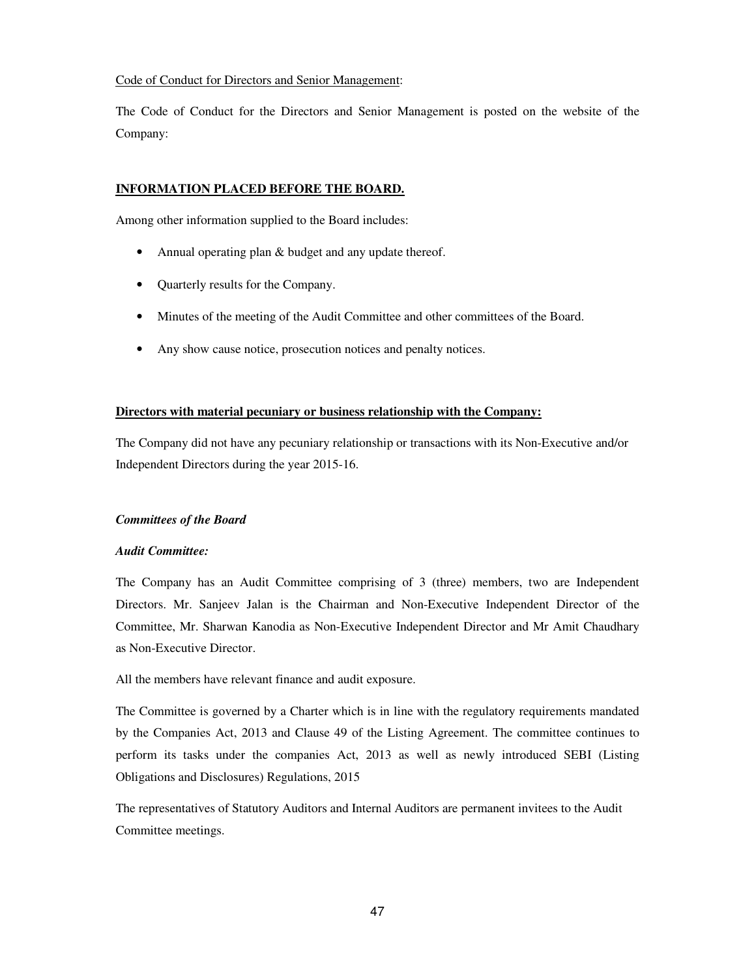#### Code of Conduct for Directors and Senior Management:

The Code of Conduct for the Directors and Senior Management is posted on the website of the Company:

#### **INFORMATION PLACED BEFORE THE BOARD.**

Among other information supplied to the Board includes:

- Annual operating plan & budget and any update thereof.
- Quarterly results for the Company.
- Minutes of the meeting of the Audit Committee and other committees of the Board.
- Any show cause notice, prosecution notices and penalty notices.

#### **Directors with material pecuniary or business relationship with the Company:**

The Company did not have any pecuniary relationship or transactions with its Non-Executive and/or Independent Directors during the year 2015-16.

#### *Committees of the Board*

#### *Audit Committee:*

The Company has an Audit Committee comprising of 3 (three) members, two are Independent Directors. Mr. Sanjeev Jalan is the Chairman and Non-Executive Independent Director of the Committee, Mr. Sharwan Kanodia as Non-Executive Independent Director and Mr Amit Chaudhary as Non-Executive Director.

All the members have relevant finance and audit exposure.

The Committee is governed by a Charter which is in line with the regulatory requirements mandated by the Companies Act, 2013 and Clause 49 of the Listing Agreement. The committee continues to perform its tasks under the companies Act, 2013 as well as newly introduced SEBI (Listing Obligations and Disclosures) Regulations, 2015

The representatives of Statutory Auditors and Internal Auditors are permanent invitees to the Audit Committee meetings.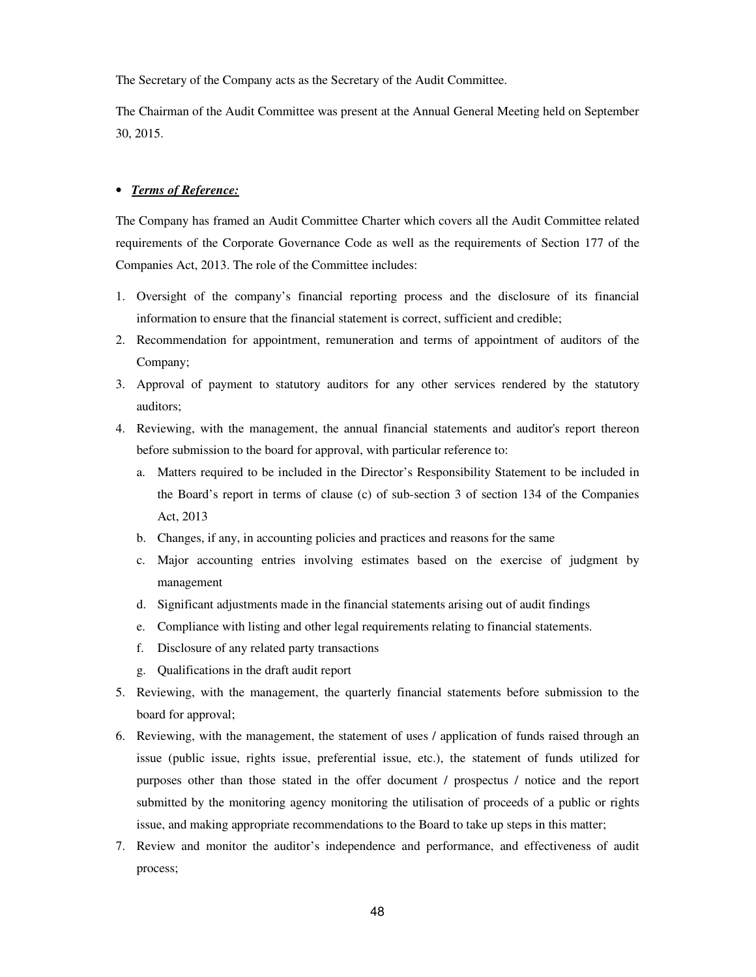The Secretary of the Company acts as the Secretary of the Audit Committee.

The Chairman of the Audit Committee was present at the Annual General Meeting held on September 30, 2015.

#### • *Terms of Reference:*

The Company has framed an Audit Committee Charter which covers all the Audit Committee related requirements of the Corporate Governance Code as well as the requirements of Section 177 of the Companies Act, 2013. The role of the Committee includes:

- 1. Oversight of the company's financial reporting process and the disclosure of its financial information to ensure that the financial statement is correct, sufficient and credible;
- 2. Recommendation for appointment, remuneration and terms of appointment of auditors of the Company;
- 3. Approval of payment to statutory auditors for any other services rendered by the statutory auditors;
- 4. Reviewing, with the management, the annual financial statements and auditor's report thereon before submission to the board for approval, with particular reference to:
	- a. Matters required to be included in the Director's Responsibility Statement to be included in the Board's report in terms of clause (c) of sub-section 3 of section 134 of the Companies Act, 2013
	- b. Changes, if any, in accounting policies and practices and reasons for the same
	- c. Major accounting entries involving estimates based on the exercise of judgment by management
	- d. Significant adjustments made in the financial statements arising out of audit findings
	- e. Compliance with listing and other legal requirements relating to financial statements.
	- f. Disclosure of any related party transactions
	- g. Qualifications in the draft audit report
- 5. Reviewing, with the management, the quarterly financial statements before submission to the board for approval;
- 6. Reviewing, with the management, the statement of uses / application of funds raised through an issue (public issue, rights issue, preferential issue, etc.), the statement of funds utilized for purposes other than those stated in the offer document / prospectus / notice and the report submitted by the monitoring agency monitoring the utilisation of proceeds of a public or rights issue, and making appropriate recommendations to the Board to take up steps in this matter;
- 7. Review and monitor the auditor's independence and performance, and effectiveness of audit process;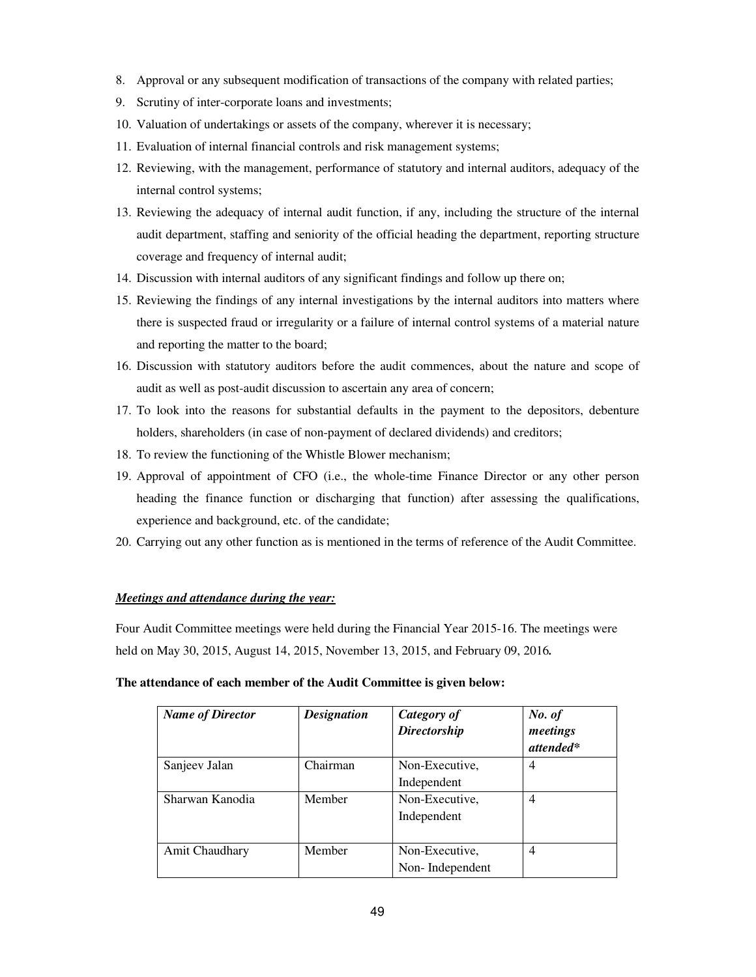- 8. Approval or any subsequent modification of transactions of the company with related parties;
- 9. Scrutiny of inter-corporate loans and investments;
- 10. Valuation of undertakings or assets of the company, wherever it is necessary;
- 11. Evaluation of internal financial controls and risk management systems;
- 12. Reviewing, with the management, performance of statutory and internal auditors, adequacy of the internal control systems;
- 13. Reviewing the adequacy of internal audit function, if any, including the structure of the internal audit department, staffing and seniority of the official heading the department, reporting structure coverage and frequency of internal audit;
- 14. Discussion with internal auditors of any significant findings and follow up there on;
- 15. Reviewing the findings of any internal investigations by the internal auditors into matters where there is suspected fraud or irregularity or a failure of internal control systems of a material nature and reporting the matter to the board;
- 16. Discussion with statutory auditors before the audit commences, about the nature and scope of audit as well as post-audit discussion to ascertain any area of concern;
- 17. To look into the reasons for substantial defaults in the payment to the depositors, debenture holders, shareholders (in case of non-payment of declared dividends) and creditors;
- 18. To review the functioning of the Whistle Blower mechanism;
- 19. Approval of appointment of CFO (i.e., the whole-time Finance Director or any other person heading the finance function or discharging that function) after assessing the qualifications, experience and background, etc. of the candidate;
- 20. Carrying out any other function as is mentioned in the terms of reference of the Audit Committee.

#### *Meetings and attendance during the year:*

Four Audit Committee meetings were held during the Financial Year 2015-16. The meetings were held on May 30, 2015, August 14, 2015, November 13, 2015, and February 09, 2016*.*

#### **The attendance of each member of the Audit Committee is given below:**

| <b>Name of Director</b> | <b>Designation</b> | Category of<br><b>Directorship</b> | No. of<br>meetings<br>attended* |
|-------------------------|--------------------|------------------------------------|---------------------------------|
| Sanjeev Jalan           | Chairman           | Non-Executive,                     | 4                               |
|                         |                    | Independent                        |                                 |
| Sharwan Kanodia         | Member             | Non-Executive,                     | 4                               |
|                         |                    | Independent                        |                                 |
| Amit Chaudhary          | Member             | Non-Executive,                     | 4                               |
|                         |                    | Non-Independent                    |                                 |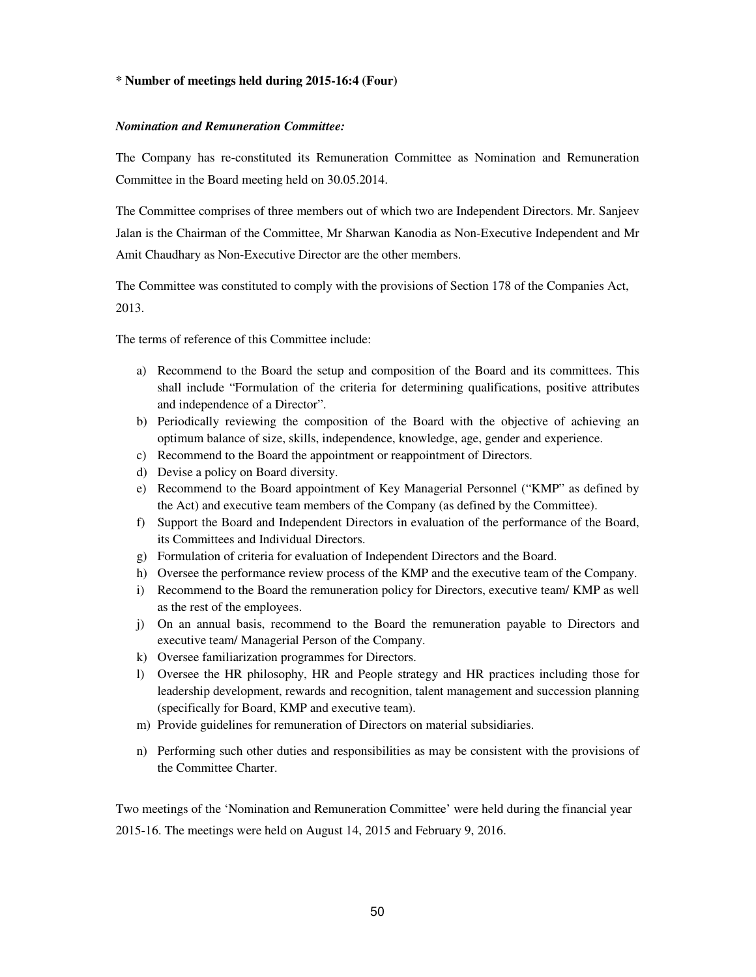#### **\* Number of meetings held during 2015-16:4 (Four)**

#### *Nomination and Remuneration Committee:*

The Company has re-constituted its Remuneration Committee as Nomination and Remuneration Committee in the Board meeting held on 30.05.2014.

The Committee comprises of three members out of which two are Independent Directors. Mr. Sanjeev Jalan is the Chairman of the Committee, Mr Sharwan Kanodia as Non-Executive Independent and Mr Amit Chaudhary as Non-Executive Director are the other members.

The Committee was constituted to comply with the provisions of Section 178 of the Companies Act, 2013.

The terms of reference of this Committee include:

- a) Recommend to the Board the setup and composition of the Board and its committees. This shall include "Formulation of the criteria for determining qualifications, positive attributes and independence of a Director".
- b) Periodically reviewing the composition of the Board with the objective of achieving an optimum balance of size, skills, independence, knowledge, age, gender and experience.
- c) Recommend to the Board the appointment or reappointment of Directors.
- d) Devise a policy on Board diversity.
- e) Recommend to the Board appointment of Key Managerial Personnel ("KMP" as defined by the Act) and executive team members of the Company (as defined by the Committee).
- f) Support the Board and Independent Directors in evaluation of the performance of the Board, its Committees and Individual Directors.
- g) Formulation of criteria for evaluation of Independent Directors and the Board.
- h) Oversee the performance review process of the KMP and the executive team of the Company.
- i) Recommend to the Board the remuneration policy for Directors, executive team/ KMP as well as the rest of the employees.
- j) On an annual basis, recommend to the Board the remuneration payable to Directors and executive team/ Managerial Person of the Company.
- k) Oversee familiarization programmes for Directors.
- l) Oversee the HR philosophy, HR and People strategy and HR practices including those for leadership development, rewards and recognition, talent management and succession planning (specifically for Board, KMP and executive team).
- m) Provide guidelines for remuneration of Directors on material subsidiaries.
- n) Performing such other duties and responsibilities as may be consistent with the provisions of the Committee Charter.

Two meetings of the 'Nomination and Remuneration Committee' were held during the financial year 2015-16. The meetings were held on August 14, 2015 and February 9, 2016.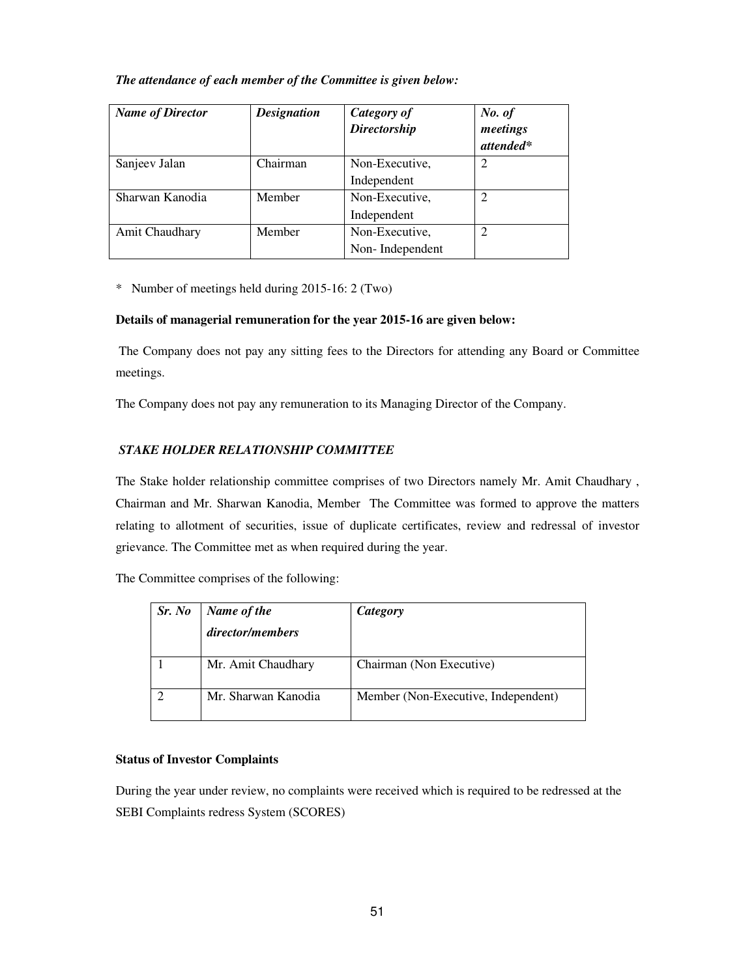#### *The attendance of each member of the Committee is given below:*

| <b>Name of Director</b> | <b>Designation</b> | <b>Category of</b><br><b>Directorship</b> | No. of<br>meetings<br>attended* |
|-------------------------|--------------------|-------------------------------------------|---------------------------------|
| Sanjeev Jalan           | Chairman           | Non-Executive,<br>Independent             |                                 |
| Sharwan Kanodia         | Member             | Non-Executive,<br>Independent             |                                 |
| Amit Chaudhary          | Member             | Non-Executive,<br>Non-Independent         |                                 |

\* Number of meetings held during 2015-16: 2 (Two)

#### **Details of managerial remuneration for the year 2015-16 are given below:**

The Company does not pay any sitting fees to the Directors for attending any Board or Committee meetings.

The Company does not pay any remuneration to its Managing Director of the Company.

## *STAKE HOLDER RELATIONSHIP COMMITTEE*

The Stake holder relationship committee comprises of two Directors namely Mr. Amit Chaudhary , Chairman and Mr. Sharwan Kanodia, Member The Committee was formed to approve the matters relating to allotment of securities, issue of duplicate certificates, review and redressal of investor grievance. The Committee met as when required during the year.

The Committee comprises of the following:

| Sr. No | Name of the         | Category                            |
|--------|---------------------|-------------------------------------|
|        | director/members    |                                     |
|        | Mr. Amit Chaudhary  | Chairman (Non Executive)            |
|        | Mr. Sharwan Kanodia | Member (Non-Executive, Independent) |

## **Status of Investor Complaints**

During the year under review, no complaints were received which is required to be redressed at the SEBI Complaints redress System (SCORES)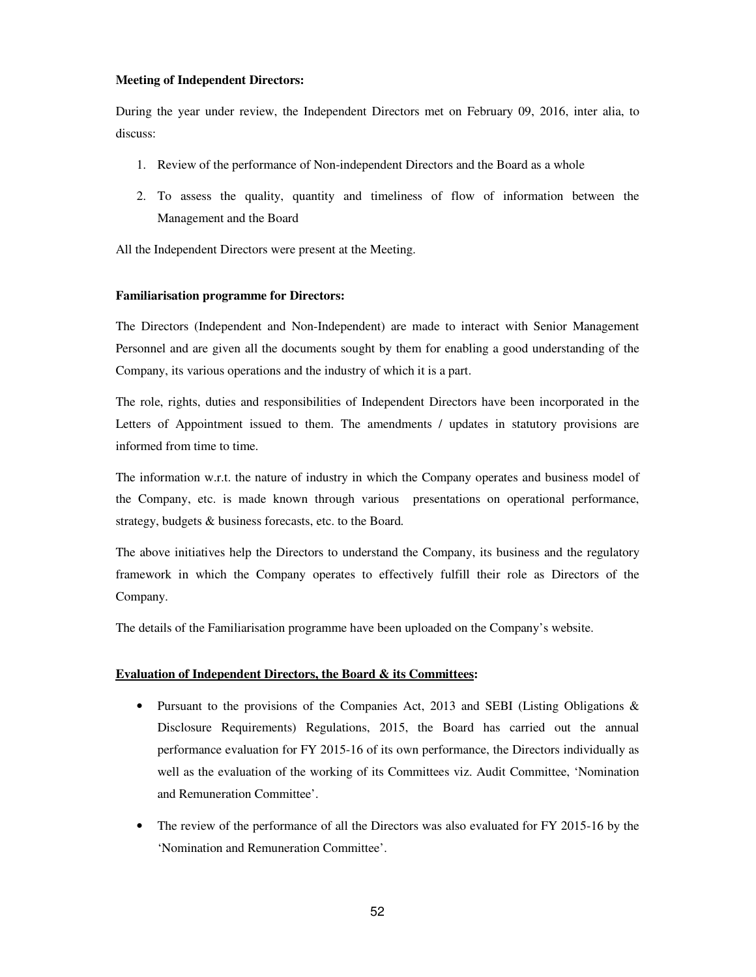#### **Meeting of Independent Directors:**

During the year under review, the Independent Directors met on February 09, 2016, inter alia, to discuss:

- 1. Review of the performance of Non-independent Directors and the Board as a whole
- 2. To assess the quality, quantity and timeliness of flow of information between the Management and the Board

All the Independent Directors were present at the Meeting.

#### **Familiarisation programme for Directors:**

The Directors (Independent and Non-Independent) are made to interact with Senior Management Personnel and are given all the documents sought by them for enabling a good understanding of the Company, its various operations and the industry of which it is a part.

The role, rights, duties and responsibilities of Independent Directors have been incorporated in the Letters of Appointment issued to them. The amendments / updates in statutory provisions are informed from time to time.

The information w.r.t. the nature of industry in which the Company operates and business model of the Company, etc. is made known through various presentations on operational performance, strategy, budgets & business forecasts, etc. to the Board*.* 

The above initiatives help the Directors to understand the Company, its business and the regulatory framework in which the Company operates to effectively fulfill their role as Directors of the Company.

The details of the Familiarisation programme have been uploaded on the Company's website.

#### **Evaluation of Independent Directors, the Board & its Committees:**

- Pursuant to the provisions of the Companies Act, 2013 and SEBI (Listing Obligations & Disclosure Requirements) Regulations, 2015, the Board has carried out the annual performance evaluation for FY 2015-16 of its own performance, the Directors individually as well as the evaluation of the working of its Committees viz. Audit Committee, 'Nomination and Remuneration Committee'.
- The review of the performance of all the Directors was also evaluated for FY 2015-16 by the 'Nomination and Remuneration Committee'.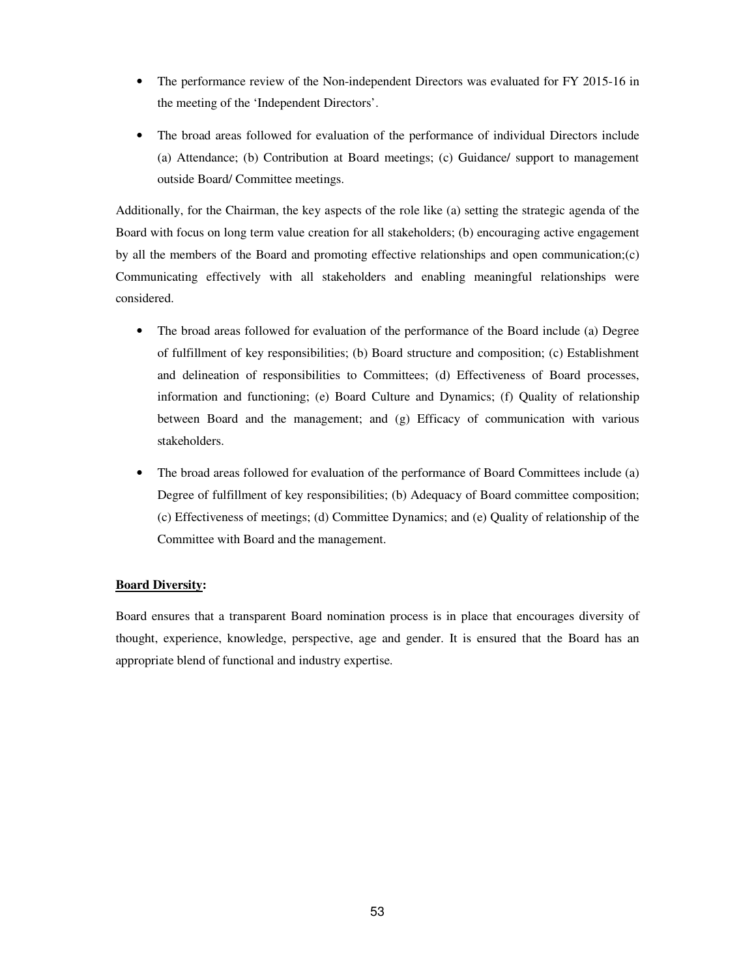- The performance review of the Non-independent Directors was evaluated for FY 2015-16 in the meeting of the 'Independent Directors'.
- The broad areas followed for evaluation of the performance of individual Directors include (a) Attendance; (b) Contribution at Board meetings; (c) Guidance/ support to management outside Board/ Committee meetings.

Additionally, for the Chairman, the key aspects of the role like (a) setting the strategic agenda of the Board with focus on long term value creation for all stakeholders; (b) encouraging active engagement by all the members of the Board and promoting effective relationships and open communication;(c) Communicating effectively with all stakeholders and enabling meaningful relationships were considered.

- The broad areas followed for evaluation of the performance of the Board include (a) Degree of fulfillment of key responsibilities; (b) Board structure and composition; (c) Establishment and delineation of responsibilities to Committees; (d) Effectiveness of Board processes, information and functioning; (e) Board Culture and Dynamics; (f) Quality of relationship between Board and the management; and (g) Efficacy of communication with various stakeholders.
- The broad areas followed for evaluation of the performance of Board Committees include (a) Degree of fulfillment of key responsibilities; (b) Adequacy of Board committee composition; (c) Effectiveness of meetings; (d) Committee Dynamics; and (e) Quality of relationship of the Committee with Board and the management.

#### **Board Diversity:**

Board ensures that a transparent Board nomination process is in place that encourages diversity of thought, experience, knowledge, perspective, age and gender. It is ensured that the Board has an appropriate blend of functional and industry expertise.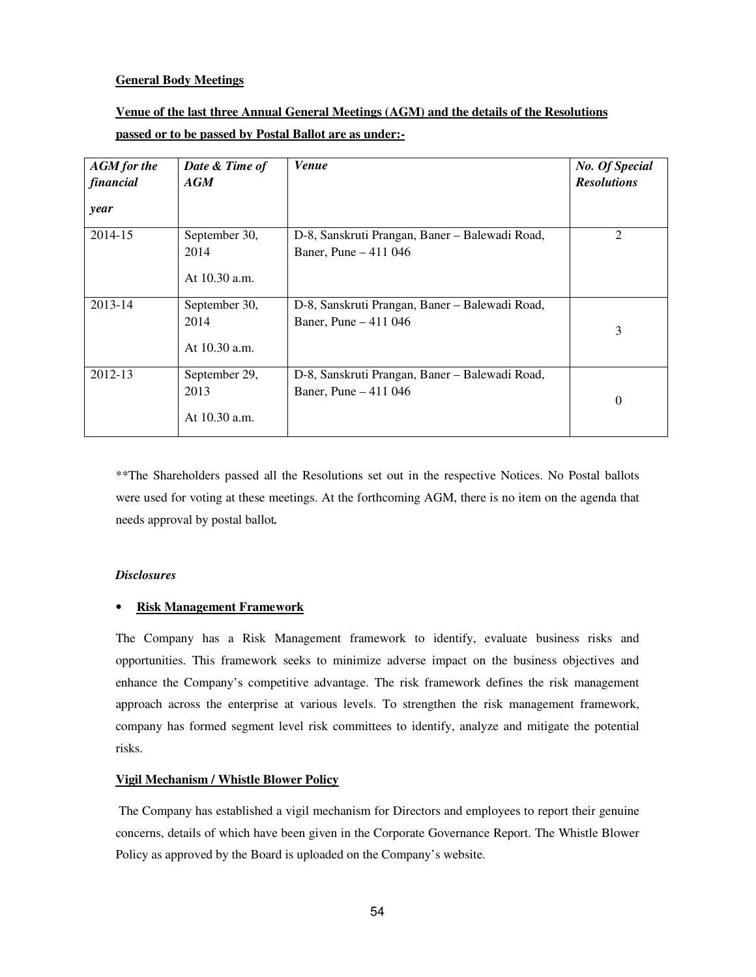#### **General Body Meetings**

# **Venue of the last three Annual General Meetings (AGM) and the details of the Resolutions passed or to be passed by Postal Ballot are as under:-**

| <b>AGM</b> for the<br>financial<br>year | Date & Time of<br>AGM                    | <b>Venue</b>                                                            | <b>No. Of Special</b><br><b>Resolutions</b> |
|-----------------------------------------|------------------------------------------|-------------------------------------------------------------------------|---------------------------------------------|
| 2014-15                                 | September 30,<br>2014<br>At $10.30$ a.m. | D-8, Sanskruti Prangan, Baner – Balewadi Road,<br>Baner, Pune - 411 046 | $\overline{2}$                              |
| 2013-14                                 | September 30,<br>2014<br>At 10.30 a.m.   | D-8, Sanskruti Prangan, Baner – Balewadi Road,<br>Baner, Pune - 411 046 | 3                                           |
| 2012-13                                 | September 29,<br>2013<br>At 10.30 a.m.   | D-8, Sanskruti Prangan, Baner – Balewadi Road,<br>Baner, Pune - 411 046 | $\boldsymbol{0}$                            |

\*\*The Shareholders passed all the Resolutions set out in the respective Notices. No Postal ballots were used for voting at these meetings. At the forthcoming AGM, there is no item on the agenda that needs approval by postal ballot*.* 

#### *Disclosures*

#### • **Risk Management Framework**

The Company has a Risk Management framework to identify, evaluate business risks and opportunities. This framework seeks to minimize adverse impact on the business objectives and enhance the Company's competitive advantage. The risk framework defines the risk management approach across the enterprise at various levels. To strengthen the risk management framework, company has formed segment level risk committees to identify, analyze and mitigate the potential risks.

#### **Vigil Mechanism / Whistle Blower Policy**

The Company has established a vigil mechanism for Directors and employees to report their genuine concerns, details of which have been given in the Corporate Governance Report. The Whistle Blower Policy as approved by the Board is uploaded on the Company's website.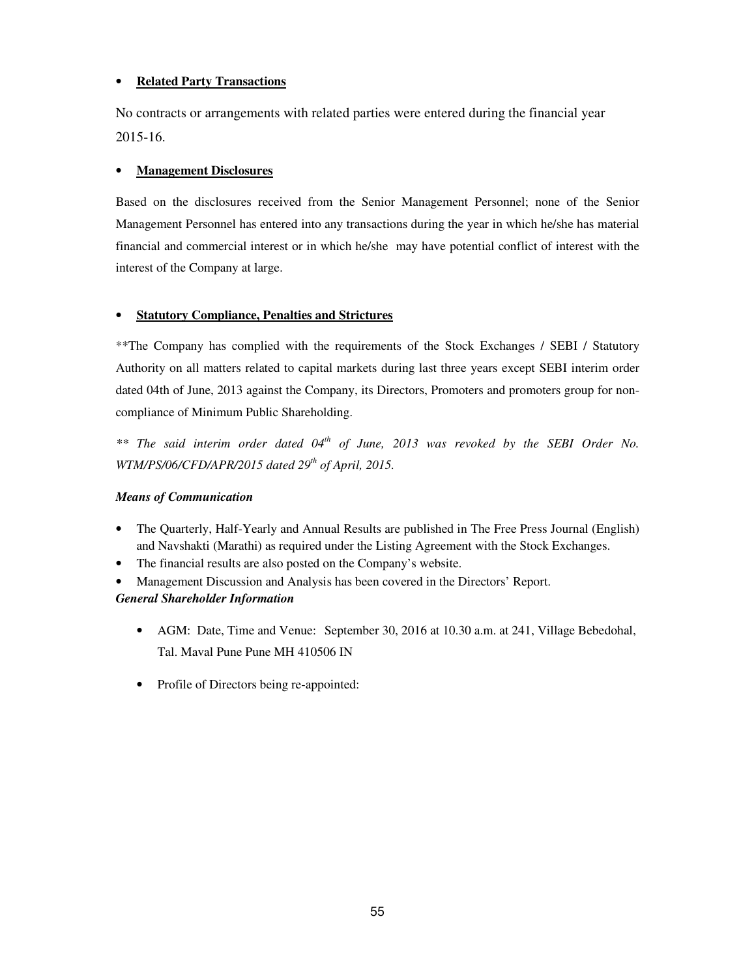## • **Related Party Transactions**

No contracts or arrangements with related parties were entered during the financial year 2015-16.

#### • **Management Disclosures**

Based on the disclosures received from the Senior Management Personnel; none of the Senior Management Personnel has entered into any transactions during the year in which he/she has material financial and commercial interest or in which he/she may have potential conflict of interest with the interest of the Company at large.

#### • **Statutory Compliance, Penalties and Strictures**

\*\*The Company has complied with the requirements of the Stock Exchanges / SEBI / Statutory Authority on all matters related to capital markets during last three years except SEBI interim order dated 04th of June, 2013 against the Company, its Directors, Promoters and promoters group for noncompliance of Minimum Public Shareholding.

*\*\* The said interim order dated 04th of June, 2013 was revoked by the SEBI Order No. WTM/PS/06/CFD/APR/2015 dated 29th of April, 2015.* 

#### *Means of Communication*

- The Quarterly, Half-Yearly and Annual Results are published in The Free Press Journal (English) and Navshakti (Marathi) as required under the Listing Agreement with the Stock Exchanges.
- The financial results are also posted on the Company's website.
- Management Discussion and Analysis has been covered in the Directors' Report. *General Shareholder Information* 
	- AGM: Date, Time and Venue: September 30, 2016 at 10.30 a.m. at 241, Village Bebedohal, Tal. Maval Pune Pune MH 410506 IN
	- Profile of Directors being re-appointed: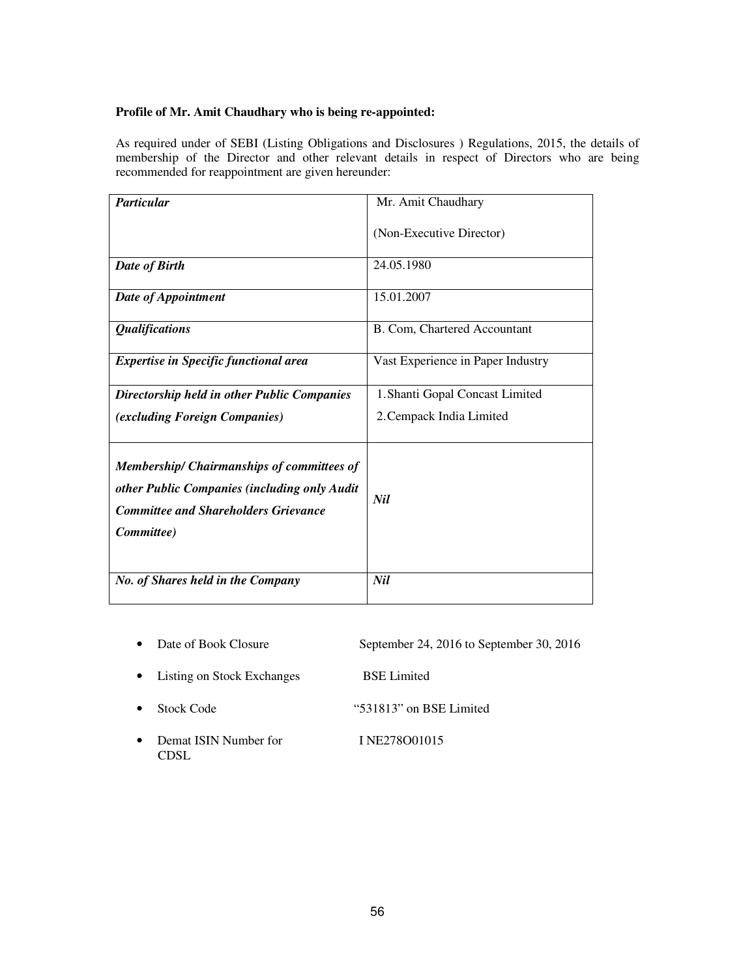#### **Profile of Mr. Amit Chaudhary who is being re-appointed:**

As required under of SEBI (Listing Obligations and Disclosures ) Regulations, 2015, the details of membership of the Director and other relevant details in respect of Directors who are being recommended for reappointment are given hereunder:

| <b>Particular</b>                                                                                                                                              | Mr. Amit Chaudhary                |  |  |
|----------------------------------------------------------------------------------------------------------------------------------------------------------------|-----------------------------------|--|--|
|                                                                                                                                                                | (Non-Executive Director)          |  |  |
| Date of Birth                                                                                                                                                  | 24.05.1980                        |  |  |
| Date of Appointment                                                                                                                                            | 15.01.2007                        |  |  |
| <i><b>Qualifications</b></i>                                                                                                                                   | B. Com, Chartered Accountant      |  |  |
| <b>Expertise in Specific functional area</b>                                                                                                                   | Vast Experience in Paper Industry |  |  |
| Directorship held in other Public Companies                                                                                                                    | 1. Shanti Gopal Concast Limited   |  |  |
| <i>(excluding Foreign Companies)</i>                                                                                                                           | 2. Cempack India Limited          |  |  |
| <b>Membership/ Chairmanships of committees of</b><br>other Public Companies (including only Audit<br><b>Committee and Shareholders Grievance</b><br>Committee) | Nil                               |  |  |
| No. of Shares held in the Company                                                                                                                              | Nil                               |  |  |

- Date of Book Closure September 24, 2016 to September 30, 2016
- Listing on Stock Exchanges BSE Limited
- Stock Code "531813" on BSE Limited
- Demat ISIN Number for I NE278001015 CDSL
-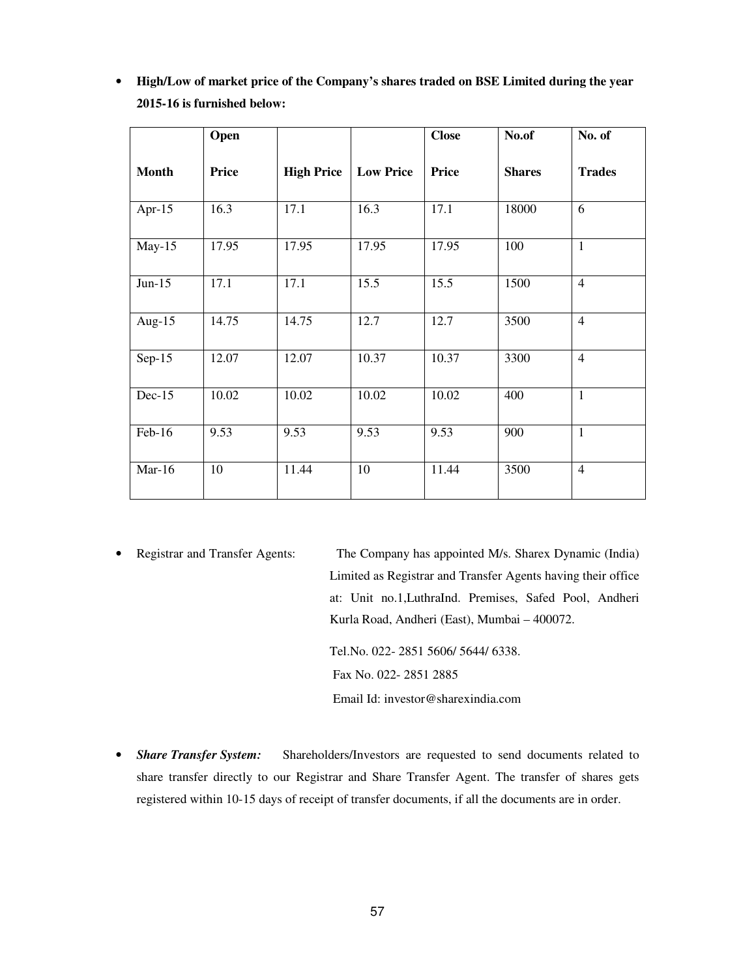|              | Open  |                   |                  | <b>Close</b> | No.of         | No. of         |
|--------------|-------|-------------------|------------------|--------------|---------------|----------------|
| <b>Month</b> | Price | <b>High Price</b> | <b>Low Price</b> | <b>Price</b> | <b>Shares</b> | <b>Trades</b>  |
| Apr-15       | 16.3  | 17.1              | 16.3             | 17.1         | 18000         | 6              |
| $May-15$     | 17.95 | 17.95             | 17.95            | 17.95        | 100           | $\mathbf{1}$   |
| $Jun-15$     | 17.1  | 17.1              | 15.5             | 15.5         | 1500          | $\overline{4}$ |
| Aug- $15$    | 14.75 | 14.75             | 12.7             | 12.7         | 3500          | $\overline{4}$ |
| $Sep-15$     | 12.07 | 12.07             | 10.37            | 10.37        | 3300          | $\overline{4}$ |
| $Dec-15$     | 10.02 | 10.02             | 10.02            | 10.02        | 400           | $\mathbf{1}$   |
| Feb-16       | 9.53  | 9.53              | 9.53             | 9.53         | 900           | $\mathbf{1}$   |
| $Mar-16$     | 10    | 11.44             | 10               | 11.44        | 3500          | $\overline{4}$ |

• **High/Low of market price of the Company's shares traded on BSE Limited during the year 2015-16 is furnished below:** 

• Registrar and Transfer Agents: The Company has appointed M/s. Sharex Dynamic (India) Limited as Registrar and Transfer Agents having their office at: Unit no.1,LuthraInd. Premises, Safed Pool, Andheri Kurla Road, Andheri (East), Mumbai – 400072.

> Tel.No. 022- 2851 5606/ 5644/ 6338. Fax No. 022- 2851 2885 Email Id: investor@sharexindia.com

• *Share Transfer System:* Shareholders/Investors are requested to send documents related to share transfer directly to our Registrar and Share Transfer Agent. The transfer of shares gets registered within 10-15 days of receipt of transfer documents, if all the documents are in order.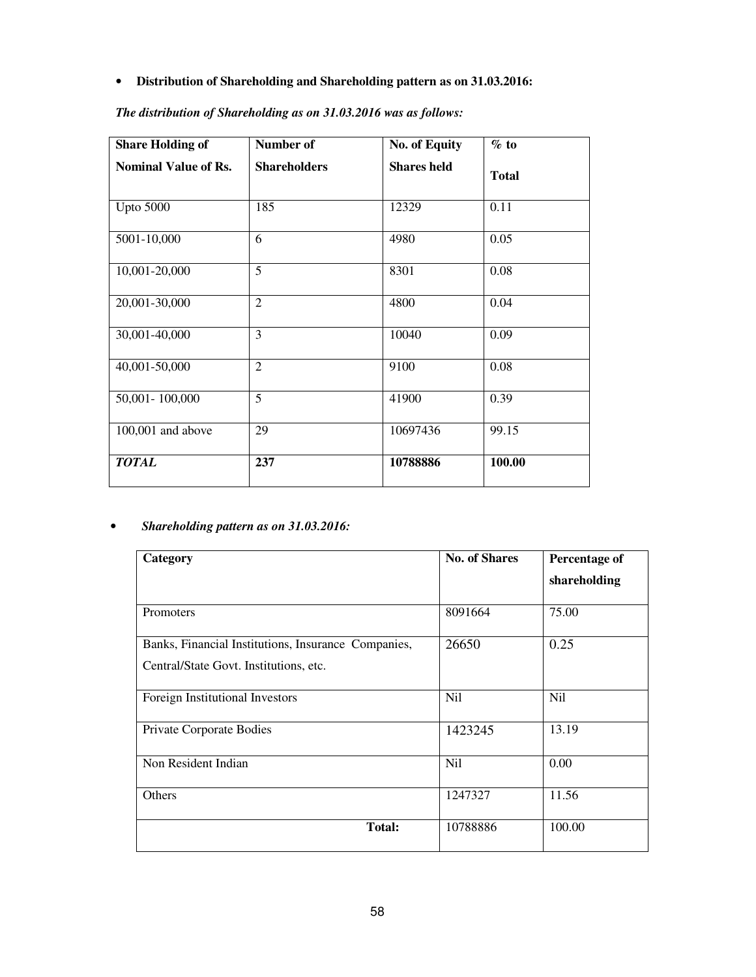• **Distribution of Shareholding and Shareholding pattern as on 31.03.2016:** 

| <b>Share Holding of</b>     | Number of           | <b>No. of Equity</b> | $\%$ to      |
|-----------------------------|---------------------|----------------------|--------------|
| <b>Nominal Value of Rs.</b> | <b>Shareholders</b> | <b>Shares held</b>   | <b>Total</b> |
| <b>Upto 5000</b>            | 185                 | 12329                | 0.11         |
| 5001-10,000                 | 6                   | 4980                 | 0.05         |
| 10,001-20,000               | $\overline{5}$      | 8301                 | 0.08         |
| 20,001-30,000               | $\overline{2}$      | 4800                 | 0.04         |
| 30,001-40,000               | $\overline{3}$      | 10040                | 0.09         |
| 40,001-50,000               | $\overline{2}$      | 9100                 | 0.08         |
| 50,001-100,000              | $\overline{5}$      | 41900                | 0.39         |
| $100,001$ and above         | 29                  | 10697436             | 99.15        |
| <b>TOTAL</b>                | 237                 | 10788886             | 100.00       |

*The distribution of Shareholding as on 31.03.2016 was as follows:* 

## • *Shareholding pattern as on 31.03.2016:*

| Category                                            | <b>No. of Shares</b> | Percentage of |
|-----------------------------------------------------|----------------------|---------------|
|                                                     |                      | shareholding  |
| Promoters                                           | 8091664              | 75.00         |
| Banks, Financial Institutions, Insurance Companies, | 26650                | 0.25          |
| Central/State Govt. Institutions, etc.              |                      |               |
| Foreign Institutional Investors                     | Nil                  | <b>Nil</b>    |
| Private Corporate Bodies                            | 1423245              | 13.19         |
| Non Resident Indian                                 | Nil                  | 0.00          |
| Others                                              | 1247327              | 11.56         |
| <b>Total:</b>                                       | 10788886             | 100.00        |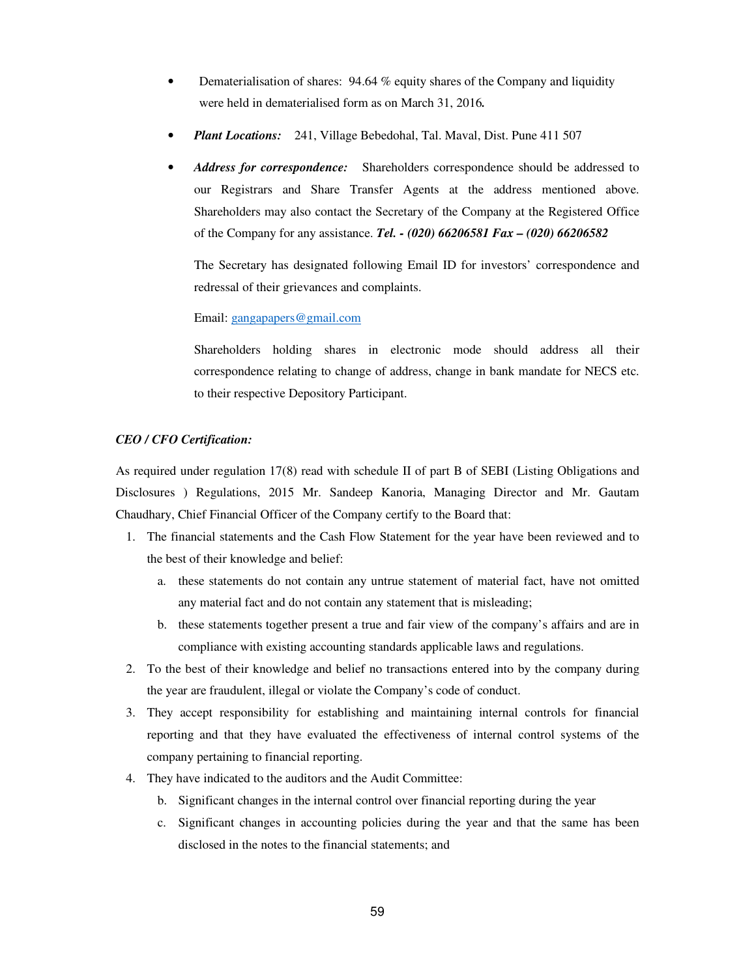- Dematerialisation of shares:  $94.64\%$  equity shares of the Company and liquidity were held in dematerialised form as on March 31, 2016*.*
- *Plant Locations:* 241, Village Bebedohal, Tal. Maval, Dist. Pune 411 507
- *Address for correspondence:* Shareholders correspondence should be addressed to our Registrars and Share Transfer Agents at the address mentioned above. Shareholders may also contact the Secretary of the Company at the Registered Office of the Company for any assistance. *Tel. - (020) 66206581 Fax – (020) 66206582*

The Secretary has designated following Email ID for investors' correspondence and redressal of their grievances and complaints.

#### Email: gangapapers@gmail.com

Shareholders holding shares in electronic mode should address all their correspondence relating to change of address, change in bank mandate for NECS etc. to their respective Depository Participant.

#### *CEO / CFO Certification:*

As required under regulation 17(8) read with schedule II of part B of SEBI (Listing Obligations and Disclosures ) Regulations, 2015 Mr. Sandeep Kanoria, Managing Director and Mr. Gautam Chaudhary, Chief Financial Officer of the Company certify to the Board that:

- 1. The financial statements and the Cash Flow Statement for the year have been reviewed and to the best of their knowledge and belief:
	- a. these statements do not contain any untrue statement of material fact, have not omitted any material fact and do not contain any statement that is misleading;
	- b. these statements together present a true and fair view of the company's affairs and are in compliance with existing accounting standards applicable laws and regulations.
- 2. To the best of their knowledge and belief no transactions entered into by the company during the year are fraudulent, illegal or violate the Company's code of conduct.
- 3. They accept responsibility for establishing and maintaining internal controls for financial reporting and that they have evaluated the effectiveness of internal control systems of the company pertaining to financial reporting.
- 4. They have indicated to the auditors and the Audit Committee:
	- b. Significant changes in the internal control over financial reporting during the year
	- c. Significant changes in accounting policies during the year and that the same has been disclosed in the notes to the financial statements; and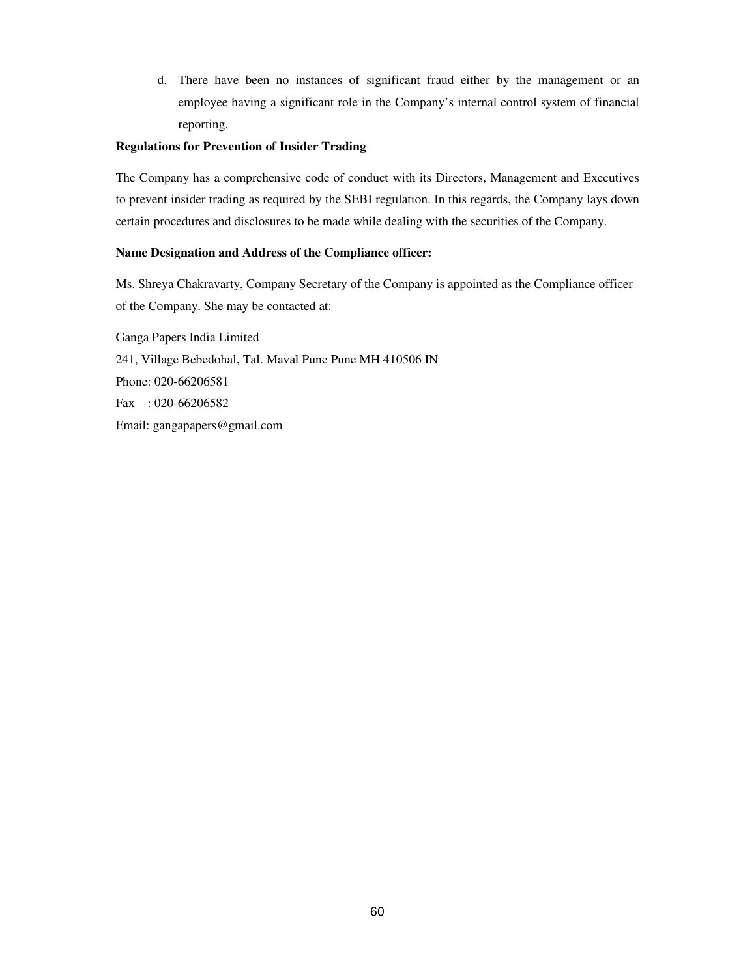d. There have been no instances of significant fraud either by the management or an employee having a significant role in the Company's internal control system of financial reporting.

#### **Regulations for Prevention of Insider Trading**

The Company has a comprehensive code of conduct with its Directors, Management and Executives to prevent insider trading as required by the SEBI regulation. In this regards, the Company lays down certain procedures and disclosures to be made while dealing with the securities of the Company.

#### **Name Designation and Address of the Compliance officer:**

Ms. Shreya Chakravarty, Company Secretary of the Company is appointed as the Compliance officer of the Company. She may be contacted at:

Ganga Papers India Limited 241, Village Bebedohal, Tal. Maval Pune Pune MH 410506 IN Phone: 020-66206581 Fax : 020-66206582 Email: gangapapers@gmail.com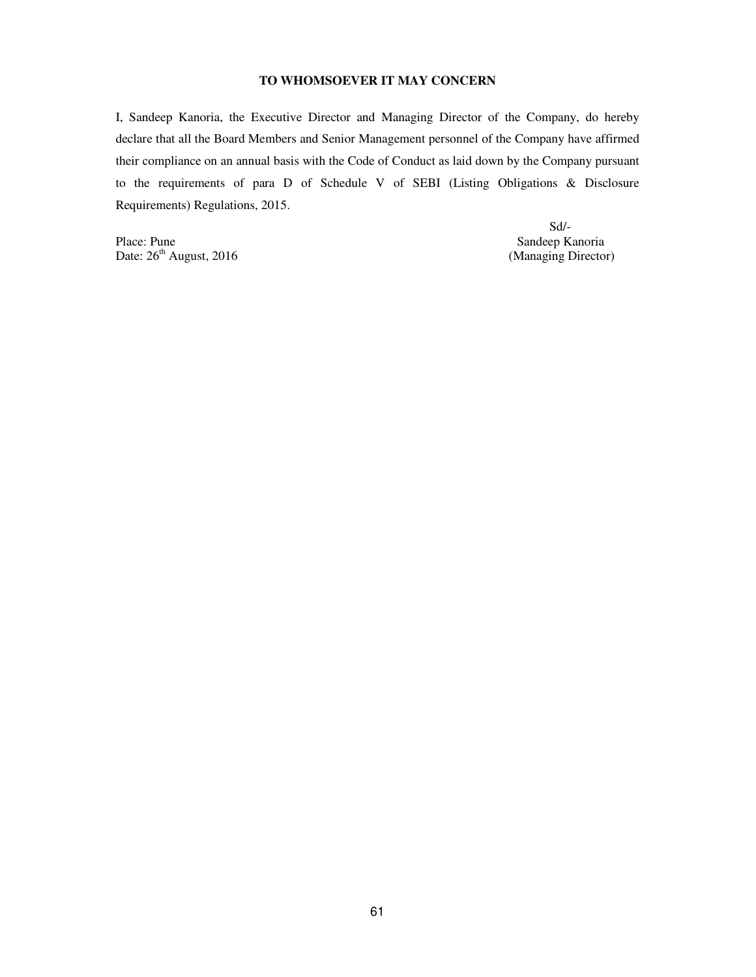#### **TO WHOMSOEVER IT MAY CONCERN**

I, Sandeep Kanoria, the Executive Director and Managing Director of the Company, do hereby declare that all the Board Members and Senior Management personnel of the Company have affirmed their compliance on an annual basis with the Code of Conduct as laid down by the Company pursuant to the requirements of para D of Schedule V of SEBI (Listing Obligations & Disclosure Requirements) Regulations, 2015.

Place: Pune Sandeep Kanoria<br>
Date: 26<sup>th</sup> August, 2016 (Managing Director) Date:  $26<sup>th</sup>$  August, 2016

Sd/-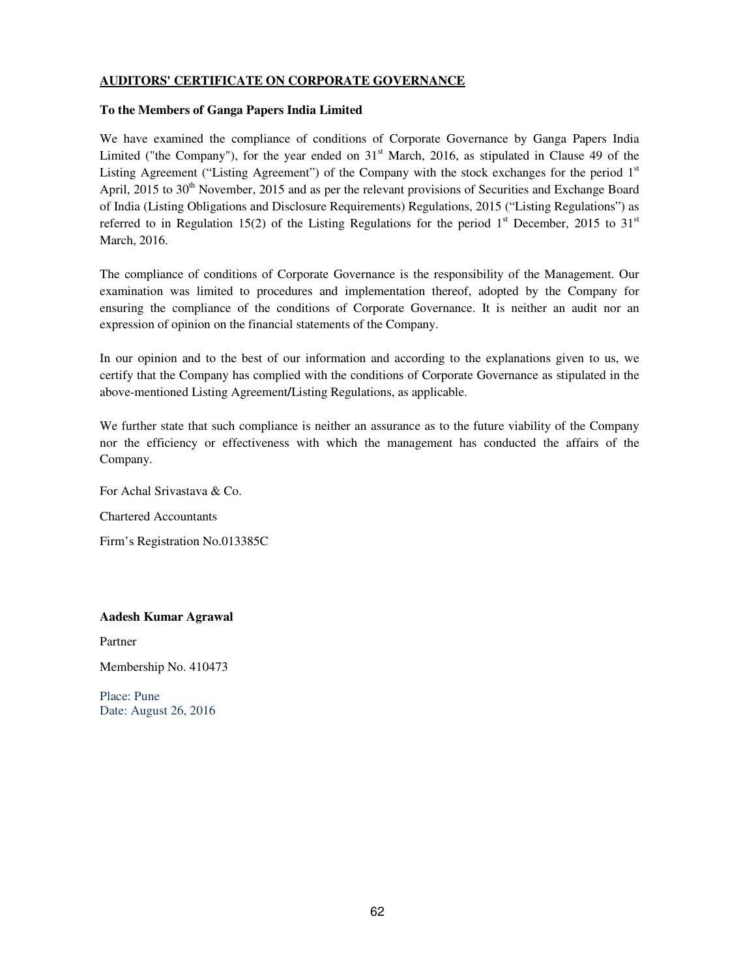#### **AUDITORS' CERTIFICATE ON CORPORATE GOVERNANCE**

#### **To the Members of Ganga Papers India Limited**

We have examined the compliance of conditions of Corporate Governance by Ganga Papers India Limited ("the Company"), for the year ended on  $31<sup>st</sup>$  March, 2016, as stipulated in Clause 49 of the Listing Agreement ("Listing Agreement") of the Company with the stock exchanges for the period  $1<sup>st</sup>$ April, 2015 to 30<sup>th</sup> November, 2015 and as per the relevant provisions of Securities and Exchange Board of India (Listing Obligations and Disclosure Requirements) Regulations, 2015 ("Listing Regulations") as referred to in Regulation 15(2) of the Listing Regulations for the period  $1<sup>st</sup>$  December, 2015 to 31<sup>st</sup> March, 2016.

The compliance of conditions of Corporate Governance is the responsibility of the Management. Our examination was limited to procedures and implementation thereof, adopted by the Company for ensuring the compliance of the conditions of Corporate Governance. It is neither an audit nor an expression of opinion on the financial statements of the Company.

In our opinion and to the best of our information and according to the explanations given to us, we certify that the Company has complied with the conditions of Corporate Governance as stipulated in the above-mentioned Listing Agreement**/**Listing Regulations, as applicable.

We further state that such compliance is neither an assurance as to the future viability of the Company nor the efficiency or effectiveness with which the management has conducted the affairs of the Company.

For Achal Srivastava & Co.

Chartered Accountants

Firm's Registration No.013385C

#### **Aadesh Kumar Agrawal**

Partner

Membership No. 410473

Place: Pune Date: August 26, 2016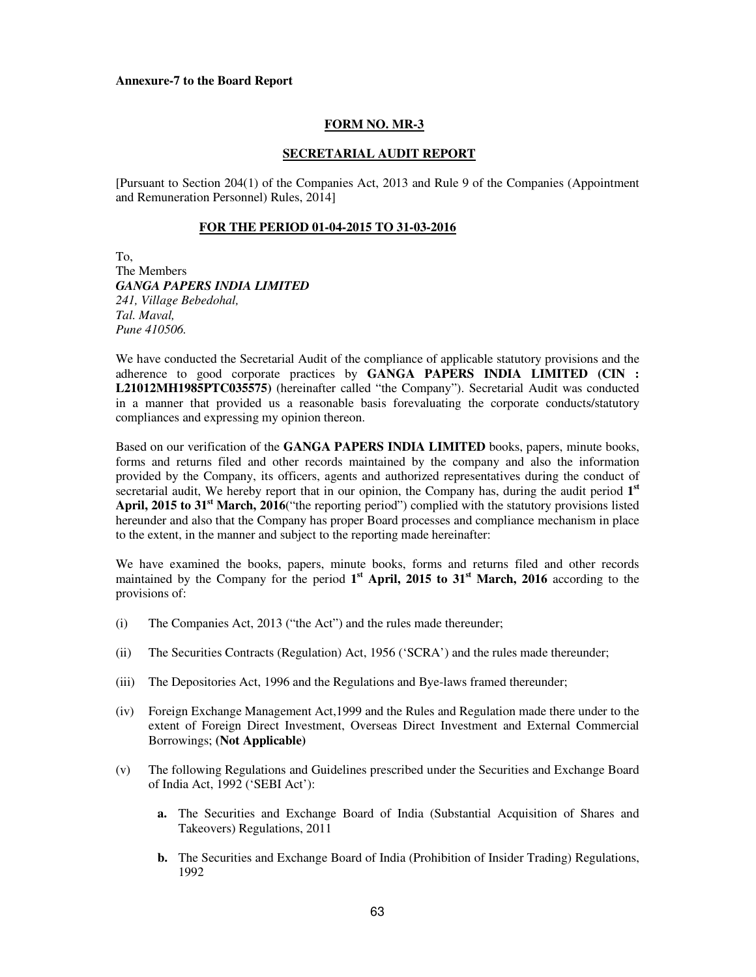#### **Annexure-7 to the Board Report**

#### **FORM NO. MR-3**

#### **SECRETARIAL AUDIT REPORT**

[Pursuant to Section 204(1) of the Companies Act, 2013 and Rule 9 of the Companies (Appointment and Remuneration Personnel) Rules, 2014]

#### **FOR THE PERIOD 01-04-2015 TO 31-03-2016**

To, The Members *GANGA PAPERS INDIA LIMITED 241, Village Bebedohal, Tal. Maval, Pune 410506.* 

We have conducted the Secretarial Audit of the compliance of applicable statutory provisions and the adherence to good corporate practices by **GANGA PAPERS INDIA LIMITED (CIN : L21012MH1985PTC035575)** (hereinafter called "the Company"). Secretarial Audit was conducted in a manner that provided us a reasonable basis forevaluating the corporate conducts/statutory compliances and expressing my opinion thereon.

Based on our verification of the **GANGA PAPERS INDIA LIMITED** books, papers, minute books, forms and returns filed and other records maintained by the company and also the information provided by the Company, its officers, agents and authorized representatives during the conduct of secretarial audit, We hereby report that in our opinion, the Company has, during the audit period 1<sup>st</sup> **April, 2015 to 31st March, 2016**("the reporting period") complied with the statutory provisions listed hereunder and also that the Company has proper Board processes and compliance mechanism in place to the extent, in the manner and subject to the reporting made hereinafter:

We have examined the books, papers, minute books, forms and returns filed and other records maintained by the Company for the period 1<sup>st</sup> April, 2015 to 31<sup>st</sup> March, 2016 according to the provisions of:

- (i) The Companies Act, 2013 ("the Act") and the rules made thereunder;
- (ii) The Securities Contracts (Regulation) Act, 1956 ('SCRA') and the rules made thereunder;
- (iii) The Depositories Act, 1996 and the Regulations and Bye-laws framed thereunder;
- (iv) Foreign Exchange Management Act,1999 and the Rules and Regulation made there under to the extent of Foreign Direct Investment, Overseas Direct Investment and External Commercial Borrowings; **(Not Applicable)**
- (v) The following Regulations and Guidelines prescribed under the Securities and Exchange Board of India Act, 1992 ('SEBI Act'):
	- **a.** The Securities and Exchange Board of India (Substantial Acquisition of Shares and Takeovers) Regulations, 2011
	- **b.** The Securities and Exchange Board of India (Prohibition of Insider Trading) Regulations, 1992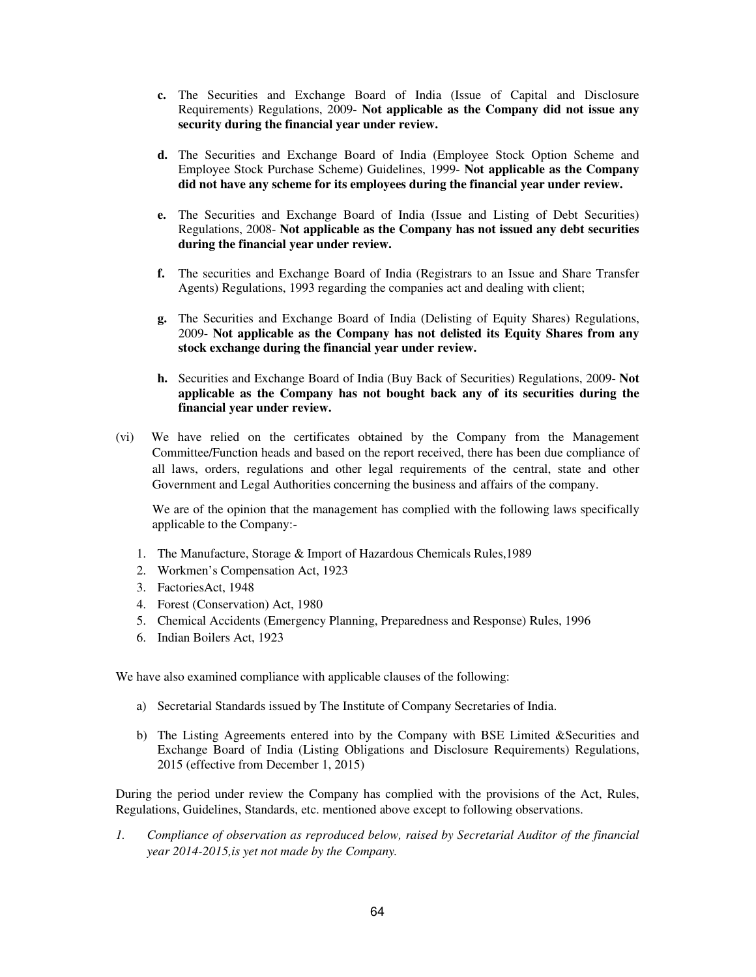- **c.** The Securities and Exchange Board of India (Issue of Capital and Disclosure Requirements) Regulations, 2009- **Not applicable as the Company did not issue any security during the financial year under review.**
- **d.** The Securities and Exchange Board of India (Employee Stock Option Scheme and Employee Stock Purchase Scheme) Guidelines, 1999- **Not applicable as the Company did not have any scheme for its employees during the financial year under review.**
- **e.** The Securities and Exchange Board of India (Issue and Listing of Debt Securities) Regulations, 2008- **Not applicable as the Company has not issued any debt securities during the financial year under review.**
- **f.** The securities and Exchange Board of India (Registrars to an Issue and Share Transfer Agents) Regulations, 1993 regarding the companies act and dealing with client;
- **g.** The Securities and Exchange Board of India (Delisting of Equity Shares) Regulations, 2009- **Not applicable as the Company has not delisted its Equity Shares from any stock exchange during the financial year under review.**
- **h.** Securities and Exchange Board of India (Buy Back of Securities) Regulations, 2009- **Not applicable as the Company has not bought back any of its securities during the financial year under review.**
- (vi) We have relied on the certificates obtained by the Company from the Management Committee/Function heads and based on the report received, there has been due compliance of all laws, orders, regulations and other legal requirements of the central, state and other Government and Legal Authorities concerning the business and affairs of the company.

We are of the opinion that the management has complied with the following laws specifically applicable to the Company:-

- 1. The Manufacture, Storage & Import of Hazardous Chemicals Rules,1989
- 2. Workmen's Compensation Act, 1923
- 3. FactoriesAct, 1948
- 4. Forest (Conservation) Act, 1980
- 5. Chemical Accidents (Emergency Planning, Preparedness and Response) Rules, 1996
- 6. Indian Boilers Act, 1923

We have also examined compliance with applicable clauses of the following:

- a) Secretarial Standards issued by The Institute of Company Secretaries of India.
- b) The Listing Agreements entered into by the Company with BSE Limited &Securities and Exchange Board of India (Listing Obligations and Disclosure Requirements) Regulations, 2015 (effective from December 1, 2015)

During the period under review the Company has complied with the provisions of the Act, Rules, Regulations, Guidelines, Standards, etc. mentioned above except to following observations.

*1. Compliance of observation as reproduced below, raised by Secretarial Auditor of the financial year 2014-2015,is yet not made by the Company.*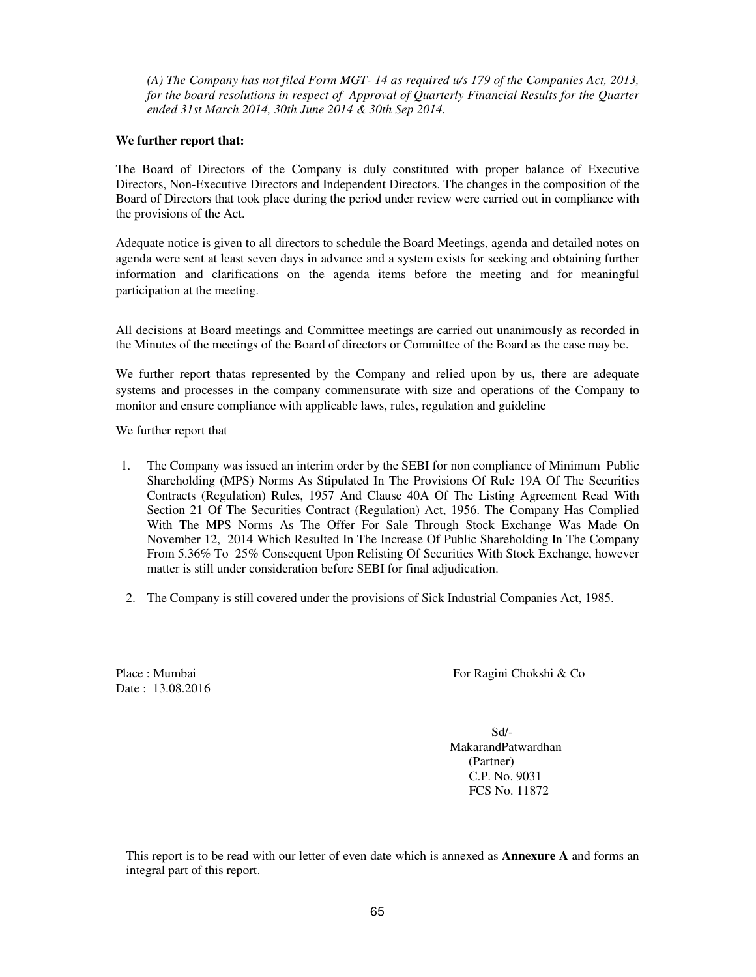*(A) The Company has not filed Form MGT- 14 as required u/s 179 of the Companies Act, 2013, for the board resolutions in respect of Approval of Quarterly Financial Results for the Quarter ended 31st March 2014, 30th June 2014 & 30th Sep 2014.* 

#### **We further report that:**

The Board of Directors of the Company is duly constituted with proper balance of Executive Directors, Non-Executive Directors and Independent Directors. The changes in the composition of the Board of Directors that took place during the period under review were carried out in compliance with the provisions of the Act.

Adequate notice is given to all directors to schedule the Board Meetings, agenda and detailed notes on agenda were sent at least seven days in advance and a system exists for seeking and obtaining further information and clarifications on the agenda items before the meeting and for meaningful participation at the meeting.

All decisions at Board meetings and Committee meetings are carried out unanimously as recorded in the Minutes of the meetings of the Board of directors or Committee of the Board as the case may be.

We further report thatas represented by the Company and relied upon by us, there are adequate systems and processes in the company commensurate with size and operations of the Company to monitor and ensure compliance with applicable laws, rules, regulation and guideline

We further report that

- 1. The Company was issued an interim order by the SEBI for non compliance of Minimum Public Shareholding (MPS) Norms As Stipulated In The Provisions Of Rule 19A Of The Securities Contracts (Regulation) Rules, 1957 And Clause 40A Of The Listing Agreement Read With Section 21 Of The Securities Contract (Regulation) Act, 1956. The Company Has Complied With The MPS Norms As The Offer For Sale Through Stock Exchange Was Made On November 12, 2014 Which Resulted In The Increase Of Public Shareholding In The Company From 5.36% To 25% Consequent Upon Relisting Of Securities With Stock Exchange, however matter is still under consideration before SEBI for final adjudication.
- 2. The Company is still covered under the provisions of Sick Industrial Companies Act, 1985.

Date: 13.08.2016

Place : Mumbai For Ragini Chokshi & Co

 Sd/- MakarandPatwardhan (Partner) C.P. No. 9031 FCS No. 11872

This report is to be read with our letter of even date which is annexed as **Annexure A** and forms an integral part of this report.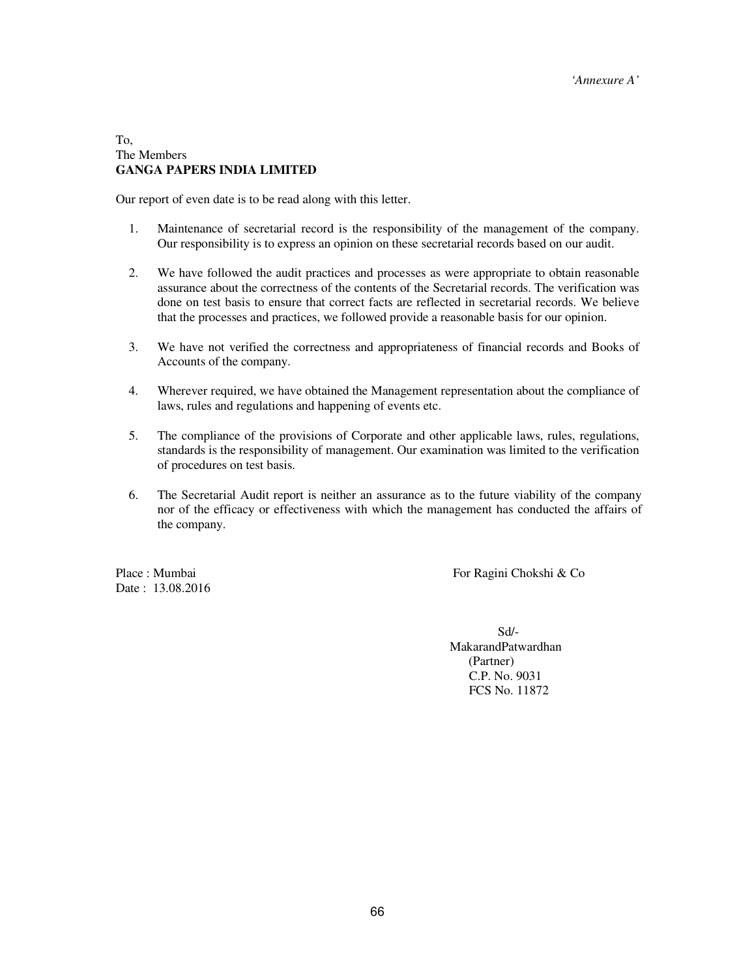#### To, The Members **GANGA PAPERS INDIA LIMITED**

Our report of even date is to be read along with this letter.

- 1. Maintenance of secretarial record is the responsibility of the management of the company. Our responsibility is to express an opinion on these secretarial records based on our audit.
- 2. We have followed the audit practices and processes as were appropriate to obtain reasonable assurance about the correctness of the contents of the Secretarial records. The verification was done on test basis to ensure that correct facts are reflected in secretarial records. We believe that the processes and practices, we followed provide a reasonable basis for our opinion.
- 3. We have not verified the correctness and appropriateness of financial records and Books of Accounts of the company.
- 4. Wherever required, we have obtained the Management representation about the compliance of laws, rules and regulations and happening of events etc.
- 5. The compliance of the provisions of Corporate and other applicable laws, rules, regulations, standards is the responsibility of management. Our examination was limited to the verification of procedures on test basis.
- 6. The Secretarial Audit report is neither an assurance as to the future viability of the company nor of the efficacy or effectiveness with which the management has conducted the affairs of the company.

Date : 13.08.2016

Place : Mumbai For Ragini Chokshi & Co

 Sd/- MakarandPatwardhan (Partner) C.P. No. 9031 FCS No. 11872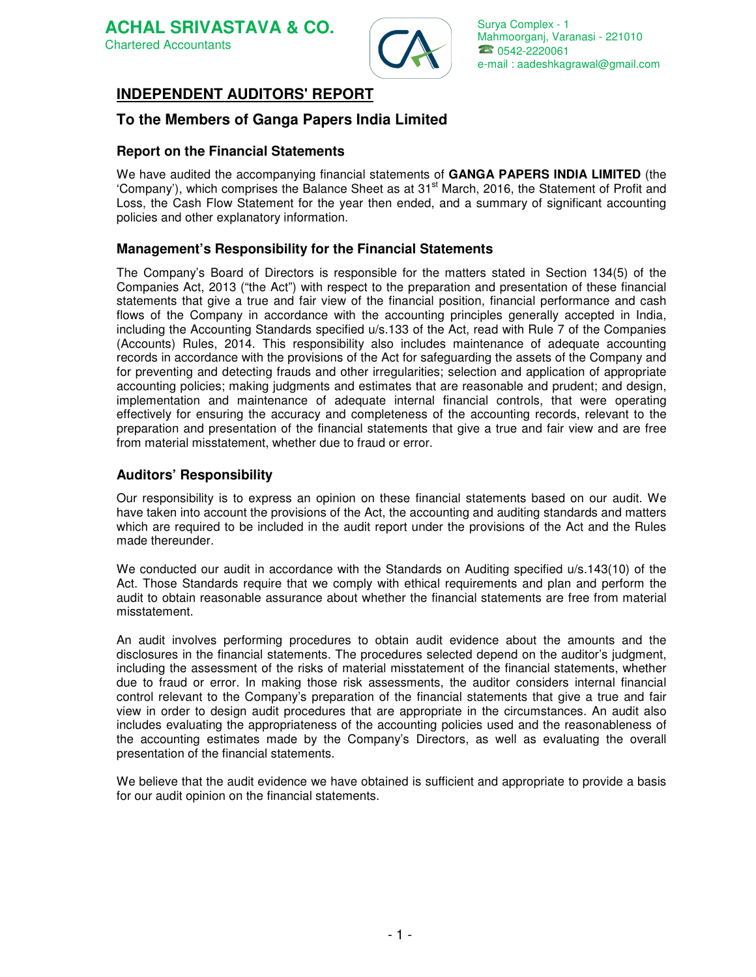

#### **INDEPENDENT AUDITORS' REPORT** Ī

## **To the Members of Ganga Papers India Limited**

## **Report on the Financial Statements**

We have audited the accompanying financial statements of **GANGA PAPERS INDIA LIMITED** (the 'Company'), which comprises the Balance Sheet as at 31<sup>st</sup> March, 2016, the Statement of Profit and Loss, the Cash Flow Statement for the year then ended, and a summary of significant accounting policies and other explanatory information.

## **Management's Responsibility for the Financial Statements**

The Company's Board of Directors is responsible for the matters stated in Section 134(5) of the Companies Act, 2013 ("the Act") with respect to the preparation and presentation of these financial statements that give a true and fair view of the financial position, financial performance and cash flows of the Company in accordance with the accounting principles generally accepted in India, including the Accounting Standards specified u/s.133 of the Act, read with Rule 7 of the Companies (Accounts) Rules, 2014. This responsibility also includes maintenance of adequate accounting records in accordance with the provisions of the Act for safeguarding the assets of the Company and for preventing and detecting frauds and other irregularities; selection and application of appropriate accounting policies; making judgments and estimates that are reasonable and prudent; and design, implementation and maintenance of adequate internal financial controls, that were operating effectively for ensuring the accuracy and completeness of the accounting records, relevant to the preparation and presentation of the financial statements that give a true and fair view and are free from material misstatement, whether due to fraud or error.

## **Auditors' Responsibility**

Our responsibility is to express an opinion on these financial statements based on our audit. We have taken into account the provisions of the Act, the accounting and auditing standards and matters which are required to be included in the audit report under the provisions of the Act and the Rules made thereunder.

We conducted our audit in accordance with the Standards on Auditing specified  $u/s.143(10)$  of the Act. Those Standards require that we comply with ethical requirements and plan and perform the audit to obtain reasonable assurance about whether the financial statements are free from material misstatement.

An audit involves performing procedures to obtain audit evidence about the amounts and the disclosures in the financial statements. The procedures selected depend on the auditor's judgment, including the assessment of the risks of material misstatement of the financial statements, whether due to fraud or error. In making those risk assessments, the auditor considers internal financial control relevant to the Company's preparation of the financial statements that give a true and fair view in order to design audit procedures that are appropriate in the circumstances. An audit also includes evaluating the appropriateness of the accounting policies used and the reasonableness of the accounting estimates made by the Company's Directors, as well as evaluating the overall presentation of the financial statements.

We believe that the audit evidence we have obtained is sufficient and appropriate to provide a basis for our audit opinion on the financial statements.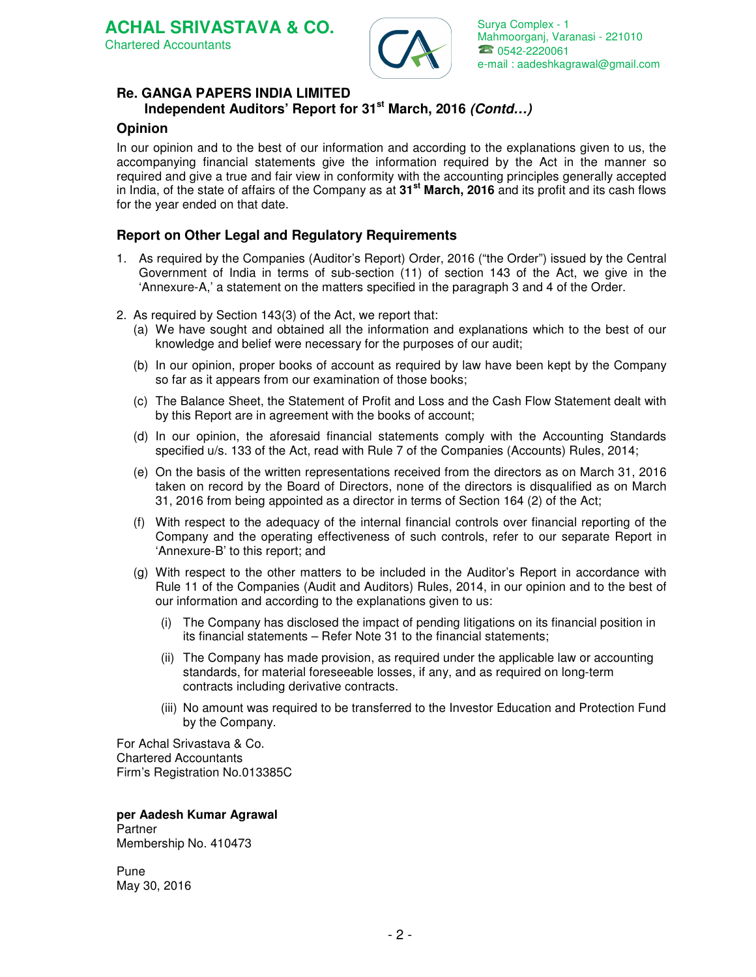# **Re. GANGA PAPERS INDIA LIMITED**

# **Independent Auditors' Report for 31st March, 2016 (Contd…)**

## **Opinion**

In our opinion and to the best of our information and according to the explanations given to us, the accompanying financial statements give the information required by the Act in the manner so required and give a true and fair view in conformity with the accounting principles generally accepted in India, of the state of affairs of the Company as at **31st March, 2016** and its profit and its cash flows for the year ended on that date.

## **Report on Other Legal and Regulatory Requirements**

- 1. As required by the Companies (Auditor's Report) Order, 2016 ("the Order") issued by the Central Government of India in terms of sub-section (11) of section 143 of the Act, we give in the 'Annexure-A,' a statement on the matters specified in the paragraph 3 and 4 of the Order.
- 2. As required by Section 143(3) of the Act, we report that:
	- (a) We have sought and obtained all the information and explanations which to the best of our knowledge and belief were necessary for the purposes of our audit;
	- (b) In our opinion, proper books of account as required by law have been kept by the Company so far as it appears from our examination of those books;
	- (c) The Balance Sheet, the Statement of Profit and Loss and the Cash Flow Statement dealt with by this Report are in agreement with the books of account;
	- (d) In our opinion, the aforesaid financial statements comply with the Accounting Standards specified  $u/s$ . 133 of the Act, read with Rule 7 of the Companies (Accounts) Rules, 2014;
	- (e) On the basis of the written representations received from the directors as on March 31, 2016 taken on record by the Board of Directors, none of the directors is disqualified as on March 31, 2016 from being appointed as a director in terms of Section 164 (2) of the Act;
	- (f) With respect to the adequacy of the internal financial controls over financial reporting of the Company and the operating effectiveness of such controls, refer to our separate Report in 'Annexure-B' to this report; and
	- (g) With respect to the other matters to be included in the Auditor's Report in accordance with Rule 11 of the Companies (Audit and Auditors) Rules, 2014, in our opinion and to the best of our information and according to the explanations given to us:
		- (i) The Company has disclosed the impact of pending litigations on its financial position in its financial statements – Refer Note 31 to the financial statements;
		- (ii) The Company has made provision, as required under the applicable law or accounting standards, for material foreseeable losses, if any, and as required on long-term contracts including derivative contracts.
		- (iii) No amount was required to be transferred to the Investor Education and Protection Fund by the Company.

For Achal Srivastava & Co. Chartered Accountants Firm's Registration No.013385C

**per Aadesh Kumar Agrawal**  Partner Membership No. 410473

Pune May 30, 2016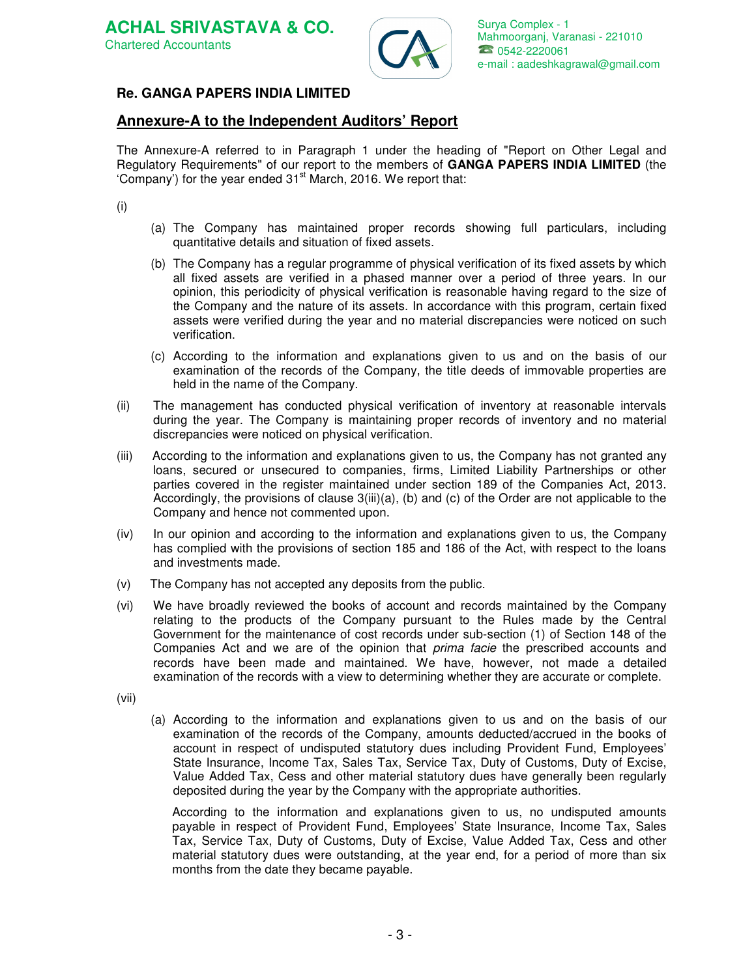

## **Re. GANGA PAPERS INDIA LIMITED**

## **Annexure-A to the Independent Auditors' Report**

The Annexure-A referred to in Paragraph 1 under the heading of "Report on Other Legal and Regulatory Requirements" of our report to the members of **GANGA PAPERS INDIA LIMITED** (the 'Company') for the year ended  $31<sup>st</sup>$  March, 2016. We report that:

(i)

- (a) The Company has maintained proper records showing full particulars, including quantitative details and situation of fixed assets.
- (b) The Company has a regular programme of physical verification of its fixed assets by which all fixed assets are verified in a phased manner over a period of three years. In our opinion, this periodicity of physical verification is reasonable having regard to the size of the Company and the nature of its assets. In accordance with this program, certain fixed assets were verified during the year and no material discrepancies were noticed on such verification.
- (c) According to the information and explanations given to us and on the basis of our examination of the records of the Company, the title deeds of immovable properties are held in the name of the Company.
- (ii) The management has conducted physical verification of inventory at reasonable intervals during the year. The Company is maintaining proper records of inventory and no material discrepancies were noticed on physical verification.
- (iii) According to the information and explanations given to us, the Company has not granted any loans, secured or unsecured to companies, firms, Limited Liability Partnerships or other parties covered in the register maintained under section 189 of the Companies Act, 2013. Accordingly, the provisions of clause 3(iii)(a), (b) and (c) of the Order are not applicable to the Company and hence not commented upon.
- (iv) In our opinion and according to the information and explanations given to us, the Company has complied with the provisions of section 185 and 186 of the Act, with respect to the loans and investments made.
- (v) The Company has not accepted any deposits from the public.
- (vi) We have broadly reviewed the books of account and records maintained by the Company relating to the products of the Company pursuant to the Rules made by the Central Government for the maintenance of cost records under sub-section (1) of Section 148 of the Companies Act and we are of the opinion that *prima facie* the prescribed accounts and records have been made and maintained. We have, however, not made a detailed examination of the records with a view to determining whether they are accurate or complete.

(vii)

(a) According to the information and explanations given to us and on the basis of our examination of the records of the Company, amounts deducted/accrued in the books of account in respect of undisputed statutory dues including Provident Fund, Employees' State Insurance, Income Tax, Sales Tax, Service Tax, Duty of Customs, Duty of Excise, Value Added Tax, Cess and other material statutory dues have generally been regularly deposited during the year by the Company with the appropriate authorities.

According to the information and explanations given to us, no undisputed amounts payable in respect of Provident Fund, Employees' State Insurance, Income Tax, Sales Tax, Service Tax, Duty of Customs, Duty of Excise, Value Added Tax, Cess and other material statutory dues were outstanding, at the year end, for a period of more than six months from the date they became payable.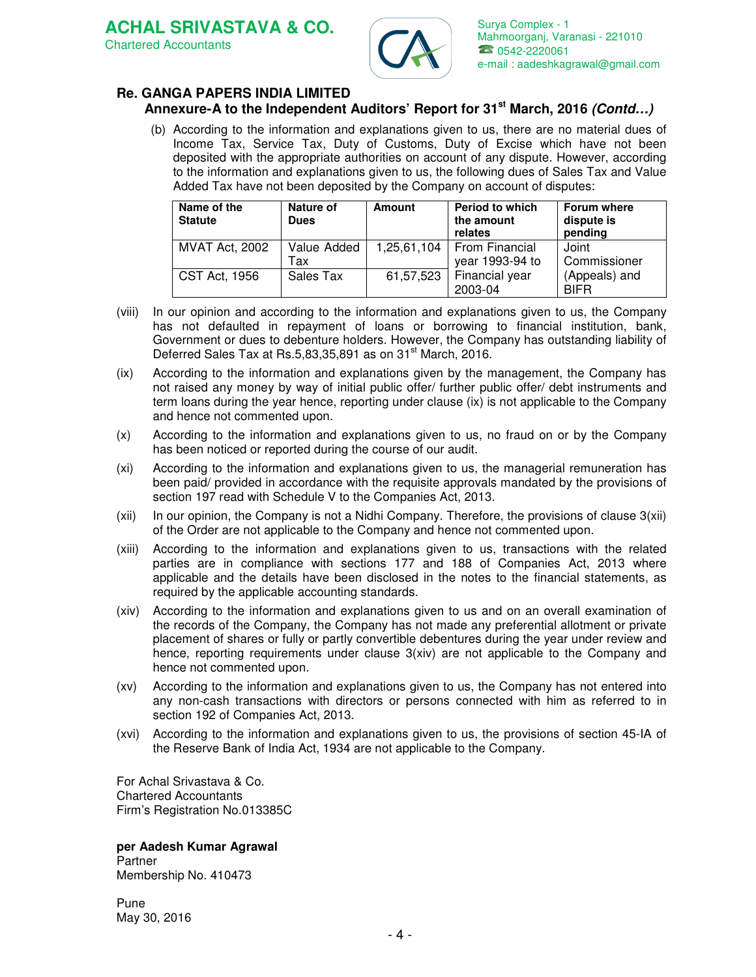**ACHAL SRIVASTAVA & CO.**  Chartered Accountants



Surya Complex - 1 Mahmoorganj, Varanasi - 221010 2 0542-2220061 e-mail : aadeshkagrawal@gmail.com

# **Re. GANGA PAPERS INDIA LIMITED**

## **Annexure-A to the Independent Auditors' Report for 31st March, 2016 (Contd…)**

(b) According to the information and explanations given to us, there are no material dues of Income Tax, Service Tax, Duty of Customs, Duty of Excise which have not been deposited with the appropriate authorities on account of any dispute. However, according to the information and explanations given to us, the following dues of Sales Tax and Value Added Tax have not been deposited by the Company on account of disputes:

| Name of the<br><b>Statute</b> | Nature of<br><b>Dues</b> | Amount    | <b>Period to which</b><br>the amount<br>relates | Forum where<br>dispute is<br>pending |
|-------------------------------|--------------------------|-----------|-------------------------------------------------|--------------------------------------|
| <b>MVAT Act, 2002</b>         | Value Added<br>Tax       |           | 1,25,61,104   From Financial<br>year 1993-94 to | Joint<br>Commissioner                |
| <b>CST Act, 1956</b>          | Sales Tax                | 61,57,523 | Financial year<br>2003-04                       | (Appeals) and<br><b>BIFR</b>         |

- (viii) In our opinion and according to the information and explanations given to us, the Company has not defaulted in repayment of loans or borrowing to financial institution, bank, Government or dues to debenture holders. However, the Company has outstanding liability of Deferred Sales Tax at Rs.5,83,35,891 as on 31<sup>st</sup> March, 2016.
- (ix) According to the information and explanations given by the management, the Company has not raised any money by way of initial public offer/ further public offer/ debt instruments and term loans during the year hence, reporting under clause (ix) is not applicable to the Company and hence not commented upon.
- (x) According to the information and explanations given to us, no fraud on or by the Company has been noticed or reported during the course of our audit.
- (xi) According to the information and explanations given to us, the managerial remuneration has been paid/ provided in accordance with the requisite approvals mandated by the provisions of section 197 read with Schedule V to the Companies Act, 2013.
- $(xii)$  In our opinion, the Company is not a Nidhi Company. Therefore, the provisions of clause  $3(xii)$ of the Order are not applicable to the Company and hence not commented upon.
- (xiii) According to the information and explanations given to us, transactions with the related parties are in compliance with sections 177 and 188 of Companies Act, 2013 where applicable and the details have been disclosed in the notes to the financial statements, as required by the applicable accounting standards.
- (xiv) According to the information and explanations given to us and on an overall examination of the records of the Company, the Company has not made any preferential allotment or private placement of shares or fully or partly convertible debentures during the year under review and hence, reporting requirements under clause  $3(xiv)$  are not applicable to the Company and hence not commented upon.
- (xv) According to the information and explanations given to us, the Company has not entered into any non-cash transactions with directors or persons connected with him as referred to in section 192 of Companies Act, 2013.
- (xvi) According to the information and explanations given to us, the provisions of section 45-IA of the Reserve Bank of India Act, 1934 are not applicable to the Company.

For Achal Srivastava & Co. Chartered Accountants Firm's Registration No.013385C

# **per Aadesh Kumar Agrawal**

Partner Membership No. 410473

Pune May 30, 2016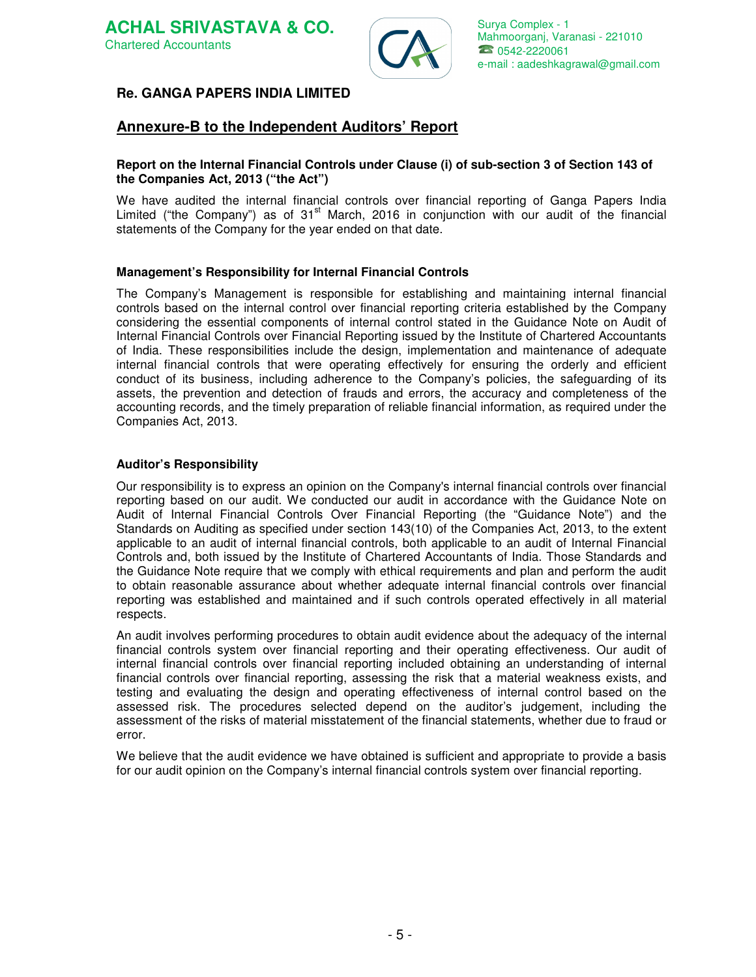

## **Re. GANGA PAPERS INDIA LIMITED**

# **Annexure-B to the Independent Auditors' Report**

#### **Report on the Internal Financial Controls under Clause (i) of sub-section 3 of Section 143 of the Companies Act, 2013 ("the Act")**

We have audited the internal financial controls over financial reporting of Ganga Papers India Limited ("the Company") as of  $31<sup>st</sup>$  March, 2016 in conjunction with our audit of the financial statements of the Company for the year ended on that date.

## **Management's Responsibility for Internal Financial Controls**

The Company's Management is responsible for establishing and maintaining internal financial controls based on the internal control over financial reporting criteria established by the Company considering the essential components of internal control stated in the Guidance Note on Audit of Internal Financial Controls over Financial Reporting issued by the Institute of Chartered Accountants of India. These responsibilities include the design, implementation and maintenance of adequate internal financial controls that were operating effectively for ensuring the orderly and efficient conduct of its business, including adherence to the Company's policies, the safeguarding of its assets, the prevention and detection of frauds and errors, the accuracy and completeness of the accounting records, and the timely preparation of reliable financial information, as required under the Companies Act, 2013.

## **Auditor's Responsibility**

Our responsibility is to express an opinion on the Company's internal financial controls over financial reporting based on our audit. We conducted our audit in accordance with the Guidance Note on Audit of Internal Financial Controls Over Financial Reporting (the "Guidance Note") and the Standards on Auditing as specified under section 143(10) of the Companies Act, 2013, to the extent applicable to an audit of internal financial controls, both applicable to an audit of Internal Financial Controls and, both issued by the Institute of Chartered Accountants of India. Those Standards and the Guidance Note require that we comply with ethical requirements and plan and perform the audit to obtain reasonable assurance about whether adequate internal financial controls over financial reporting was established and maintained and if such controls operated effectively in all material respects.

An audit involves performing procedures to obtain audit evidence about the adequacy of the internal financial controls system over financial reporting and their operating effectiveness. Our audit of internal financial controls over financial reporting included obtaining an understanding of internal financial controls over financial reporting, assessing the risk that a material weakness exists, and testing and evaluating the design and operating effectiveness of internal control based on the assessed risk. The procedures selected depend on the auditor's judgement, including the assessment of the risks of material misstatement of the financial statements, whether due to fraud or error.

We believe that the audit evidence we have obtained is sufficient and appropriate to provide a basis for our audit opinion on the Company's internal financial controls system over financial reporting.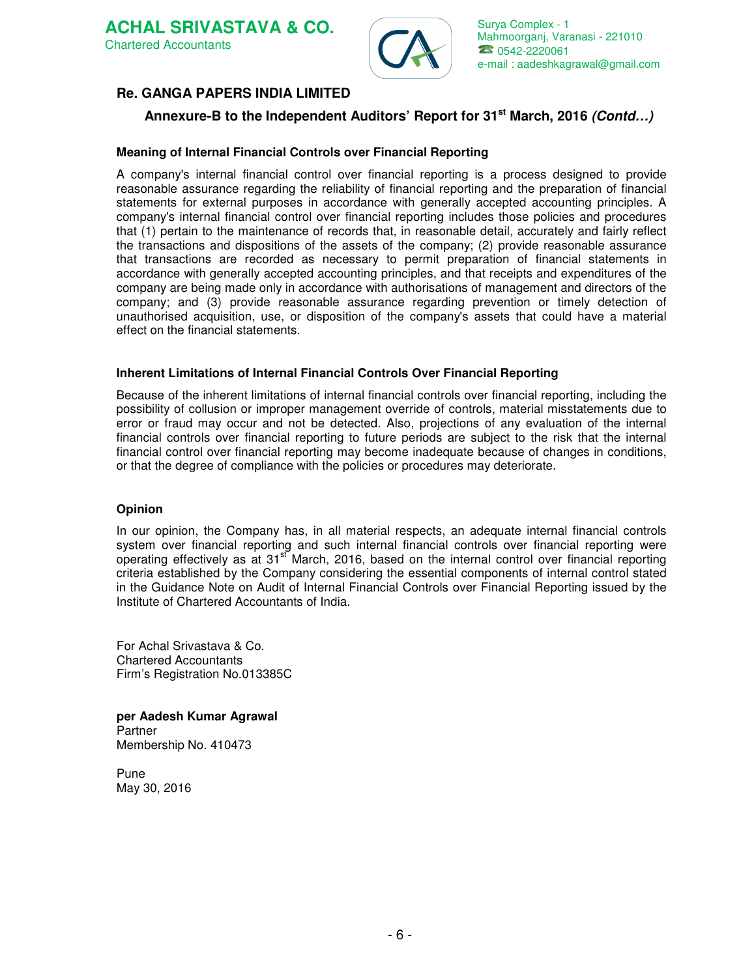



## **Re. GANGA PAPERS INDIA LIMITED**

# **Annexure-B to the Independent Auditors' Report for 31st March, 2016 (Contd…)**

## **Meaning of Internal Financial Controls over Financial Reporting**

A company's internal financial control over financial reporting is a process designed to provide reasonable assurance regarding the reliability of financial reporting and the preparation of financial statements for external purposes in accordance with generally accepted accounting principles. A company's internal financial control over financial reporting includes those policies and procedures that (1) pertain to the maintenance of records that, in reasonable detail, accurately and fairly reflect the transactions and dispositions of the assets of the company; (2) provide reasonable assurance that transactions are recorded as necessary to permit preparation of financial statements in accordance with generally accepted accounting principles, and that receipts and expenditures of the company are being made only in accordance with authorisations of management and directors of the company; and (3) provide reasonable assurance regarding prevention or timely detection of unauthorised acquisition, use, or disposition of the company's assets that could have a material effect on the financial statements.

#### **Inherent Limitations of Internal Financial Controls Over Financial Reporting**

Because of the inherent limitations of internal financial controls over financial reporting, including the possibility of collusion or improper management override of controls, material misstatements due to error or fraud may occur and not be detected. Also, projections of any evaluation of the internal financial controls over financial reporting to future periods are subject to the risk that the internal financial control over financial reporting may become inadequate because of changes in conditions, or that the degree of compliance with the policies or procedures may deteriorate.

#### **Opinion**

In our opinion, the Company has, in all material respects, an adequate internal financial controls system over financial reporting and such internal financial controls over financial reporting were operating effectively as at  $31<sup>st</sup>$  March, 2016, based on the internal control over financial reporting criteria established by the Company considering the essential components of internal control stated in the Guidance Note on Audit of Internal Financial Controls over Financial Reporting issued by the Institute of Chartered Accountants of India.

For Achal Srivastava & Co. Chartered Accountants Firm's Registration No.013385C

**per Aadesh Kumar Agrawal**  Partner Membership No. 410473

Pune May 30, 2016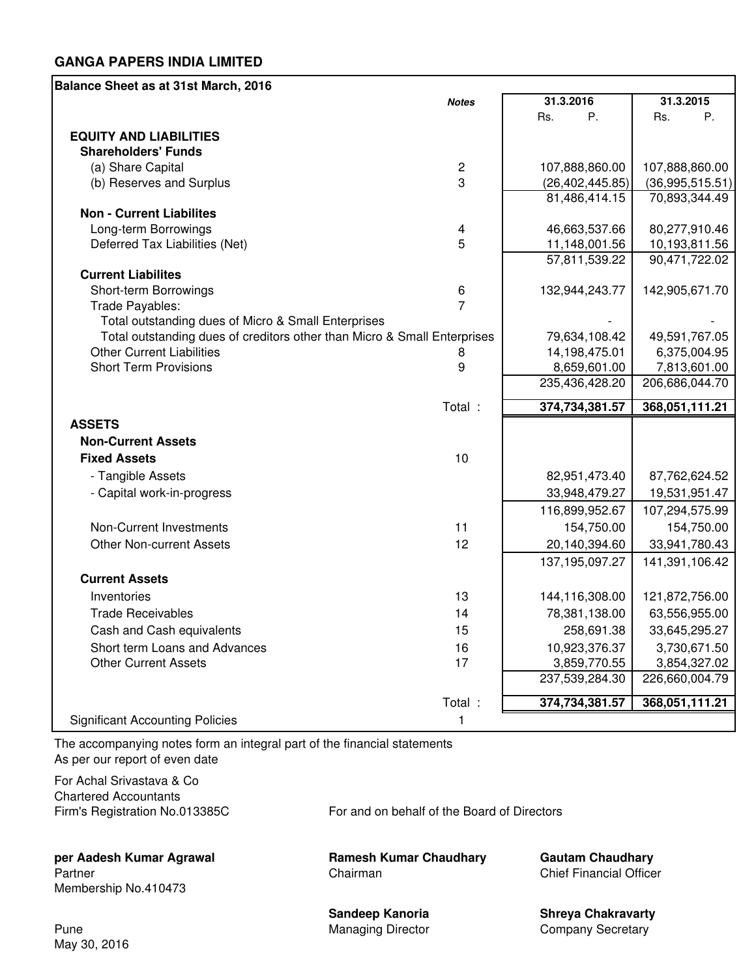| Balance Sheet as at 31st March, 2016                                     |                |                   |                 |
|--------------------------------------------------------------------------|----------------|-------------------|-----------------|
|                                                                          | <b>Notes</b>   | 31.3.2016         | 31.3.2015       |
|                                                                          |                | Ρ.<br>Rs.         | Ρ.<br>Rs.       |
| <b>EQUITY AND LIABILITIES</b>                                            |                |                   |                 |
| <b>Shareholders' Funds</b>                                               |                |                   |                 |
| (a) Share Capital                                                        | $\sqrt{2}$     | 107,888,860.00    | 107,888,860.00  |
| (b) Reserves and Surplus                                                 | 3              | (26, 402, 445.85) | (36,995,515.51) |
|                                                                          |                | 81,486,414.15     | 70,893,344.49   |
| <b>Non - Current Liabilites</b>                                          |                |                   |                 |
| Long-term Borrowings                                                     | 4              | 46,663,537.66     | 80,277,910.46   |
| Deferred Tax Liabilities (Net)                                           | 5              | 11,148,001.56     | 10,193,811.56   |
|                                                                          |                | 57,811,539.22     | 90,471,722.02   |
| <b>Current Liabilites</b><br>Short-term Borrowings                       | 6              | 132,944,243.77    | 142,905,671.70  |
| Trade Payables:                                                          | $\overline{7}$ |                   |                 |
| Total outstanding dues of Micro & Small Enterprises                      |                |                   |                 |
| Total outstanding dues of creditors other than Micro & Small Enterprises |                | 79,634,108.42     | 49,591,767.05   |
| <b>Other Current Liabilities</b>                                         | 8              | 14,198,475.01     | 6,375,004.95    |
| <b>Short Term Provisions</b>                                             | 9              | 8,659,601.00      | 7,813,601.00    |
|                                                                          |                | 235,436,428.20    | 206,686,044.70  |
|                                                                          | Total :        | 374,734,381.57    | 368,051,111.21  |
| <b>ASSETS</b>                                                            |                |                   |                 |
| <b>Non-Current Assets</b>                                                |                |                   |                 |
| <b>Fixed Assets</b>                                                      | 10             |                   |                 |
| - Tangible Assets                                                        |                | 82,951,473.40     | 87,762,624.52   |
| - Capital work-in-progress                                               |                | 33,948,479.27     | 19,531,951.47   |
|                                                                          |                | 116,899,952.67    | 107,294,575.99  |
| <b>Non-Current Investments</b>                                           | 11             | 154,750.00        | 154,750.00      |
| <b>Other Non-current Assets</b>                                          | 12             | 20,140,394.60     | 33,941,780.43   |
|                                                                          |                | 137, 195, 097. 27 | 141,391,106.42  |
| <b>Current Assets</b>                                                    |                |                   |                 |
| Inventories                                                              | 13             | 144,116,308.00    | 121,872,756.00  |
| <b>Trade Receivables</b>                                                 | 14             | 78,381,138.00     | 63,556,955.00   |
| Cash and Cash equivalents                                                | 15             | 258,691.38        | 33,645,295.27   |
| Short term Loans and Advances                                            | 16             | 10,923,376.37     | 3,730,671.50    |
| <b>Other Current Assets</b>                                              | 17             | 3,859,770.55      | 3,854,327.02    |
|                                                                          |                | 237,539,284.30    | 226,660,004.79  |
|                                                                          | Total :        | 374,734,381.57    | 368,051,111.21  |
| <b>Significant Accounting Policies</b>                                   | 1              |                   |                 |
|                                                                          |                |                   |                 |

The accompanying notes form an integral part of the financial statements As per our report of even date

For Achal Srivastava & Co Chartered Accountants Firm's Registration No.013385C For and on behalf of the Board of Directors

Partner Chairman Chairman Chairman Chief Financial Officer Membership No.410473

**per Aadesh Kumar Agrawal Ramesh Kumar Chaudhary Gautam Chaudhary**

Sandeep Kanoria **Shreya Chakravarty** Pune **Managing Director** Company Secretary Company Secretary

May 30, 2016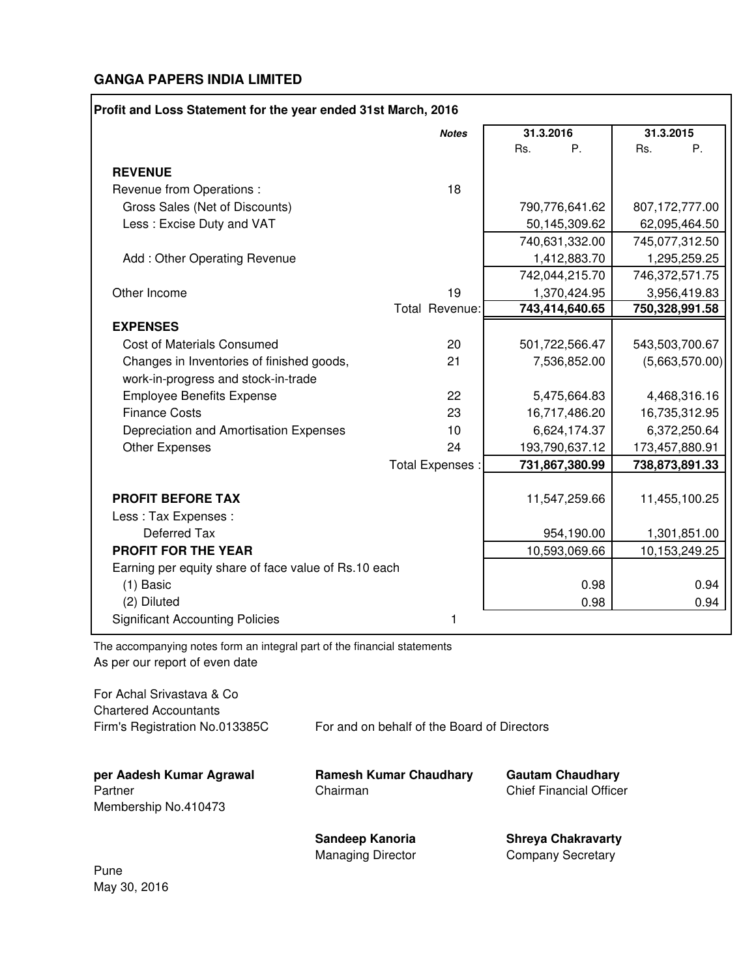|                                                                                  | <b>Notes</b>     | 31.3.2016      | 31.3.2015      |
|----------------------------------------------------------------------------------|------------------|----------------|----------------|
|                                                                                  |                  | Rs.<br>Ρ.      | Rs.<br>P.      |
| <b>REVENUE</b>                                                                   |                  |                |                |
| Revenue from Operations :                                                        | 18               |                |                |
| Gross Sales (Net of Discounts)                                                   |                  | 790,776,641.62 | 807,172,777.00 |
| Less: Excise Duty and VAT                                                        |                  | 50,145,309.62  | 62,095,464.50  |
|                                                                                  |                  | 740,631,332.00 | 745,077,312.50 |
| Add: Other Operating Revenue                                                     |                  | 1,412,883.70   | 1,295,259.25   |
|                                                                                  |                  | 742,044,215.70 | 746,372,571.75 |
| Other Income                                                                     | 19               | 1,370,424.95   | 3,956,419.83   |
|                                                                                  | Total Revenue:   | 743,414,640.65 | 750,328,991.58 |
| <b>EXPENSES</b>                                                                  |                  |                |                |
| <b>Cost of Materials Consumed</b>                                                | 20               | 501,722,566.47 | 543,503,700.67 |
| Changes in Inventories of finished goods,<br>work-in-progress and stock-in-trade | 21               | 7,536,852.00   | (5,663,570.00) |
| <b>Employee Benefits Expense</b>                                                 | 22               | 5,475,664.83   | 4,468,316.16   |
| <b>Finance Costs</b>                                                             | 23               | 16,717,486.20  | 16,735,312.95  |
| Depreciation and Amortisation Expenses                                           | 10               | 6,624,174.37   | 6,372,250.64   |
| Other Expenses                                                                   | 24               | 193,790,637.12 | 173,457,880.91 |
|                                                                                  | Total Expenses : | 731,867,380.99 | 738,873,891.33 |
| <b>PROFIT BEFORE TAX</b>                                                         |                  | 11,547,259.66  | 11,455,100.25  |
| Less: Tax Expenses:                                                              |                  |                |                |
| Deferred Tax                                                                     |                  | 954,190.00     | 1,301,851.00   |
| <b>PROFIT FOR THE YEAR</b>                                                       |                  | 10,593,069.66  | 10,153,249.25  |
| Earning per equity share of face value of Rs.10 each                             |                  |                |                |
| $(1)$ Basic                                                                      |                  | 0.98           | 0.94           |
| (2) Diluted                                                                      |                  | 0.98           | 0.94           |
| <b>Significant Accounting Policies</b>                                           | 1                |                |                |

The accompanying notes form an integral part of the financial statements As per our report of even date

For Achal Srivastava & Co Chartered Accountants Firm's Registration No.013385C For and on behalf of the Board of Directors **per Aadesh Kumar Agrawal Ramesh Kumar Chaudhary Gautam Chaudhary** Partner Chairman Chairman Chief Financial Officer Membership No.410473 **Sandeep Kanoria Shreya Chakravarty**

Managing Director **Company Secretary** 

Pune May 30, 2016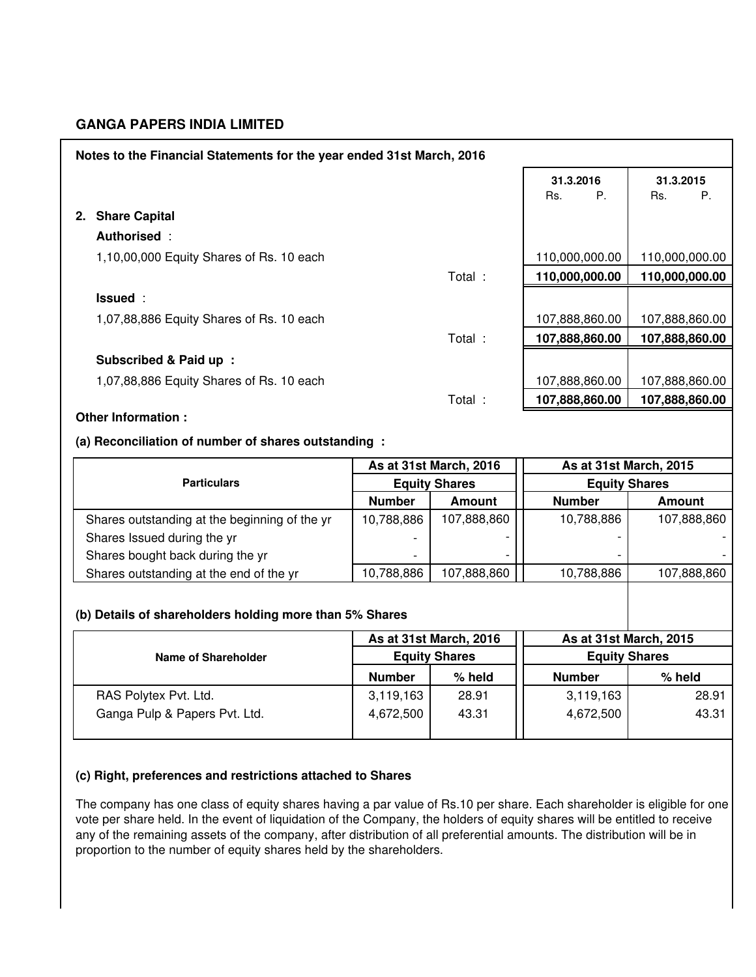| Notes to the Financial Statements for the year ended 31st March, 2016 |               |                        |                      |                        |
|-----------------------------------------------------------------------|---------------|------------------------|----------------------|------------------------|
|                                                                       |               |                        | 31.3.2016            | 31.3.2015              |
|                                                                       |               |                        | P.<br>Rs.            | Ρ.<br>Rs.              |
| 2. Share Capital                                                      |               |                        |                      |                        |
| Authorised:                                                           |               |                        |                      |                        |
| 1,10,00,000 Equity Shares of Rs. 10 each                              |               |                        | 110,000,000.00       | 110,000,000.00         |
|                                                                       |               | Total :                | 110,000,000.00       | 110,000,000.00         |
| Issued:                                                               |               |                        |                      |                        |
| 1,07,88,886 Equity Shares of Rs. 10 each                              |               |                        | 107,888,860.00       | 107,888,860.00         |
|                                                                       |               | Total :                | 107,888,860.00       | 107,888,860.00         |
| Subscribed & Paid up :                                                |               |                        |                      |                        |
| 1,07,88,886 Equity Shares of Rs. 10 each                              |               |                        | 107,888,860.00       | 107,888,860.00         |
|                                                                       |               | Total:                 | 107,888,860.00       | 107,888,860.00         |
| Other Information :                                                   |               |                        |                      |                        |
| (a) Reconciliation of number of shares outstanding :                  |               |                        |                      |                        |
|                                                                       |               |                        |                      |                        |
|                                                                       |               | As at 31st March, 2016 |                      | As at 31st March, 2015 |
| <b>Particulars</b>                                                    |               | <b>Equity Shares</b>   | <b>Equity Shares</b> |                        |
|                                                                       | <b>Number</b> | <b>Amount</b>          | <b>Number</b>        | <b>Amount</b>          |
| Shares outstanding at the beginning of the yr                         | 10,788,886    | 107,888,860            | 10,788,886           | 107,888,860            |
| Shares Issued during the yr                                           |               |                        |                      |                        |
| Shares bought back during the yr                                      |               |                        |                      |                        |
| Shares outstanding at the end of the yr                               | 10,788,886    | 107,888,860            | 10,788,886           | 107,888,860            |
|                                                                       |               |                        |                      |                        |
| (b) Details of shareholders holding more than 5% Shares               |               |                        |                      |                        |
|                                                                       |               | As at 31st March, 2016 |                      | As at 31st March, 2015 |
| <b>Name of Shareholder</b>                                            |               | <b>Equity Shares</b>   | <b>Equity Shares</b> |                        |
|                                                                       | <b>Number</b> | % held                 | <b>Number</b>        | % held                 |
| RAS Polytex Pvt. Ltd.                                                 | 3,119,163     | 28.91                  | 3,119,163            | 28.91                  |
| Ganga Pulp & Papers Pvt. Ltd.                                         | 4,672,500     | 43.31                  | 4,672,500            | 43.31                  |

# **(c) Right, preferences and restrictions attached to Shares**

The company has one class of equity shares having a par value of Rs.10 per share. Each shareholder is eligible for one vote per share held. In the event of liquidation of the Company, the holders of equity shares will be entitled to receive any of the remaining assets of the company, after distribution of all preferential amounts. The distribution will be in proportion to the number of equity shares held by the shareholders.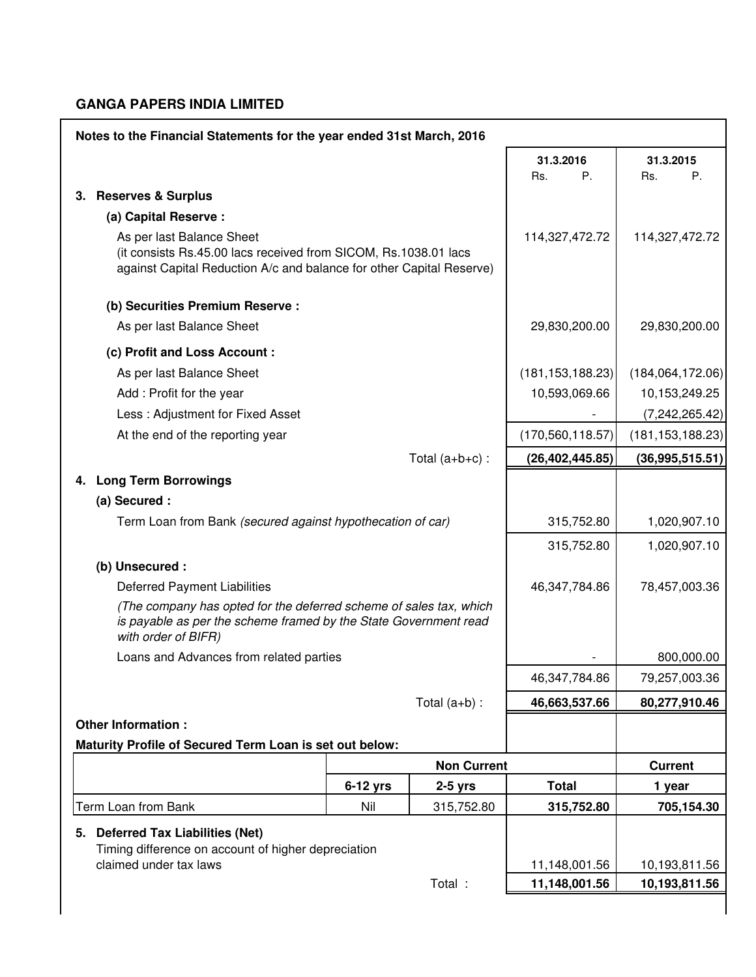| Notes to the Financial Statements for the year ended 31st March, 2016                                                                                         |                                                                                                                                                                      |                |                    |                    |                    |
|---------------------------------------------------------------------------------------------------------------------------------------------------------------|----------------------------------------------------------------------------------------------------------------------------------------------------------------------|----------------|--------------------|--------------------|--------------------|
|                                                                                                                                                               |                                                                                                                                                                      |                |                    | 31.3.2016          | 31.3.2015          |
|                                                                                                                                                               |                                                                                                                                                                      |                |                    | P.<br>Rs.          | Р.<br>Rs.          |
|                                                                                                                                                               | 3. Reserves & Surplus                                                                                                                                                |                |                    |                    |                    |
|                                                                                                                                                               | (a) Capital Reserve :                                                                                                                                                |                |                    |                    |                    |
|                                                                                                                                                               | As per last Balance Sheet<br>(it consists Rs.45.00 lacs received from SICOM, Rs.1038.01 lacs<br>against Capital Reduction A/c and balance for other Capital Reserve) | 114,327,472.72 | 114,327,472.72     |                    |                    |
|                                                                                                                                                               | (b) Securities Premium Reserve :                                                                                                                                     |                |                    |                    |                    |
|                                                                                                                                                               | As per last Balance Sheet                                                                                                                                            |                |                    | 29,830,200.00      | 29,830,200.00      |
|                                                                                                                                                               | (c) Profit and Loss Account :                                                                                                                                        |                |                    |                    |                    |
|                                                                                                                                                               | As per last Balance Sheet                                                                                                                                            |                |                    | (181, 153, 188.23) | (184,064,172.06)   |
|                                                                                                                                                               | Add: Profit for the year                                                                                                                                             |                |                    | 10,593,069.66      | 10,153,249.25      |
|                                                                                                                                                               | Less: Adjustment for Fixed Asset                                                                                                                                     |                |                    |                    | (7,242,265.42)     |
|                                                                                                                                                               | At the end of the reporting year                                                                                                                                     |                |                    | (170, 560, 118.57) | (181, 153, 188.23) |
|                                                                                                                                                               |                                                                                                                                                                      |                | Total $(a+b+c)$ :  | (26, 402, 445.85)  | (36, 995, 515.51)  |
|                                                                                                                                                               | 4. Long Term Borrowings                                                                                                                                              |                |                    |                    |                    |
|                                                                                                                                                               | (a) Secured :                                                                                                                                                        |                |                    |                    |                    |
|                                                                                                                                                               | Term Loan from Bank (secured against hypothecation of car)                                                                                                           |                | 315,752.80         | 1,020,907.10       |                    |
|                                                                                                                                                               |                                                                                                                                                                      |                |                    | 315,752.80         | 1,020,907.10       |
|                                                                                                                                                               | (b) Unsecured :                                                                                                                                                      |                |                    |                    |                    |
|                                                                                                                                                               | <b>Deferred Payment Liabilities</b>                                                                                                                                  |                |                    | 46,347,784.86      | 78,457,003.36      |
| (The company has opted for the deferred scheme of sales tax, which<br>is payable as per the scheme framed by the State Government read<br>with order of BIFR) |                                                                                                                                                                      |                |                    |                    |                    |
|                                                                                                                                                               | Loans and Advances from related parties                                                                                                                              |                |                    |                    | 800,000.00         |
|                                                                                                                                                               |                                                                                                                                                                      |                |                    | 46,347,784.86      | 79,257,003.36      |
|                                                                                                                                                               |                                                                                                                                                                      |                | Total $(a+b)$ :    | 46,663,537.66      | 80,277,910.46      |
|                                                                                                                                                               | <b>Other Information:</b>                                                                                                                                            |                |                    |                    |                    |
|                                                                                                                                                               | Maturity Profile of Secured Term Loan is set out below:                                                                                                              |                |                    |                    |                    |
|                                                                                                                                                               |                                                                                                                                                                      |                | <b>Non Current</b> |                    | <b>Current</b>     |
|                                                                                                                                                               |                                                                                                                                                                      | $6-12$ yrs     | $2-5$ yrs          | <b>Total</b>       | 1 year             |
|                                                                                                                                                               | Term Loan from Bank                                                                                                                                                  | Nil            | 315,752.80         | 315,752.80         | 705,154.30         |
|                                                                                                                                                               | 5. Deferred Tax Liabilities (Net)                                                                                                                                    |                |                    |                    |                    |
|                                                                                                                                                               | Timing difference on account of higher depreciation<br>claimed under tax laws                                                                                        |                |                    | 11,148,001.56      | 10,193,811.56      |
|                                                                                                                                                               |                                                                                                                                                                      |                | Total :            | 11,148,001.56      | 10,193,811.56      |
|                                                                                                                                                               |                                                                                                                                                                      |                |                    |                    |                    |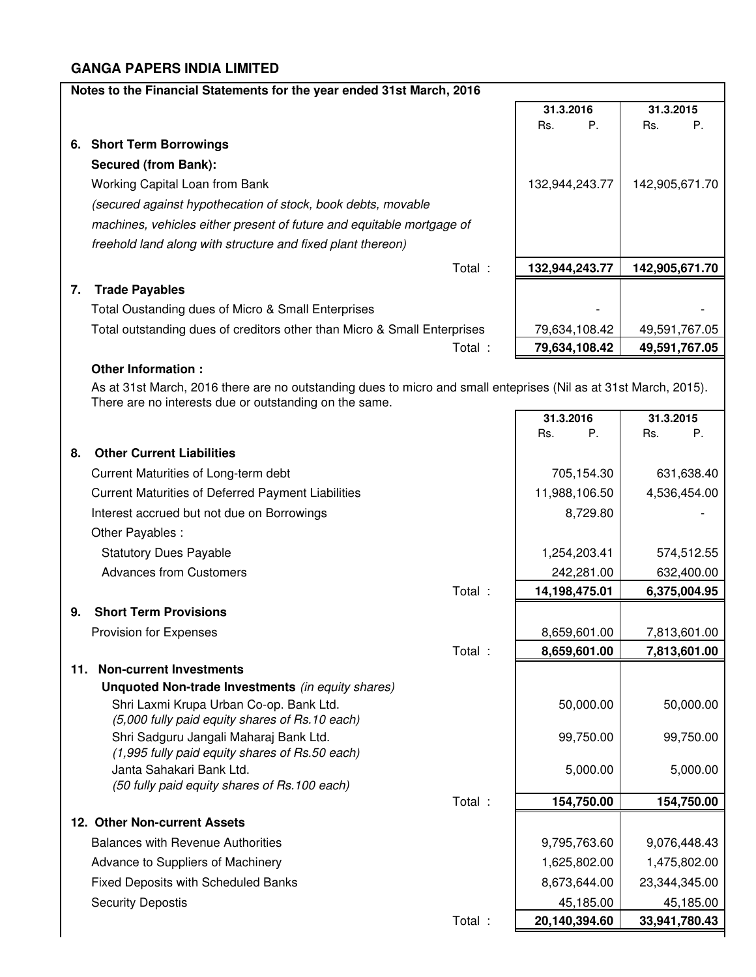| Notes to the Financial Statements for the year ended 31st March, 2016<br>31.3.2015<br>31.3.2016<br>Ρ.<br>Ρ.<br>Rs.<br>Rs.<br>6. Short Term Borrowings<br><b>Secured (from Bank):</b><br>Working Capital Loan from Bank<br>132,944,243.77<br>142,905,671.70<br>(secured against hypothecation of stock, book debts, movable<br>machines, vehicles either present of future and equitable mortgage of<br>freehold land along with structure and fixed plant thereon)<br>Total :<br>132,944,243.77<br>142,905,671.70<br><b>Trade Payables</b><br>7.<br>Total Oustanding dues of Micro & Small Enterprises<br>Total outstanding dues of creditors other than Micro & Small Enterprises<br>79,634,108.42<br>49,591,767.05<br>Total :<br>79,634,108.42<br>49,591,767.05<br>Other Information :<br>As at 31st March, 2016 there are no outstanding dues to micro and small enteprises (Nil as at 31st March, 2015).<br>There are no interests due or outstanding on the same.<br>31.3.2016<br>31.3.2015<br>Ρ.<br>Rs.<br>Rs.<br>Р.<br><b>Other Current Liabilities</b><br>8.<br>705,154.30<br>Current Maturities of Long-term debt<br>631,638.40<br><b>Current Maturities of Deferred Payment Liabilities</b><br>11,988,106.50<br>4,536,454.00<br>Interest accrued but not due on Borrowings<br>8,729.80<br>Other Payables: |
|---------------------------------------------------------------------------------------------------------------------------------------------------------------------------------------------------------------------------------------------------------------------------------------------------------------------------------------------------------------------------------------------------------------------------------------------------------------------------------------------------------------------------------------------------------------------------------------------------------------------------------------------------------------------------------------------------------------------------------------------------------------------------------------------------------------------------------------------------------------------------------------------------------------------------------------------------------------------------------------------------------------------------------------------------------------------------------------------------------------------------------------------------------------------------------------------------------------------------------------------------------------------------------------------------------------------|
|                                                                                                                                                                                                                                                                                                                                                                                                                                                                                                                                                                                                                                                                                                                                                                                                                                                                                                                                                                                                                                                                                                                                                                                                                                                                                                                     |
|                                                                                                                                                                                                                                                                                                                                                                                                                                                                                                                                                                                                                                                                                                                                                                                                                                                                                                                                                                                                                                                                                                                                                                                                                                                                                                                     |
|                                                                                                                                                                                                                                                                                                                                                                                                                                                                                                                                                                                                                                                                                                                                                                                                                                                                                                                                                                                                                                                                                                                                                                                                                                                                                                                     |
|                                                                                                                                                                                                                                                                                                                                                                                                                                                                                                                                                                                                                                                                                                                                                                                                                                                                                                                                                                                                                                                                                                                                                                                                                                                                                                                     |
|                                                                                                                                                                                                                                                                                                                                                                                                                                                                                                                                                                                                                                                                                                                                                                                                                                                                                                                                                                                                                                                                                                                                                                                                                                                                                                                     |
|                                                                                                                                                                                                                                                                                                                                                                                                                                                                                                                                                                                                                                                                                                                                                                                                                                                                                                                                                                                                                                                                                                                                                                                                                                                                                                                     |
|                                                                                                                                                                                                                                                                                                                                                                                                                                                                                                                                                                                                                                                                                                                                                                                                                                                                                                                                                                                                                                                                                                                                                                                                                                                                                                                     |
|                                                                                                                                                                                                                                                                                                                                                                                                                                                                                                                                                                                                                                                                                                                                                                                                                                                                                                                                                                                                                                                                                                                                                                                                                                                                                                                     |
|                                                                                                                                                                                                                                                                                                                                                                                                                                                                                                                                                                                                                                                                                                                                                                                                                                                                                                                                                                                                                                                                                                                                                                                                                                                                                                                     |
|                                                                                                                                                                                                                                                                                                                                                                                                                                                                                                                                                                                                                                                                                                                                                                                                                                                                                                                                                                                                                                                                                                                                                                                                                                                                                                                     |
|                                                                                                                                                                                                                                                                                                                                                                                                                                                                                                                                                                                                                                                                                                                                                                                                                                                                                                                                                                                                                                                                                                                                                                                                                                                                                                                     |
|                                                                                                                                                                                                                                                                                                                                                                                                                                                                                                                                                                                                                                                                                                                                                                                                                                                                                                                                                                                                                                                                                                                                                                                                                                                                                                                     |
|                                                                                                                                                                                                                                                                                                                                                                                                                                                                                                                                                                                                                                                                                                                                                                                                                                                                                                                                                                                                                                                                                                                                                                                                                                                                                                                     |
|                                                                                                                                                                                                                                                                                                                                                                                                                                                                                                                                                                                                                                                                                                                                                                                                                                                                                                                                                                                                                                                                                                                                                                                                                                                                                                                     |
|                                                                                                                                                                                                                                                                                                                                                                                                                                                                                                                                                                                                                                                                                                                                                                                                                                                                                                                                                                                                                                                                                                                                                                                                                                                                                                                     |
|                                                                                                                                                                                                                                                                                                                                                                                                                                                                                                                                                                                                                                                                                                                                                                                                                                                                                                                                                                                                                                                                                                                                                                                                                                                                                                                     |
|                                                                                                                                                                                                                                                                                                                                                                                                                                                                                                                                                                                                                                                                                                                                                                                                                                                                                                                                                                                                                                                                                                                                                                                                                                                                                                                     |
|                                                                                                                                                                                                                                                                                                                                                                                                                                                                                                                                                                                                                                                                                                                                                                                                                                                                                                                                                                                                                                                                                                                                                                                                                                                                                                                     |
|                                                                                                                                                                                                                                                                                                                                                                                                                                                                                                                                                                                                                                                                                                                                                                                                                                                                                                                                                                                                                                                                                                                                                                                                                                                                                                                     |
|                                                                                                                                                                                                                                                                                                                                                                                                                                                                                                                                                                                                                                                                                                                                                                                                                                                                                                                                                                                                                                                                                                                                                                                                                                                                                                                     |
|                                                                                                                                                                                                                                                                                                                                                                                                                                                                                                                                                                                                                                                                                                                                                                                                                                                                                                                                                                                                                                                                                                                                                                                                                                                                                                                     |
|                                                                                                                                                                                                                                                                                                                                                                                                                                                                                                                                                                                                                                                                                                                                                                                                                                                                                                                                                                                                                                                                                                                                                                                                                                                                                                                     |
|                                                                                                                                                                                                                                                                                                                                                                                                                                                                                                                                                                                                                                                                                                                                                                                                                                                                                                                                                                                                                                                                                                                                                                                                                                                                                                                     |
| <b>Statutory Dues Payable</b><br>1,254,203.41<br>574,512.55                                                                                                                                                                                                                                                                                                                                                                                                                                                                                                                                                                                                                                                                                                                                                                                                                                                                                                                                                                                                                                                                                                                                                                                                                                                         |
| <b>Advances from Customers</b><br>242,281.00<br>632,400.00                                                                                                                                                                                                                                                                                                                                                                                                                                                                                                                                                                                                                                                                                                                                                                                                                                                                                                                                                                                                                                                                                                                                                                                                                                                          |
| Total :<br>14,198,475.01<br>6,375,004.95                                                                                                                                                                                                                                                                                                                                                                                                                                                                                                                                                                                                                                                                                                                                                                                                                                                                                                                                                                                                                                                                                                                                                                                                                                                                            |
| <b>Short Term Provisions</b><br>9.                                                                                                                                                                                                                                                                                                                                                                                                                                                                                                                                                                                                                                                                                                                                                                                                                                                                                                                                                                                                                                                                                                                                                                                                                                                                                  |
|                                                                                                                                                                                                                                                                                                                                                                                                                                                                                                                                                                                                                                                                                                                                                                                                                                                                                                                                                                                                                                                                                                                                                                                                                                                                                                                     |
| 8,659,601.00<br>Provision for Expenses<br>7,813,601.00                                                                                                                                                                                                                                                                                                                                                                                                                                                                                                                                                                                                                                                                                                                                                                                                                                                                                                                                                                                                                                                                                                                                                                                                                                                              |
| Total :<br>8,659,601.00<br>7,813,601.00<br>11. Non-current Investments                                                                                                                                                                                                                                                                                                                                                                                                                                                                                                                                                                                                                                                                                                                                                                                                                                                                                                                                                                                                                                                                                                                                                                                                                                              |
| Unquoted Non-trade Investments (in equity shares)                                                                                                                                                                                                                                                                                                                                                                                                                                                                                                                                                                                                                                                                                                                                                                                                                                                                                                                                                                                                                                                                                                                                                                                                                                                                   |
| Shri Laxmi Krupa Urban Co-op. Bank Ltd.<br>50,000.00<br>50,000.00                                                                                                                                                                                                                                                                                                                                                                                                                                                                                                                                                                                                                                                                                                                                                                                                                                                                                                                                                                                                                                                                                                                                                                                                                                                   |
| (5,000 fully paid equity shares of Rs.10 each)                                                                                                                                                                                                                                                                                                                                                                                                                                                                                                                                                                                                                                                                                                                                                                                                                                                                                                                                                                                                                                                                                                                                                                                                                                                                      |
| Shri Sadguru Jangali Maharaj Bank Ltd.<br>99,750.00<br>99,750.00                                                                                                                                                                                                                                                                                                                                                                                                                                                                                                                                                                                                                                                                                                                                                                                                                                                                                                                                                                                                                                                                                                                                                                                                                                                    |
| (1,995 fully paid equity shares of Rs.50 each)                                                                                                                                                                                                                                                                                                                                                                                                                                                                                                                                                                                                                                                                                                                                                                                                                                                                                                                                                                                                                                                                                                                                                                                                                                                                      |
| Janta Sahakari Bank Ltd.<br>5,000.00<br>5,000.00<br>(50 fully paid equity shares of Rs.100 each)                                                                                                                                                                                                                                                                                                                                                                                                                                                                                                                                                                                                                                                                                                                                                                                                                                                                                                                                                                                                                                                                                                                                                                                                                    |
| 154,750.00<br>Total :<br>154,750.00                                                                                                                                                                                                                                                                                                                                                                                                                                                                                                                                                                                                                                                                                                                                                                                                                                                                                                                                                                                                                                                                                                                                                                                                                                                                                 |
| 12. Other Non-current Assets                                                                                                                                                                                                                                                                                                                                                                                                                                                                                                                                                                                                                                                                                                                                                                                                                                                                                                                                                                                                                                                                                                                                                                                                                                                                                        |
| <b>Balances with Revenue Authorities</b><br>9,795,763.60<br>9,076,448.43                                                                                                                                                                                                                                                                                                                                                                                                                                                                                                                                                                                                                                                                                                                                                                                                                                                                                                                                                                                                                                                                                                                                                                                                                                            |
| 1,625,802.00<br>Advance to Suppliers of Machinery<br>1,475,802.00                                                                                                                                                                                                                                                                                                                                                                                                                                                                                                                                                                                                                                                                                                                                                                                                                                                                                                                                                                                                                                                                                                                                                                                                                                                   |
| Fixed Deposits with Scheduled Banks<br>8,673,644.00<br>23,344,345.00                                                                                                                                                                                                                                                                                                                                                                                                                                                                                                                                                                                                                                                                                                                                                                                                                                                                                                                                                                                                                                                                                                                                                                                                                                                |
| <b>Security Depostis</b><br>45,185.00<br>45,185.00                                                                                                                                                                                                                                                                                                                                                                                                                                                                                                                                                                                                                                                                                                                                                                                                                                                                                                                                                                                                                                                                                                                                                                                                                                                                  |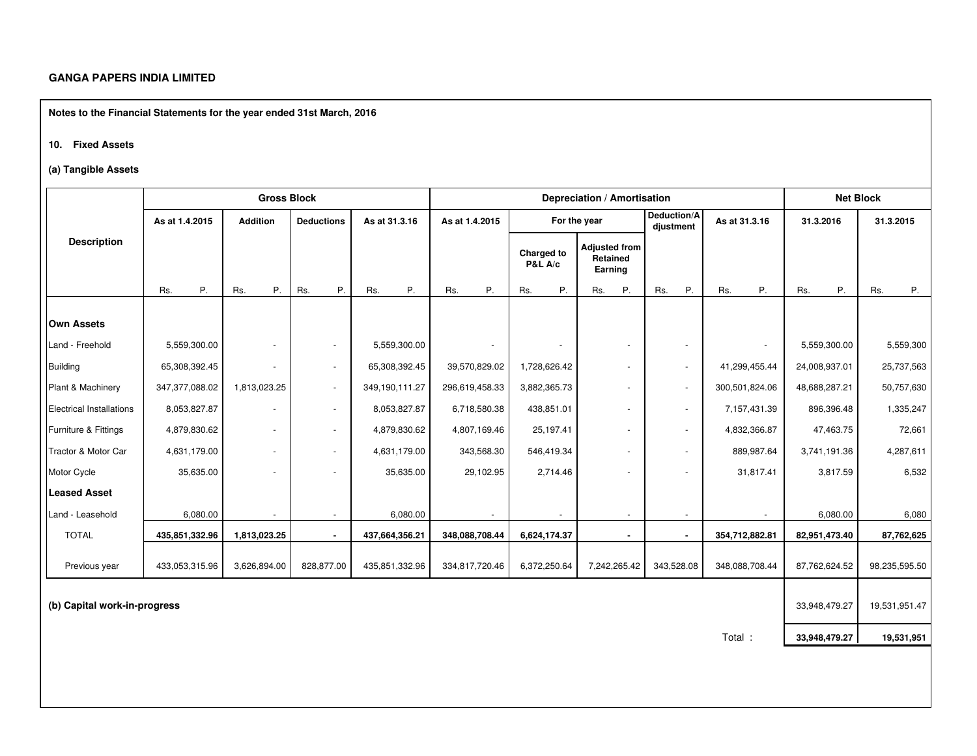**Notes to the Financial Statements for the year ended 31st March, 2016**

#### **10. Fixed Assets**

#### **(a) Tangible Assets**

|                                 |                | <b>Gross Block</b> |                          |                | Depreciation / Amortisation |                                  |                                             |                          |                |               |               |  | <b>Net Block</b> |
|---------------------------------|----------------|--------------------|--------------------------|----------------|-----------------------------|----------------------------------|---------------------------------------------|--------------------------|----------------|---------------|---------------|--|------------------|
|                                 | As at 1.4.2015 | <b>Addition</b>    | <b>Deductions</b>        | As at 31.3.16  | As at 1.4.2015              |                                  | For the year                                | Deduction/A<br>djustment | As at 31.3.16  | 31.3.2016     | 31.3.2015     |  |                  |
| <b>Description</b>              |                |                    |                          |                |                             | Charged to<br><b>P&amp;L A/c</b> | <b>Adjusted from</b><br>Retained<br>Earning |                          |                |               |               |  |                  |
|                                 | P.<br>Rs.      | Р.<br>Rs.          | P.<br>Rs.                | Ρ.<br>Rs.      | Ρ.<br>Rs.                   | Rs.<br>P.                        | Ρ.<br>Rs.                                   | P.<br>Rs.                | Ρ.<br>Rs.      | P.<br>Rs.     | Rs.<br>P.     |  |                  |
| <b>Own Assets</b>               |                |                    |                          |                |                             |                                  |                                             |                          |                |               |               |  |                  |
| Land - Freehold                 | 5,559,300.00   | $\sim$             | $\overline{\phantom{a}}$ | 5,559,300.00   |                             |                                  |                                             | $\blacksquare$           |                | 5,559,300.00  | 5,559,300     |  |                  |
| <b>Building</b>                 | 65,308,392.45  | $\sim$             | $\overline{\phantom{a}}$ | 65,308,392.45  | 39,570,829.02               | 1,728,626.42                     | $\sim$                                      | $\sim$                   | 41,299,455.44  | 24,008,937.01 | 25,737,563    |  |                  |
| Plant & Machinery               | 347,377,088.02 | 1,813,023.25       | $\overline{\phantom{a}}$ | 349,190,111.27 | 296,619,458.33              | 3,882,365.73                     | $\overline{\phantom{a}}$                    | $\overline{\phantom{a}}$ | 300,501,824.06 | 48,688,287.21 | 50,757,630    |  |                  |
| <b>Electrical Installations</b> | 8,053,827.87   | $\sim$             | $\blacksquare$           | 8,053,827.87   | 6,718,580.38                | 438,851.01                       | $\sim$                                      | $\sim$                   | 7,157,431.39   | 896,396.48    | 1,335,247     |  |                  |
| Furniture & Fittings            | 4,879,830.62   | $\sim$             | $\blacksquare$           | 4,879,830.62   | 4,807,169.46                | 25,197.41                        | ÷.                                          | $\overline{\phantom{a}}$ | 4,832,366.87   | 47,463.75     | 72,661        |  |                  |
| Tractor & Motor Car             | 4,631,179.00   | ÷.                 | $\blacksquare$           | 4,631,179.00   | 343,568.30                  | 546,419.34                       |                                             | $\sim$                   | 889,987.64     | 3,741,191.36  | 4,287,611     |  |                  |
| Motor Cycle                     | 35,635.00      | $\blacksquare$     | $\blacksquare$           | 35,635.00      | 29,102.95                   | 2,714.46                         | $\sim$                                      | $\blacksquare$           | 31,817.41      | 3,817.59      | 6,532         |  |                  |
| <b>Leased Asset</b>             |                |                    |                          |                |                             |                                  |                                             |                          |                |               |               |  |                  |
| Land - Leasehold                | 6,080.00       | $\sim$             | $\sim$                   | 6,080.00       |                             |                                  | $\sim$                                      | $\sim$                   |                | 6,080.00      | 6,080         |  |                  |
| <b>TOTAL</b>                    | 435,851,332.96 | 1,813,023.25       | $\blacksquare$           | 437,664,356.21 | 348,088,708.44              | 6,624,174.37                     |                                             | $\blacksquare$           | 354,712,882.81 | 82,951,473.40 | 87,762,625    |  |                  |
| Previous year                   | 433,053,315.96 | 3,626,894.00       | 828,877.00               | 435,851,332.96 | 334,817,720.46              | 6,372,250.64                     | 7,242,265.42                                | 343,528.08               | 348,088,708.44 | 87,762,624.52 | 98,235,595.50 |  |                  |
| (b) Capital work-in-progress    |                |                    |                          |                |                             |                                  | 33,948,479.27                               | 19,531,951.47            |                |               |               |  |                  |

Total : **19,531,951 33,948,479.27**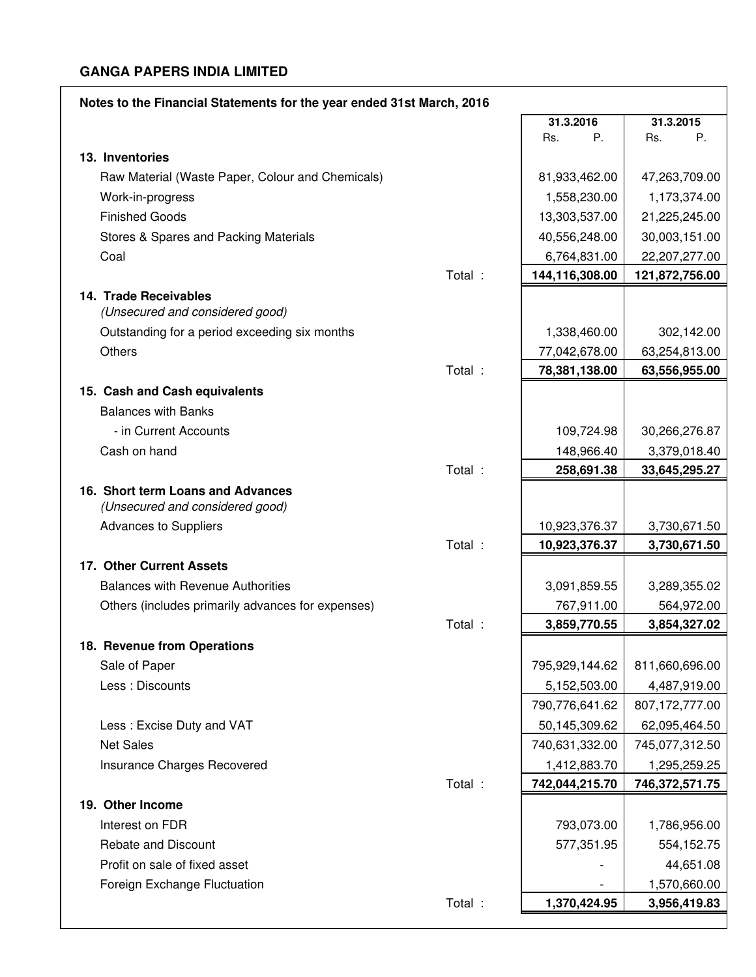| Notes to the Financial Statements for the year ended 31st March, 2016 |                |                |
|-----------------------------------------------------------------------|----------------|----------------|
|                                                                       | 31.3.2016      | 31.3.2015      |
|                                                                       | Rs.<br>P.      | P.<br>Rs.      |
| 13. Inventories                                                       |                |                |
| Raw Material (Waste Paper, Colour and Chemicals)                      | 81,933,462.00  | 47,263,709.00  |
| Work-in-progress                                                      | 1,558,230.00   | 1,173,374.00   |
| <b>Finished Goods</b>                                                 | 13,303,537.00  | 21,225,245.00  |
| Stores & Spares and Packing Materials                                 | 40,556,248.00  | 30,003,151.00  |
| Coal                                                                  | 6,764,831.00   | 22,207,277.00  |
| Total :                                                               | 144,116,308.00 | 121,872,756.00 |
| 14. Trade Receivables<br>(Unsecured and considered good)              |                |                |
| Outstanding for a period exceeding six months                         | 1,338,460.00   | 302,142.00     |
| Others                                                                | 77,042,678.00  | 63,254,813.00  |
| Total :                                                               | 78,381,138.00  | 63,556,955.00  |
| 15. Cash and Cash equivalents                                         |                |                |
| <b>Balances with Banks</b>                                            |                |                |
| - in Current Accounts                                                 | 109,724.98     | 30,266,276.87  |
| Cash on hand                                                          | 148,966.40     | 3,379,018.40   |
| Total :                                                               | 258,691.38     | 33,645,295.27  |
| 16. Short term Loans and Advances<br>(Unsecured and considered good)  |                |                |
| <b>Advances to Suppliers</b>                                          | 10,923,376.37  | 3,730,671.50   |
| Total :                                                               | 10,923,376.37  | 3,730,671.50   |
| 17. Other Current Assets                                              |                |                |
| <b>Balances with Revenue Authorities</b>                              | 3,091,859.55   | 3,289,355.02   |
| Others (includes primarily advances for expenses)                     | 767,911.00     | 564,972.00     |
| Total :                                                               | 3,859,770.55   | 3,854,327.02   |
| 18. Revenue from Operations                                           |                |                |
| Sale of Paper                                                         | 795,929,144.62 | 811,660,696.00 |
| Less : Discounts                                                      | 5,152,503.00   | 4,487,919.00   |
|                                                                       | 790,776,641.62 | 807,172,777.00 |
| Less: Excise Duty and VAT                                             | 50,145,309.62  | 62,095,464.50  |
| <b>Net Sales</b>                                                      | 740,631,332.00 | 745,077,312.50 |
| Insurance Charges Recovered                                           | 1,412,883.70   | 1,295,259.25   |
| Total :                                                               | 742,044,215.70 | 746,372,571.75 |
| 19. Other Income                                                      |                |                |
| Interest on FDR                                                       | 793,073.00     | 1,786,956.00   |
| Rebate and Discount                                                   | 577,351.95     | 554,152.75     |
| Profit on sale of fixed asset                                         |                | 44,651.08      |
| Foreign Exchange Fluctuation                                          |                | 1,570,660.00   |
| Total :                                                               | 1,370,424.95   | 3,956,419.83   |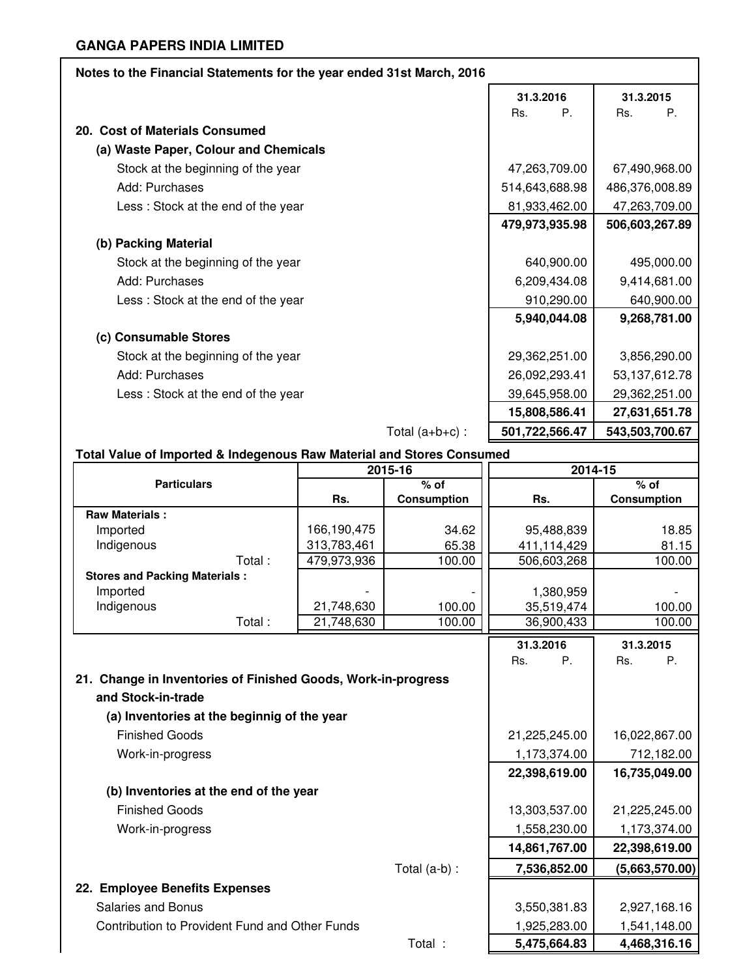| Notes to the Financial Statements for the year ended 31st March, 2016 |                    |                    |
|-----------------------------------------------------------------------|--------------------|--------------------|
|                                                                       | 31.3.2016          | 31.3.2015          |
|                                                                       | $P_{\cdot}$<br>Rs. | Rs.<br>$P_{\cdot}$ |
| 20. Cost of Materials Consumed                                        |                    |                    |
| (a) Waste Paper, Colour and Chemicals                                 |                    |                    |
| Stock at the beginning of the year                                    | 47,263,709.00      | 67,490,968.00      |
| Add: Purchases                                                        | 514,643,688.98     | 486,376,008.89     |
| Less: Stock at the end of the year                                    | 81,933,462.00      | 47,263,709.00      |
|                                                                       | 479,973,935.98     | 506,603,267.89     |
| (b) Packing Material                                                  |                    |                    |
| Stock at the beginning of the year                                    | 640,900.00         | 495,000.00         |
| Add: Purchases                                                        | 6,209,434.08       | 9,414,681.00       |
| Less: Stock at the end of the year                                    | 910,290.00         | 640,900.00         |
|                                                                       | 5,940,044.08       | 9,268,781.00       |
| (c) Consumable Stores                                                 |                    |                    |
| Stock at the beginning of the year                                    | 29,362,251.00      | 3,856,290.00       |
| Add: Purchases                                                        | 26,092,293.41      | 53, 137, 612. 78   |
| Less: Stock at the end of the year                                    | 39,645,958.00      | 29,362,251.00      |
|                                                                       | 15,808,586.41      | 27,631,651.78      |
| Total $(a+b+c)$ :                                                     | 501,722,566.47     | 543,503,700.67     |
|                                                                       |                    |                    |

# **Total Value of Imported & Indegenous Raw Material and Stores Consumed**

|                                                               |             | 2015-16            | 2014-15       |                    |
|---------------------------------------------------------------|-------------|--------------------|---------------|--------------------|
| <b>Particulars</b>                                            |             | $%$ of             |               | $%$ of             |
|                                                               | Rs.         | <b>Consumption</b> | Rs.           | <b>Consumption</b> |
| <b>Raw Materials:</b>                                         |             |                    |               |                    |
| Imported                                                      | 166,190,475 | 34.62              | 95,488,839    | 18.85              |
| Indigenous                                                    | 313,783,461 | 65.38              | 411,114,429   | 81.15              |
| Total:                                                        | 479,973,936 | 100.00             | 506,603,268   | 100.00             |
| <b>Stores and Packing Materials:</b>                          |             |                    |               |                    |
| Imported                                                      |             |                    | 1,380,959     |                    |
| Indigenous                                                    | 21,748,630  | 100.00             | 35,519,474    | 100.00             |
| Total:                                                        | 21,748,630  | 100.00             | 36,900,433    | 100.00             |
|                                                               |             |                    | 31.3.2016     | 31.3.2015          |
|                                                               |             |                    | Ρ.<br>Rs.     | Rs.<br>Р.          |
| 21. Change in Inventories of Finished Goods, Work-in-progress |             |                    |               |                    |
| and Stock-in-trade                                            |             |                    |               |                    |
| (a) Inventories at the beginnig of the year                   |             |                    |               |                    |
|                                                               |             |                    |               |                    |
| <b>Finished Goods</b>                                         |             |                    | 21,225,245.00 | 16,022,867.00      |
| Work-in-progress                                              |             |                    | 1,173,374.00  | 712,182.00         |
|                                                               |             |                    | 22,398,619.00 | 16,735,049.00      |
| (b) Inventories at the end of the year                        |             |                    |               |                    |
| <b>Finished Goods</b>                                         |             |                    | 13,303,537.00 | 21,225,245.00      |
| Work-in-progress                                              |             |                    | 1,558,230.00  | 1,173,374.00       |
|                                                               |             |                    | 14,861,767.00 | 22,398,619.00      |
|                                                               |             | Total (a-b) :      | 7,536,852.00  | (5,663,570.00)     |
| 22. Employee Benefits Expenses                                |             |                    |               |                    |
| <b>Salaries and Bonus</b>                                     |             |                    | 3,550,381.83  | 2,927,168.16       |
| Contribution to Provident Fund and Other Funds                |             |                    | 1,925,283.00  | 1,541,148.00       |
|                                                               |             | Total :            | 5,475,664.83  | 4,468,316.16       |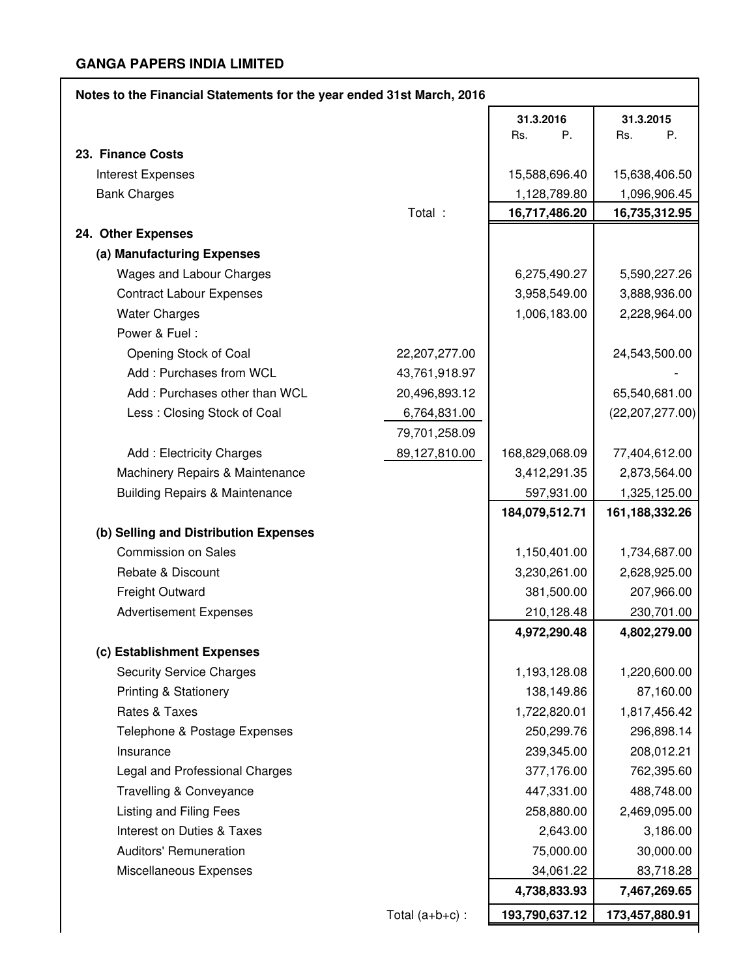| Notes to the Financial Statements for the year ended 31st March, 2016 |                   |                |                   |  |  |  |
|-----------------------------------------------------------------------|-------------------|----------------|-------------------|--|--|--|
|                                                                       |                   | 31.3.2016      | 31.3.2015         |  |  |  |
|                                                                       |                   | P.<br>Rs.      | Rs.<br>Ρ.         |  |  |  |
| 23. Finance Costs                                                     |                   |                |                   |  |  |  |
| <b>Interest Expenses</b>                                              |                   | 15,588,696.40  | 15,638,406.50     |  |  |  |
| <b>Bank Charges</b>                                                   |                   | 1,128,789.80   | 1,096,906.45      |  |  |  |
|                                                                       | Total :           | 16,717,486.20  | 16,735,312.95     |  |  |  |
| 24. Other Expenses                                                    |                   |                |                   |  |  |  |
| (a) Manufacturing Expenses                                            |                   |                |                   |  |  |  |
| Wages and Labour Charges                                              |                   | 6,275,490.27   | 5,590,227.26      |  |  |  |
| <b>Contract Labour Expenses</b>                                       |                   | 3,958,549.00   | 3,888,936.00      |  |  |  |
| <b>Water Charges</b>                                                  |                   | 1,006,183.00   | 2,228,964.00      |  |  |  |
| Power & Fuel:                                                         |                   |                |                   |  |  |  |
| Opening Stock of Coal                                                 | 22,207,277.00     |                | 24,543,500.00     |  |  |  |
| Add: Purchases from WCL                                               | 43,761,918.97     |                |                   |  |  |  |
| Add: Purchases other than WCL                                         | 20,496,893.12     |                | 65,540,681.00     |  |  |  |
| Less: Closing Stock of Coal                                           | 6,764,831.00      |                | (22, 207, 277.00) |  |  |  |
|                                                                       | 79,701,258.09     |                |                   |  |  |  |
| Add: Electricity Charges                                              | 89,127,810.00     | 168,829,068.09 | 77,404,612.00     |  |  |  |
| Machinery Repairs & Maintenance                                       |                   | 3,412,291.35   | 2,873,564.00      |  |  |  |
| <b>Building Repairs &amp; Maintenance</b>                             |                   | 597,931.00     | 1,325,125.00      |  |  |  |
|                                                                       |                   | 184,079,512.71 | 161, 188, 332. 26 |  |  |  |
| (b) Selling and Distribution Expenses                                 |                   |                |                   |  |  |  |
| <b>Commission on Sales</b>                                            |                   | 1,150,401.00   | 1,734,687.00      |  |  |  |
| Rebate & Discount                                                     |                   | 3,230,261.00   | 2,628,925.00      |  |  |  |
| <b>Freight Outward</b>                                                |                   | 381,500.00     | 207,966.00        |  |  |  |
| <b>Advertisement Expenses</b>                                         |                   | 210,128.48     | 230,701.00        |  |  |  |
|                                                                       |                   | 4,972,290.48   | 4,802,279.00      |  |  |  |
| (c) Establishment Expenses                                            |                   |                |                   |  |  |  |
| <b>Security Service Charges</b>                                       |                   | 1,193,128.08   | 1,220,600.00      |  |  |  |
| <b>Printing &amp; Stationery</b>                                      |                   | 138,149.86     | 87,160.00         |  |  |  |
| Rates & Taxes                                                         |                   | 1,722,820.01   | 1,817,456.42      |  |  |  |
| Telephone & Postage Expenses                                          |                   | 250,299.76     | 296,898.14        |  |  |  |
| Insurance<br>Legal and Professional Charges                           |                   | 239,345.00     | 208,012.21        |  |  |  |
|                                                                       |                   | 377,176.00     | 762,395.60        |  |  |  |
| Travelling & Conveyance                                               |                   | 447,331.00     | 488,748.00        |  |  |  |
| Listing and Filing Fees                                               |                   | 258,880.00     | 2,469,095.00      |  |  |  |
| <b>Interest on Duties &amp; Taxes</b>                                 |                   | 2,643.00       | 3,186.00          |  |  |  |
| <b>Auditors' Remuneration</b>                                         |                   | 75,000.00      | 30,000.00         |  |  |  |
| Miscellaneous Expenses                                                |                   | 34,061.22      | 83,718.28         |  |  |  |
|                                                                       |                   | 4,738,833.93   | 7,467,269.65      |  |  |  |
|                                                                       | Total $(a+b+c)$ : | 193,790,637.12 | 173,457,880.91    |  |  |  |

 $\overline{\phantom{a}}$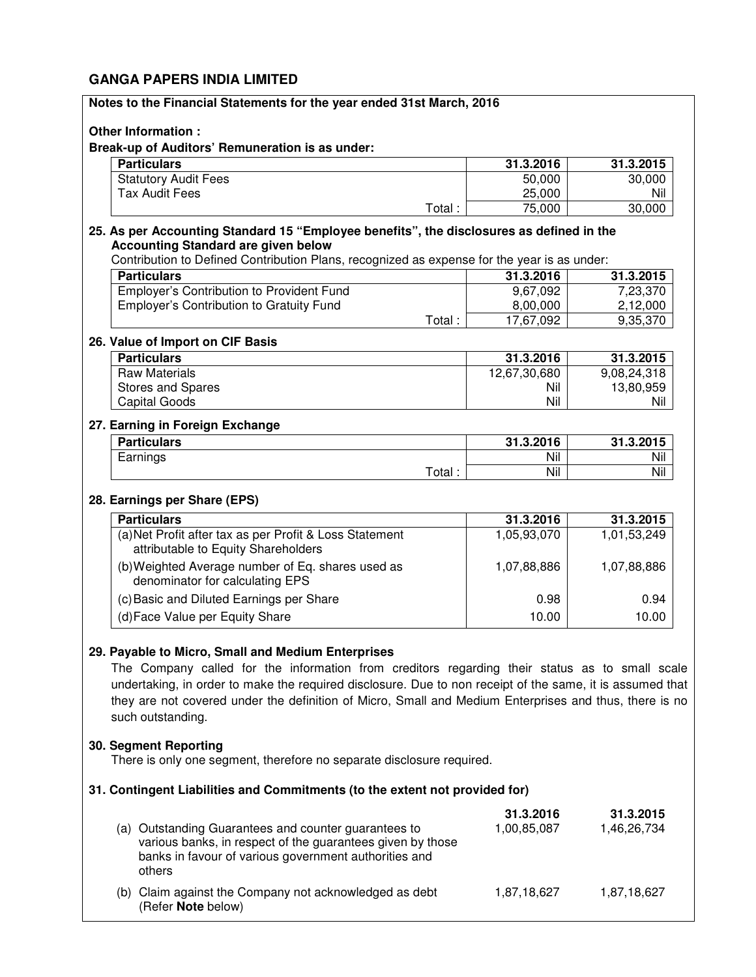| Notes to the Financial Statements for the year ended 31st March, 2016                                                                                                                                                                                                                                                                                                                            |                          |                          |
|--------------------------------------------------------------------------------------------------------------------------------------------------------------------------------------------------------------------------------------------------------------------------------------------------------------------------------------------------------------------------------------------------|--------------------------|--------------------------|
| <b>Other Information:</b>                                                                                                                                                                                                                                                                                                                                                                        |                          |                          |
| Break-up of Auditors' Remuneration is as under:                                                                                                                                                                                                                                                                                                                                                  |                          |                          |
| <b>Particulars</b>                                                                                                                                                                                                                                                                                                                                                                               | 31.3.2016                | 31.3.2015                |
| <b>Statutory Audit Fees</b>                                                                                                                                                                                                                                                                                                                                                                      | 50,000                   | 30,000                   |
| <b>Tax Audit Fees</b>                                                                                                                                                                                                                                                                                                                                                                            | 25,000                   | Nil                      |
| Total:                                                                                                                                                                                                                                                                                                                                                                                           | 75,000                   | 30,000                   |
| 25. As per Accounting Standard 15 "Employee benefits", the disclosures as defined in the<br><b>Accounting Standard are given below</b><br>Contribution to Defined Contribution Plans, recognized as expense for the year is as under:                                                                                                                                                            |                          |                          |
| <b>Particulars</b>                                                                                                                                                                                                                                                                                                                                                                               | 31.3.2016                | 31.3.2015                |
| Employer's Contribution to Provident Fund                                                                                                                                                                                                                                                                                                                                                        | 9,67,092                 | 7,23,370                 |
| <b>Employer's Contribution to Gratuity Fund</b>                                                                                                                                                                                                                                                                                                                                                  | 8,00,000                 | 2,12,000                 |
| Total:                                                                                                                                                                                                                                                                                                                                                                                           | 17,67,092                | 9,35,370                 |
| 26. Value of Import on CIF Basis                                                                                                                                                                                                                                                                                                                                                                 |                          |                          |
| <b>Particulars</b>                                                                                                                                                                                                                                                                                                                                                                               | 31.3.2016                | 31.3.2015                |
| <b>Raw Materials</b>                                                                                                                                                                                                                                                                                                                                                                             | 12,67,30,680             | 9,08,24,318              |
| Stores and Spares                                                                                                                                                                                                                                                                                                                                                                                | Nil                      | 13,80,959                |
| <b>Capital Goods</b>                                                                                                                                                                                                                                                                                                                                                                             | Nil                      | Nil                      |
|                                                                                                                                                                                                                                                                                                                                                                                                  |                          |                          |
| 27. Earning in Foreign Exchange                                                                                                                                                                                                                                                                                                                                                                  |                          |                          |
| <b>Particulars</b>                                                                                                                                                                                                                                                                                                                                                                               | 31.3.2016                | 31.3.2015                |
| Earnings                                                                                                                                                                                                                                                                                                                                                                                         | Nil                      | Nil                      |
| Total:                                                                                                                                                                                                                                                                                                                                                                                           | Nil                      | Nil                      |
| 28. Earnings per Share (EPS)                                                                                                                                                                                                                                                                                                                                                                     |                          |                          |
| <b>Particulars</b>                                                                                                                                                                                                                                                                                                                                                                               | 31.3.2016                | 31.3.2015                |
| (a) Net Profit after tax as per Profit & Loss Statement<br>attributable to Equity Shareholders                                                                                                                                                                                                                                                                                                   | 1,05,93,070              | 1,01,53,249              |
| (b) Weighted Average number of Eq. shares used as<br>denominator for calculating EPS                                                                                                                                                                                                                                                                                                             | 1,07,88,886              | 1,07,88,886              |
| (c) Basic and Diluted Earnings per Share                                                                                                                                                                                                                                                                                                                                                         | 0.98                     | 0.94                     |
| (d) Face Value per Equity Share                                                                                                                                                                                                                                                                                                                                                                  | 10.00                    | 10.00                    |
| 29. Payable to Micro, Small and Medium Enterprises<br>The Company called for the information from creditors regarding their status as to small scale<br>undertaking, in order to make the required disclosure. Due to non receipt of the same, it is assumed that<br>they are not covered under the definition of Micro, Small and Medium Enterprises and thus, there is no<br>such outstanding. |                          |                          |
| 30. Segment Reporting<br>There is only one segment, therefore no separate disclosure required.                                                                                                                                                                                                                                                                                                   |                          |                          |
| 31. Contingent Liabilities and Commitments (to the extent not provided for)                                                                                                                                                                                                                                                                                                                      |                          |                          |
| (a) Outstanding Guarantees and counter guarantees to<br>various banks, in respect of the guarantees given by those<br>banks in favour of various government authorities and<br>others                                                                                                                                                                                                            | 31.3.2016<br>1,00,85,087 | 31.3.2015<br>1,46,26,734 |
| (b) Claim against the Company not acknowledged as debt<br>(Refer Note below)                                                                                                                                                                                                                                                                                                                     | 1,87,18,627              | 1,87,18,627              |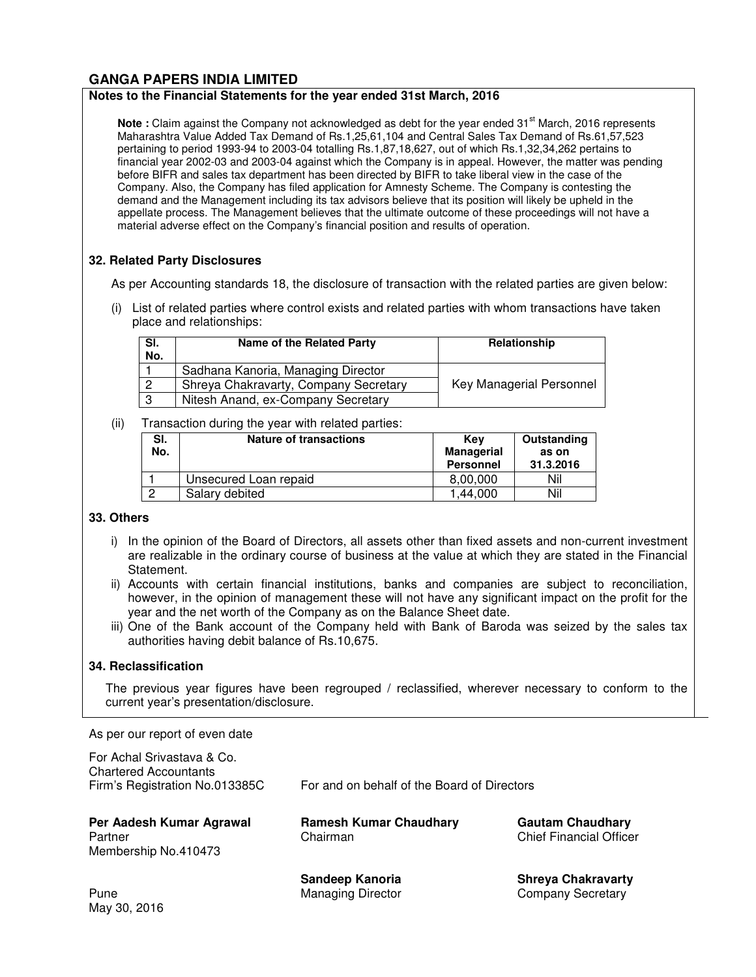#### **Notes to the Financial Statements for the year ended 31st March, 2016**

Note : Claim against the Company not acknowledged as debt for the year ended 31<sup>st</sup> March, 2016 represents Maharashtra Value Added Tax Demand of Rs.1,25,61,104 and Central Sales Tax Demand of Rs.61,57,523 pertaining to period 1993-94 to 2003-04 totalling Rs.1,87,18,627, out of which Rs.1,32,34,262 pertains to financial year 2002-03 and 2003-04 against which the Company is in appeal. However, the matter was pending before BIFR and sales tax department has been directed by BIFR to take liberal view in the case of the Company. Also, the Company has filed application for Amnesty Scheme. The Company is contesting the demand and the Management including its tax advisors believe that its position will likely be upheld in the appellate process. The Management believes that the ultimate outcome of these proceedings will not have a material adverse effect on the Company's financial position and results of operation.

# **32. Related Party Disclosures**

As per Accounting standards 18, the disclosure of transaction with the related parties are given below:

(i) List of related parties where control exists and related parties with whom transactions have taken place and relationships:

| SI.<br>No. | Name of the Related Party             | <b>Relationship</b>      |
|------------|---------------------------------------|--------------------------|
|            | Sadhana Kanoria, Managing Director    |                          |
| 2          | Shreya Chakravarty, Company Secretary | Key Managerial Personnel |
| 3          | Nitesh Anand, ex-Company Secretary    |                          |

#### (ii) Transaction during the year with related parties:

| SI.<br>No. | <b>Nature of transactions</b> | Kev<br><b>Managerial</b><br><b>Personnel</b> | Outstanding<br>as on<br>31.3.2016 |
|------------|-------------------------------|----------------------------------------------|-----------------------------------|
|            | Unsecured Loan repaid         | 8,00,000                                     | Nil                               |
|            | Salary debited                | 1.44.000                                     | Nil                               |

# **33. Others**

- i) In the opinion of the Board of Directors, all assets other than fixed assets and non-current investment are realizable in the ordinary course of business at the value at which they are stated in the Financial Statement.
- ii) Accounts with certain financial institutions, banks and companies are subject to reconciliation, however, in the opinion of management these will not have any significant impact on the profit for the year and the net worth of the Company as on the Balance Sheet date.
- iii) One of the Bank account of the Company held with Bank of Baroda was seized by the sales tax authorities having debit balance of Rs.10,675.

#### **34. Reclassification**

The previous year figures have been regrouped / reclassified, wherever necessary to conform to the current year's presentation/disclosure.

As per our report of even date

| For Achal Srivastava & Co.<br><b>Chartered Accountants</b><br>Firm's Registration No.013385C |                                             | For and on behalf of the Board of Directors               |  |
|----------------------------------------------------------------------------------------------|---------------------------------------------|-----------------------------------------------------------|--|
| Per Aadesh Kumar Agrawal<br>Partner<br>Membership No.410473                                  | <b>Ramesh Kumar Chaudhary</b><br>Chairman   | <b>Gautam Chaudhary</b><br><b>Chief Financial Officer</b> |  |
| Pune<br>May 30, 2016                                                                         | Sandeep Kanoria<br><b>Managing Director</b> | <b>Shreya Chakravarty</b><br><b>Company Secretary</b>     |  |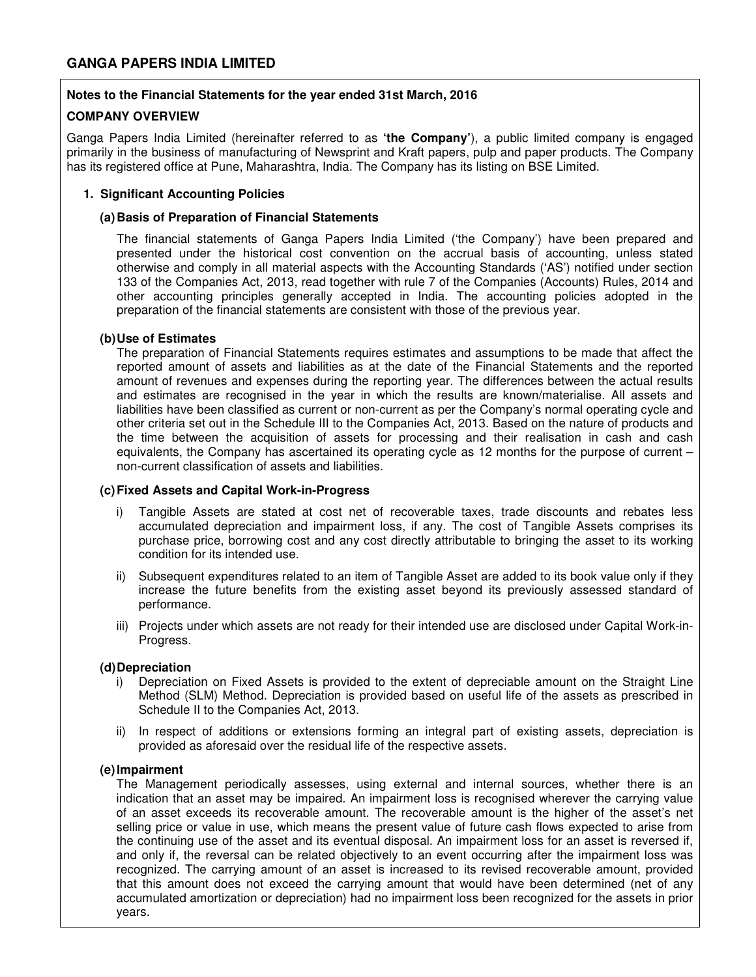## **Notes to the Financial Statements for the year ended 31st March, 2016**

### **COMPANY OVERVIEW**

Ganga Papers India Limited (hereinafter referred to as **'the Company'**), a public limited company is engaged primarily in the business of manufacturing of Newsprint and Kraft papers, pulp and paper products. The Company has its registered office at Pune, Maharashtra, India. The Company has its listing on BSE Limited.

### **1. Significant Accounting Policies**

#### **(a) Basis of Preparation of Financial Statements**

The financial statements of Ganga Papers India Limited ('the Company') have been prepared and presented under the historical cost convention on the accrual basis of accounting, unless stated otherwise and comply in all material aspects with the Accounting Standards ('AS') notified under section 133 of the Companies Act, 2013, read together with rule 7 of the Companies (Accounts) Rules, 2014 and other accounting principles generally accepted in India. The accounting policies adopted in the preparation of the financial statements are consistent with those of the previous year.

#### **(b) Use of Estimates**

The preparation of Financial Statements requires estimates and assumptions to be made that affect the reported amount of assets and liabilities as at the date of the Financial Statements and the reported amount of revenues and expenses during the reporting year. The differences between the actual results and estimates are recognised in the year in which the results are known/materialise. All assets and liabilities have been classified as current or non-current as per the Company's normal operating cycle and other criteria set out in the Schedule III to the Companies Act, 2013. Based on the nature of products and the time between the acquisition of assets for processing and their realisation in cash and cash equivalents, the Company has ascertained its operating cycle as 12 months for the purpose of current – non-current classification of assets and liabilities.

#### **(c) Fixed Assets and Capital Work-in-Progress**

- i) Tangible Assets are stated at cost net of recoverable taxes, trade discounts and rebates less accumulated depreciation and impairment loss, if any. The cost of Tangible Assets comprises its purchase price, borrowing cost and any cost directly attributable to bringing the asset to its working condition for its intended use.
- ii) Subsequent expenditures related to an item of Tangible Asset are added to its book value only if they increase the future benefits from the existing asset beyond its previously assessed standard of performance.
- iii) Projects under which assets are not ready for their intended use are disclosed under Capital Work-in-Progress.

#### **(d) Depreciation**

- i) Depreciation on Fixed Assets is provided to the extent of depreciable amount on the Straight Line Method (SLM) Method. Depreciation is provided based on useful life of the assets as prescribed in Schedule II to the Companies Act, 2013.
- ii) In respect of additions or extensions forming an integral part of existing assets, depreciation is provided as aforesaid over the residual life of the respective assets.

#### **(e) Impairment**

The Management periodically assesses, using external and internal sources, whether there is an indication that an asset may be impaired. An impairment loss is recognised wherever the carrying value of an asset exceeds its recoverable amount. The recoverable amount is the higher of the asset's net selling price or value in use, which means the present value of future cash flows expected to arise from the continuing use of the asset and its eventual disposal. An impairment loss for an asset is reversed if, and only if, the reversal can be related objectively to an event occurring after the impairment loss was recognized. The carrying amount of an asset is increased to its revised recoverable amount, provided that this amount does not exceed the carrying amount that would have been determined (net of any accumulated amortization or depreciation) had no impairment loss been recognized for the assets in prior years.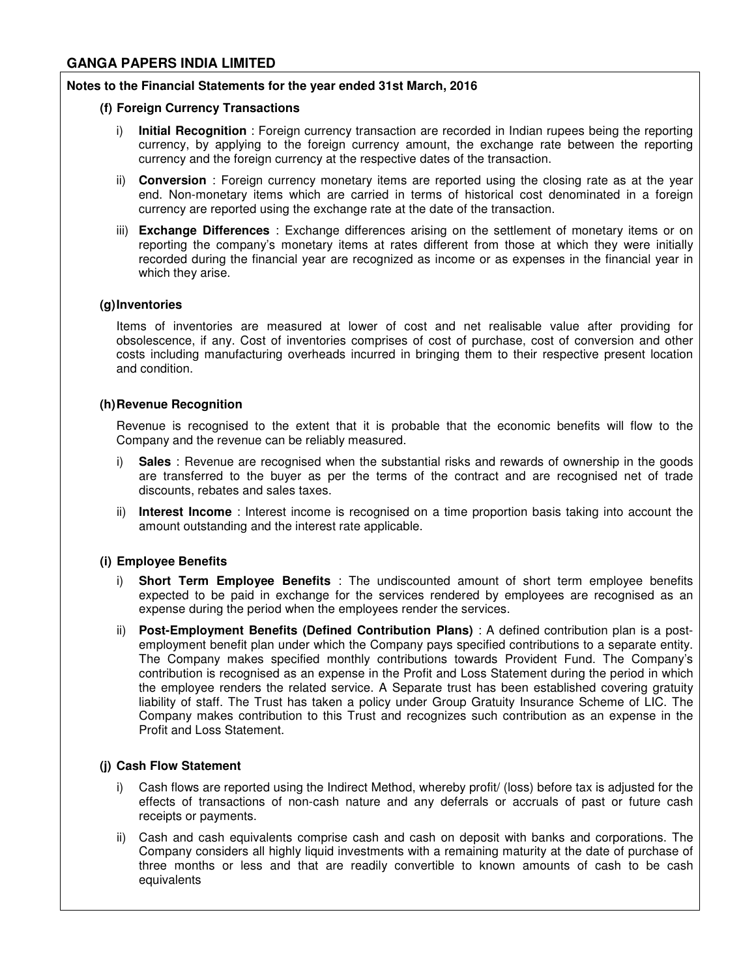#### **Notes to the Financial Statements for the year ended 31st March, 2016**

#### **(f) Foreign Currency Transactions**

- i) **Initial Recognition** : Foreign currency transaction are recorded in Indian rupees being the reporting currency, by applying to the foreign currency amount, the exchange rate between the reporting currency and the foreign currency at the respective dates of the transaction.
- ii) **Conversion** : Foreign currency monetary items are reported using the closing rate as at the year end. Non-monetary items which are carried in terms of historical cost denominated in a foreign currency are reported using the exchange rate at the date of the transaction.
- iii) **Exchange Differences** : Exchange differences arising on the settlement of monetary items or on reporting the company's monetary items at rates different from those at which they were initially recorded during the financial year are recognized as income or as expenses in the financial year in which they arise.

#### **(g) Inventories**

Items of inventories are measured at lower of cost and net realisable value after providing for obsolescence, if any. Cost of inventories comprises of cost of purchase, cost of conversion and other costs including manufacturing overheads incurred in bringing them to their respective present location and condition.

### **(h) Revenue Recognition**

Revenue is recognised to the extent that it is probable that the economic benefits will flow to the Company and the revenue can be reliably measured.

- **Sales** : Revenue are recognised when the substantial risks and rewards of ownership in the goods are transferred to the buyer as per the terms of the contract and are recognised net of trade discounts, rebates and sales taxes.
- ii) **Interest Income** : Interest income is recognised on a time proportion basis taking into account the amount outstanding and the interest rate applicable.

# **(i) Employee Benefits**

- i) **Short Term Employee Benefits** : The undiscounted amount of short term employee benefits expected to be paid in exchange for the services rendered by employees are recognised as an expense during the period when the employees render the services.
- ii) **Post-Employment Benefits (Defined Contribution Plans)** : A defined contribution plan is a postemployment benefit plan under which the Company pays specified contributions to a separate entity. The Company makes specified monthly contributions towards Provident Fund. The Company's contribution is recognised as an expense in the Profit and Loss Statement during the period in which the employee renders the related service. A Separate trust has been established covering gratuity liability of staff. The Trust has taken a policy under Group Gratuity Insurance Scheme of LIC. The Company makes contribution to this Trust and recognizes such contribution as an expense in the Profit and Loss Statement.

# **(j) Cash Flow Statement**

- i) Cash flows are reported using the Indirect Method, whereby profit/ (loss) before tax is adjusted for the effects of transactions of non-cash nature and any deferrals or accruals of past or future cash receipts or payments.
- ii) Cash and cash equivalents comprise cash and cash on deposit with banks and corporations. The Company considers all highly liquid investments with a remaining maturity at the date of purchase of three months or less and that are readily convertible to known amounts of cash to be cash equivalents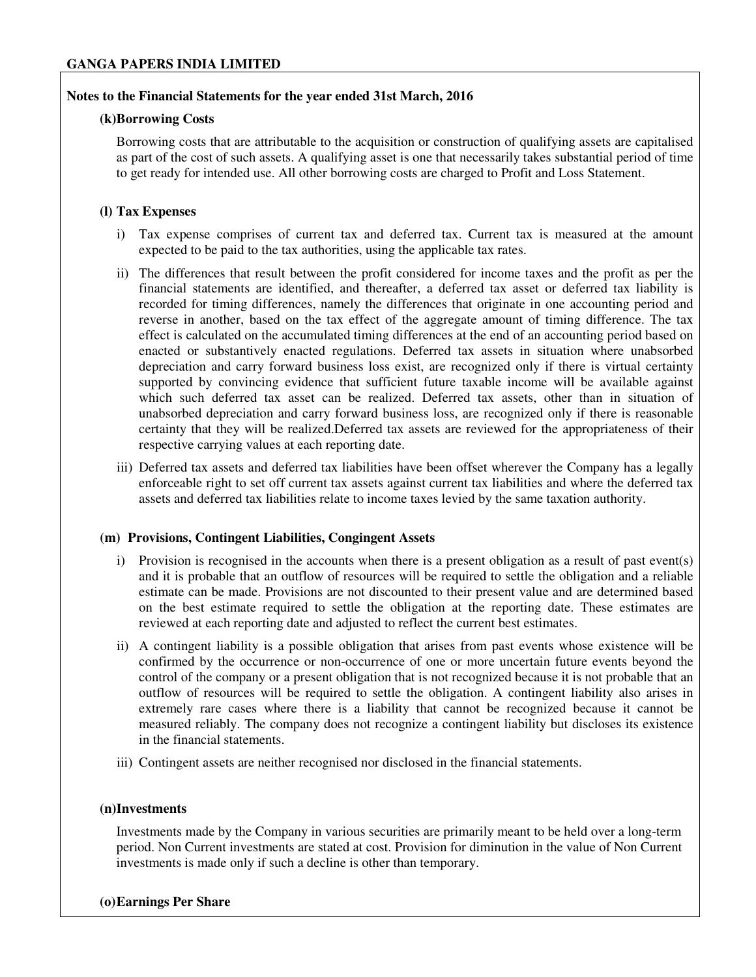# **Notes to the Financial Statements for the year ended 31st March, 2016**

### **(k)Borrowing Costs**

Borrowing costs that are attributable to the acquisition or construction of qualifying assets are capitalised as part of the cost of such assets. A qualifying asset is one that necessarily takes substantial period of time to get ready for intended use. All other borrowing costs are charged to Profit and Loss Statement.

## **(l) Tax Expenses**

- i) Tax expense comprises of current tax and deferred tax. Current tax is measured at the amount expected to be paid to the tax authorities, using the applicable tax rates.
- ii) The differences that result between the profit considered for income taxes and the profit as per the financial statements are identified, and thereafter, a deferred tax asset or deferred tax liability is recorded for timing differences, namely the differences that originate in one accounting period and reverse in another, based on the tax effect of the aggregate amount of timing difference. The tax effect is calculated on the accumulated timing differences at the end of an accounting period based on enacted or substantively enacted regulations. Deferred tax assets in situation where unabsorbed depreciation and carry forward business loss exist, are recognized only if there is virtual certainty supported by convincing evidence that sufficient future taxable income will be available against which such deferred tax asset can be realized. Deferred tax assets, other than in situation of unabsorbed depreciation and carry forward business loss, are recognized only if there is reasonable certainty that they will be realized.Deferred tax assets are reviewed for the appropriateness of their respective carrying values at each reporting date.
- iii) Deferred tax assets and deferred tax liabilities have been offset wherever the Company has a legally enforceable right to set off current tax assets against current tax liabilities and where the deferred tax assets and deferred tax liabilities relate to income taxes levied by the same taxation authority.

#### **(m) Provisions, Contingent Liabilities, Congingent Assets**

- i) Provision is recognised in the accounts when there is a present obligation as a result of past event(s) and it is probable that an outflow of resources will be required to settle the obligation and a reliable estimate can be made. Provisions are not discounted to their present value and are determined based on the best estimate required to settle the obligation at the reporting date. These estimates are reviewed at each reporting date and adjusted to reflect the current best estimates.
- ii) A contingent liability is a possible obligation that arises from past events whose existence will be confirmed by the occurrence or non-occurrence of one or more uncertain future events beyond the control of the company or a present obligation that is not recognized because it is not probable that an outflow of resources will be required to settle the obligation. A contingent liability also arises in extremely rare cases where there is a liability that cannot be recognized because it cannot be measured reliably. The company does not recognize a contingent liability but discloses its existence in the financial statements.
- iii) Contingent assets are neither recognised nor disclosed in the financial statements.

## **(n)Investments**

Investments made by the Company in various securities are primarily meant to be held over a long-term period. Non Current investments are stated at cost. Provision for diminution in the value of Non Current investments is made only if such a decline is other than temporary.

#### **(o)Earnings Per Share**